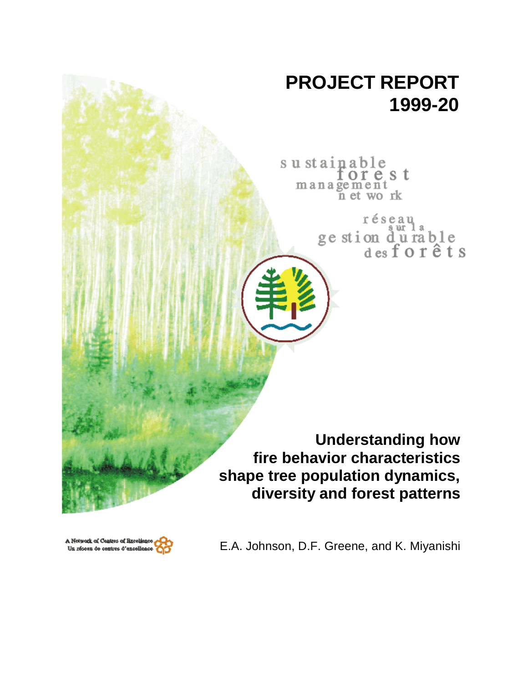# **PROJECT REPORT 1999-20**

sustainable orest management n et work

> réseau ge stion durable<br>desforêts

**Understanding how fire behavior characteristics shape tree population dynamics, diversity and forest patterns**



E.A. Johnson, D.F. Greene, and K. Miyanishi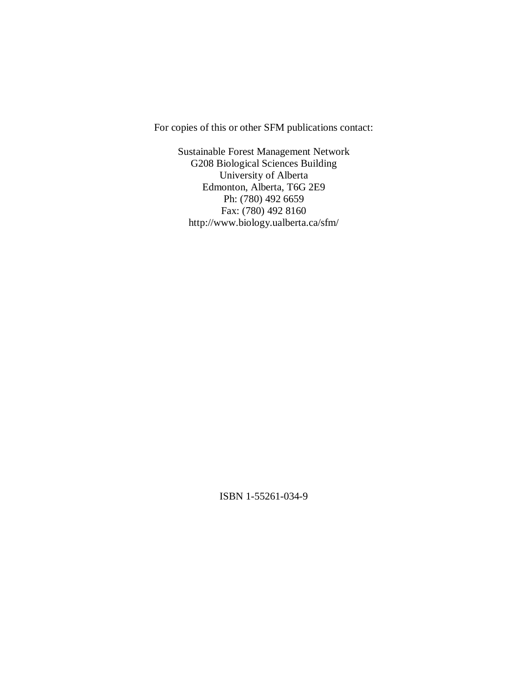For copies of this or other SFM publications contact:

Sustainable Forest Management Network G208 Biological Sciences Building University of Alberta Edmonton, Alberta, T6G 2E9 Ph: (780) 492 6659 Fax: (780) 492 8160 http://www.biology.ualberta.ca/sfm/

ISBN 1-55261-034-9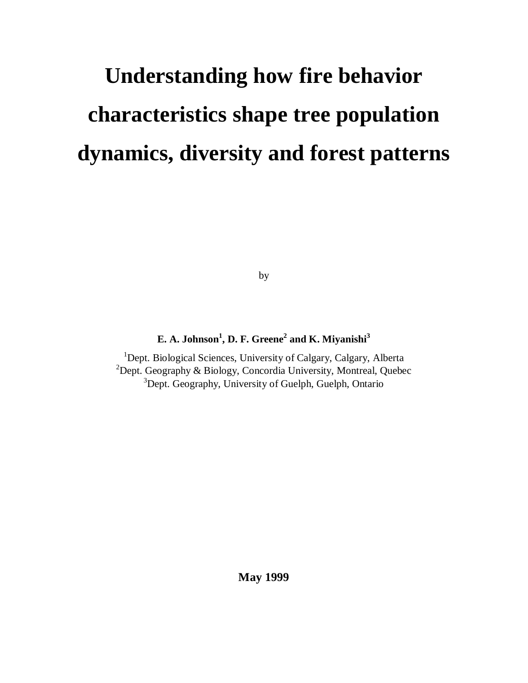# **Understanding how fire behavior characteristics shape tree population dynamics, diversity and forest patterns**

by

#### **E. A. Johnson<sup>1</sup> , D. F. Greene2 and K. Miyanishi3**

<sup>1</sup>Dept. Biological Sciences, University of Calgary, Calgary, Alberta <sup>2</sup>Dept. Geography & Biology, Concordia University, Montreal, Quebec <sup>3</sup>Dept. Geography, University of Guelph, Guelph, Ontario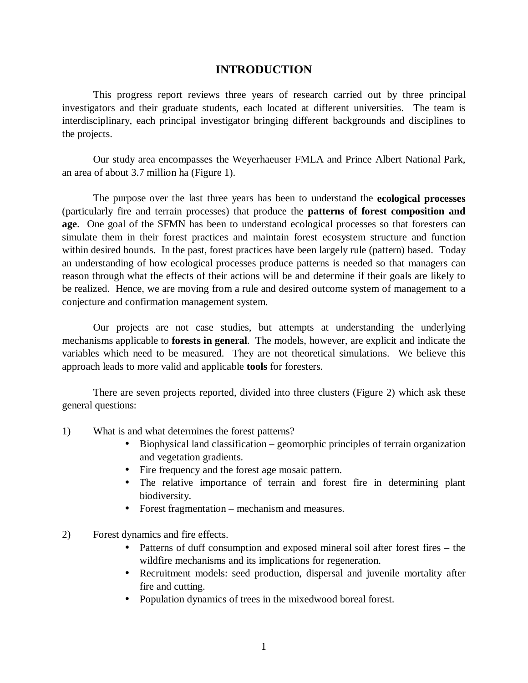#### **INTRODUCTION**

This progress report reviews three years of research carried out by three principal investigators and their graduate students, each located at different universities. The team is interdisciplinary, each principal investigator bringing different backgrounds and disciplines to the projects.

Our study area encompasses the Weyerhaeuser FMLA and Prince Albert National Park, an area of about 3.7 million ha (Figure 1).

The purpose over the last three years has been to understand the **ecological processes** (particularly fire and terrain processes) that produce the **patterns of forest composition and age**. One goal of the SFMN has been to understand ecological processes so that foresters can simulate them in their forest practices and maintain forest ecosystem structure and function within desired bounds. In the past, forest practices have been largely rule (pattern) based. Today an understanding of how ecological processes produce patterns is needed so that managers can reason through what the effects of their actions will be and determine if their goals are likely to be realized. Hence, we are moving from a rule and desired outcome system of management to a conjecture and confirmation management system.

Our projects are not case studies, but attempts at understanding the underlying mechanisms applicable to **forests in general**. The models, however, are explicit and indicate the variables which need to be measured. They are not theoretical simulations. We believe this approach leads to more valid and applicable **tools** for foresters.

There are seven projects reported, divided into three clusters (Figure 2) which ask these general questions:

- 1) What is and what determines the forest patterns?
	- Biophysical land classification geomorphic principles of terrain organization and vegetation gradients.
	- Fire frequency and the forest age mosaic pattern.
	- The relative importance of terrain and forest fire in determining plant biodiversity.
	- Forest fragmentation mechanism and measures.
- 2) Forest dynamics and fire effects.
	- Patterns of duff consumption and exposed mineral soil after forest fires the wildfire mechanisms and its implications for regeneration.
	- Recruitment models: seed production, dispersal and juvenile mortality after fire and cutting.
	- Population dynamics of trees in the mixedwood boreal forest.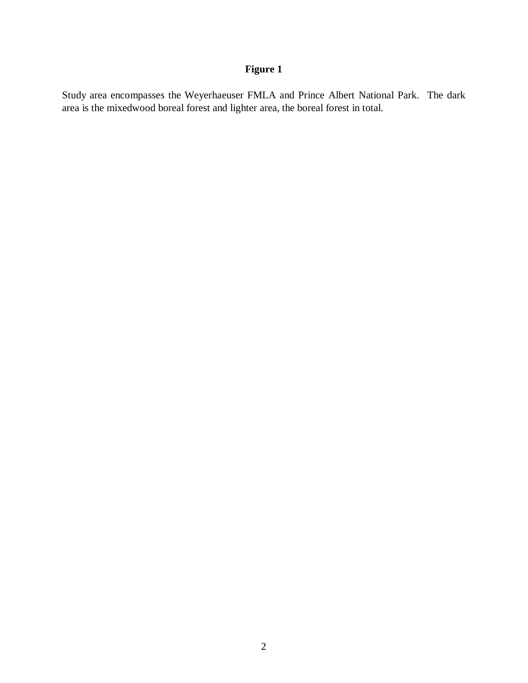Study area encompasses the Weyerhaeuser FMLA and Prince Albert National Park. The dark area is the mixedwood boreal forest and lighter area, the boreal forest in total.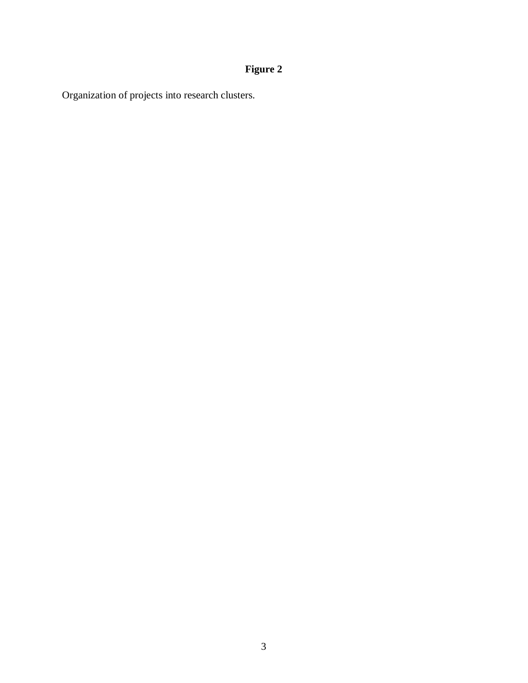Organization of projects into research clusters.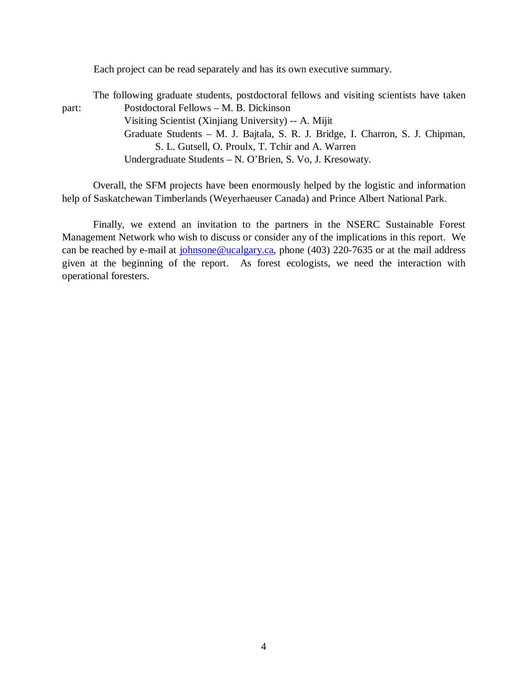Each project can be read separately and has its own executive summary.

The following graduate students, postdoctoral fellows and visiting scientists have taken part: Postdoctoral Fellows – M. B. Dickinson Visiting Scientist (Xinjiang University) -- A. Mijit Graduate Students – M. J. Bajtala, S. R. J. Bridge, I. Charron, S. J. Chipman, S. L. Gutsell, O. Proulx, T. Tchir and A. Warren Undergraduate Students – N. O'Brien, S. Vo, J. Kresowaty.

Overall, the SFM projects have been enormously helped by the logistic and information help of Saskatchewan Timberlands (Weyerhaeuser Canada) and Prince Albert National Park.

Finally, we extend an invitation to the partners in the NSERC Sustainable Forest Management Network who wish to discuss or consider any of the implications in this report. We can be reached by e-mail at johnsone@ucalgary.ca, phone (403) 220-7635 or at the mail address given at the beginning of the report. As forest ecologists, we need the interaction with operational foresters.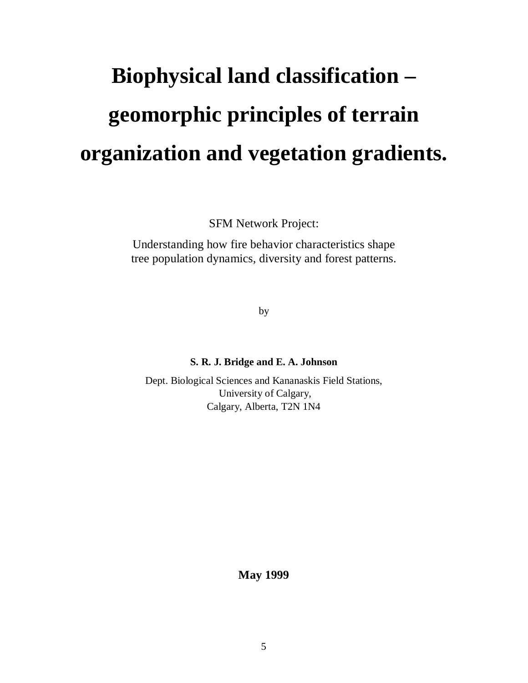# **Biophysical land classification – geomorphic principles of terrain organization and vegetation gradients.**

SFM Network Project:

Understanding how fire behavior characteristics shape tree population dynamics, diversity and forest patterns.

by

#### **S. R. J. Bridge and E. A. Johnson**

Dept. Biological Sciences and Kananaskis Field Stations, University of Calgary, Calgary, Alberta, T2N 1N4

**May 1999**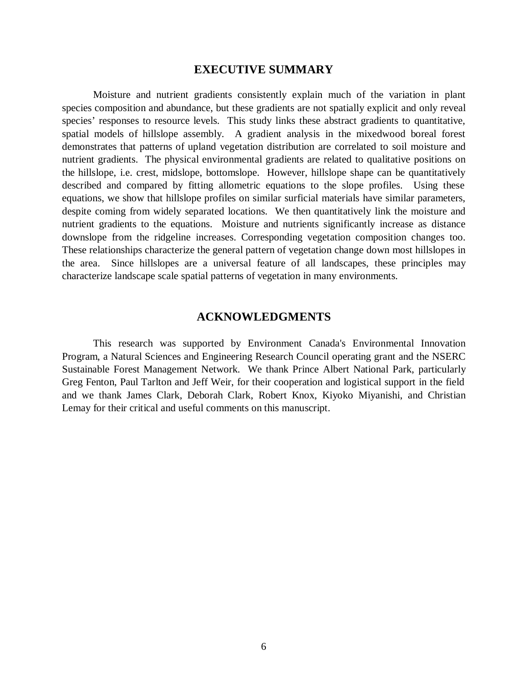#### **EXECUTIVE SUMMARY**

Moisture and nutrient gradients consistently explain much of the variation in plant species composition and abundance, but these gradients are not spatially explicit and only reveal species' responses to resource levels. This study links these abstract gradients to quantitative, spatial models of hillslope assembly. A gradient analysis in the mixedwood boreal forest demonstrates that patterns of upland vegetation distribution are correlated to soil moisture and nutrient gradients. The physical environmental gradients are related to qualitative positions on the hillslope, i.e. crest, midslope, bottomslope. However, hillslope shape can be quantitatively described and compared by fitting allometric equations to the slope profiles. Using these equations, we show that hillslope profiles on similar surficial materials have similar parameters, despite coming from widely separated locations. We then quantitatively link the moisture and nutrient gradients to the equations. Moisture and nutrients significantly increase as distance downslope from the ridgeline increases. Corresponding vegetation composition changes too. These relationships characterize the general pattern of vegetation change down most hillslopes in the area. Since hillslopes are a universal feature of all landscapes, these principles may characterize landscape scale spatial patterns of vegetation in many environments.

#### **ACKNOWLEDGMENTS**

This research was supported by Environment Canada's Environmental Innovation Program, a Natural Sciences and Engineering Research Council operating grant and the NSERC Sustainable Forest Management Network. We thank Prince Albert National Park, particularly Greg Fenton, Paul Tarlton and Jeff Weir, for their cooperation and logistical support in the field and we thank James Clark, Deborah Clark, Robert Knox, Kiyoko Miyanishi, and Christian Lemay for their critical and useful comments on this manuscript.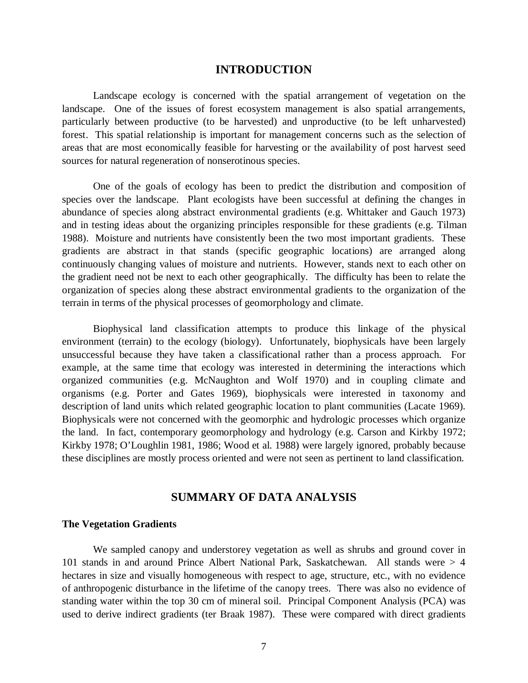#### **INTRODUCTION**

Landscape ecology is concerned with the spatial arrangement of vegetation on the landscape. One of the issues of forest ecosystem management is also spatial arrangements, particularly between productive (to be harvested) and unproductive (to be left unharvested) forest. This spatial relationship is important for management concerns such as the selection of areas that are most economically feasible for harvesting or the availability of post harvest seed sources for natural regeneration of nonserotinous species.

One of the goals of ecology has been to predict the distribution and composition of species over the landscape. Plant ecologists have been successful at defining the changes in abundance of species along abstract environmental gradients (e.g. Whittaker and Gauch 1973) and in testing ideas about the organizing principles responsible for these gradients (e.g. Tilman 1988). Moisture and nutrients have consistently been the two most important gradients. These gradients are abstract in that stands (specific geographic locations) are arranged along continuously changing values of moisture and nutrients. However, stands next to each other on the gradient need not be next to each other geographically. The difficulty has been to relate the organization of species along these abstract environmental gradients to the organization of the terrain in terms of the physical processes of geomorphology and climate.

Biophysical land classification attempts to produce this linkage of the physical environment (terrain) to the ecology (biology). Unfortunately, biophysicals have been largely unsuccessful because they have taken a classificational rather than a process approach. For example, at the same time that ecology was interested in determining the interactions which organized communities (e.g. McNaughton and Wolf 1970) and in coupling climate and organisms (e.g. Porter and Gates 1969), biophysicals were interested in taxonomy and description of land units which related geographic location to plant communities (Lacate 1969). Biophysicals were not concerned with the geomorphic and hydrologic processes which organize the land. In fact, contemporary geomorphology and hydrology (e.g. Carson and Kirkby 1972; Kirkby 1978; O'Loughlin 1981, 1986; Wood et al. 1988) were largely ignored, probably because these disciplines are mostly process oriented and were not seen as pertinent to land classification.

#### **SUMMARY OF DATA ANALYSIS**

#### **The Vegetation Gradients**

We sampled canopy and understorey vegetation as well as shrubs and ground cover in 101 stands in and around Prince Albert National Park, Saskatchewan. All stands were > 4 hectares in size and visually homogeneous with respect to age, structure, etc., with no evidence of anthropogenic disturbance in the lifetime of the canopy trees. There was also no evidence of standing water within the top 30 cm of mineral soil. Principal Component Analysis (PCA) was used to derive indirect gradients (ter Braak 1987). These were compared with direct gradients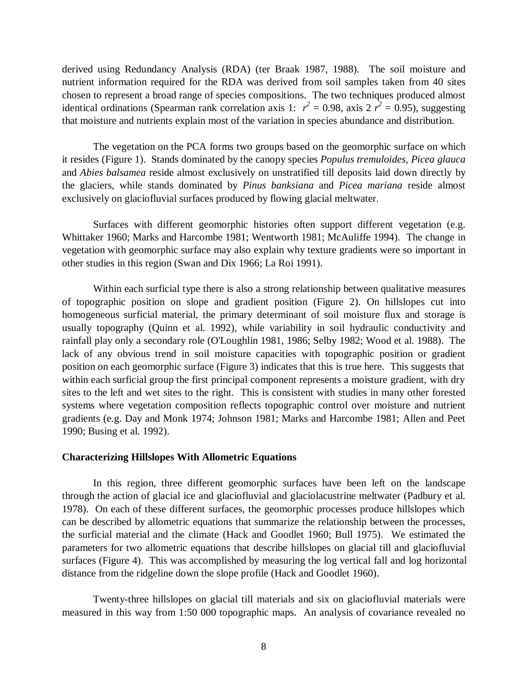derived using Redundancy Analysis (RDA) (ter Braak 1987, 1988). The soil moisture and nutrient information required for the RDA was derived from soil samples taken from 40 sites chosen to represent a broad range of species compositions. The two techniques produced almost identical ordinations (Spearman rank correlation axis 1:  $r^2 = 0.98$ , axis 2  $r^2 = 0.95$ ), suggesting that moisture and nutrients explain most of the variation in species abundance and distribution.

The vegetation on the PCA forms two groups based on the geomorphic surface on which it resides (Figure 1). Stands dominated by the canopy species *Populus tremuloides*, *Picea glauca* and *Abies balsamea* reside almost exclusively on unstratified till deposits laid down directly by the glaciers, while stands dominated by *Pinus banksiana* and *Picea mariana* reside almost exclusively on glaciofluvial surfaces produced by flowing glacial meltwater.

Surfaces with different geomorphic histories often support different vegetation (e.g. Whittaker 1960; Marks and Harcombe 1981; Wentworth 1981; McAuliffe 1994). The change in vegetation with geomorphic surface may also explain why texture gradients were so important in other studies in this region (Swan and Dix 1966; La Roi 1991).

Within each surficial type there is also a strong relationship between qualitative measures of topographic position on slope and gradient position (Figure 2). On hillslopes cut into homogeneous surficial material, the primary determinant of soil moisture flux and storage is usually topography (Quinn et al. 1992), while variability in soil hydraulic conductivity and rainfall play only a secondary role (O'Loughlin 1981, 1986; Selby 1982; Wood et al. 1988). The lack of any obvious trend in soil moisture capacities with topographic position or gradient position on each geomorphic surface (Figure 3) indicates that this is true here. This suggests that within each surficial group the first principal component represents a moisture gradient, with dry sites to the left and wet sites to the right. This is consistent with studies in many other forested systems where vegetation composition reflects topographic control over moisture and nutrient gradients (e.g. Day and Monk 1974; Johnson 1981; Marks and Harcombe 1981; Allen and Peet 1990; Busing et al. 1992).

#### **Characterizing Hillslopes With Allometric Equations**

In this region, three different geomorphic surfaces have been left on the landscape through the action of glacial ice and glaciofluvial and glaciolacustrine meltwater (Padbury et al. 1978). On each of these different surfaces, the geomorphic processes produce hillslopes which can be described by allometric equations that summarize the relationship between the processes, the surficial material and the climate (Hack and Goodlet 1960; Bull 1975). We estimated the parameters for two allometric equations that describe hillslopes on glacial till and glaciofluvial surfaces (Figure 4). This was accomplished by measuring the log vertical fall and log horizontal distance from the ridgeline down the slope profile (Hack and Goodlet 1960).

Twenty-three hillslopes on glacial till materials and six on glaciofluvial materials were measured in this way from 1:50 000 topographic maps. An analysis of covariance revealed no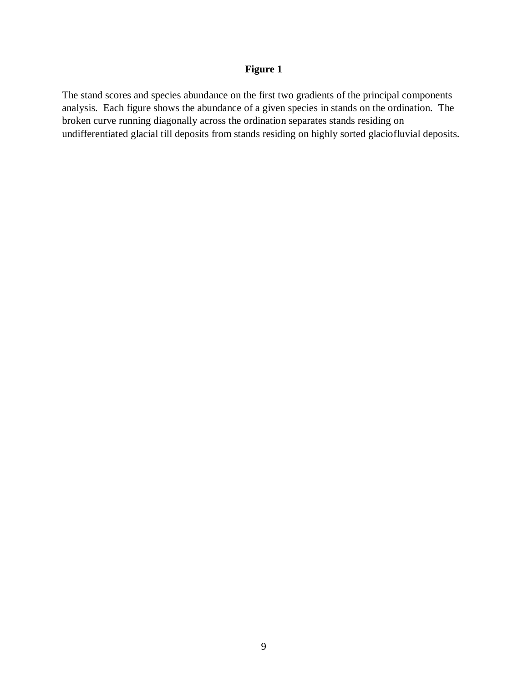The stand scores and species abundance on the first two gradients of the principal components analysis. Each figure shows the abundance of a given species in stands on the ordination. The broken curve running diagonally across the ordination separates stands residing on undifferentiated glacial till deposits from stands residing on highly sorted glaciofluvial deposits.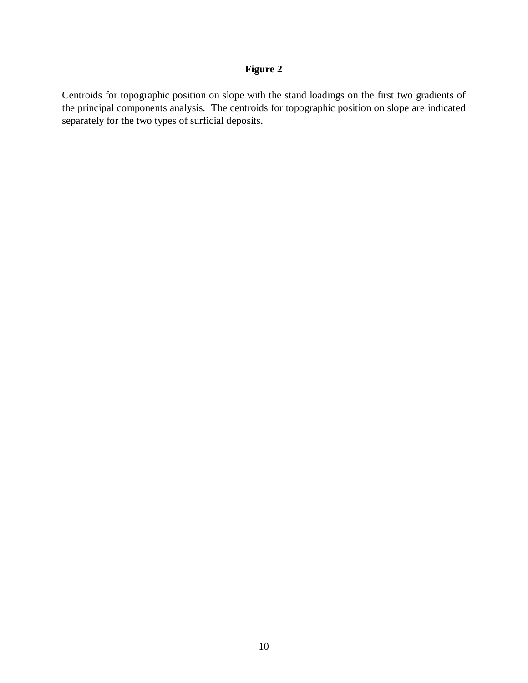Centroids for topographic position on slope with the stand loadings on the first two gradients of the principal components analysis. The centroids for topographic position on slope are indicated separately for the two types of surficial deposits.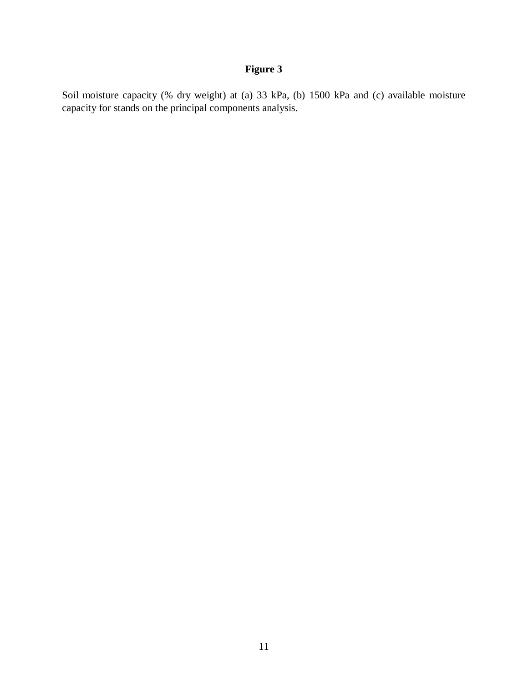Soil moisture capacity (% dry weight) at (a) 33 kPa, (b) 1500 kPa and (c) available moisture capacity for stands on the principal components analysis.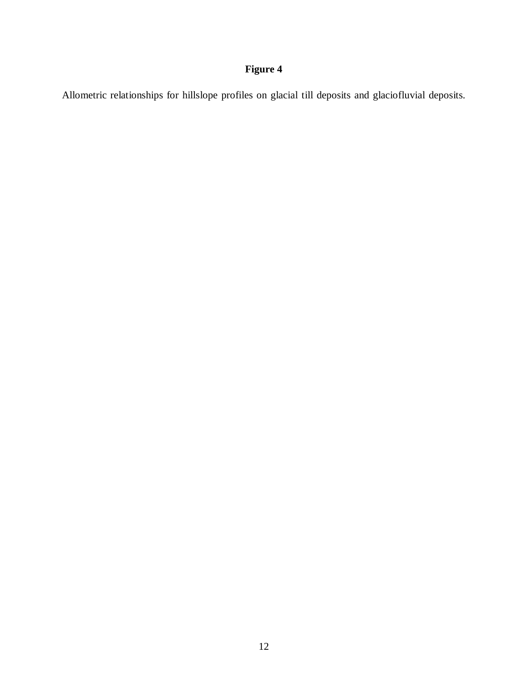Allometric relationships for hillslope profiles on glacial till deposits and glaciofluvial deposits.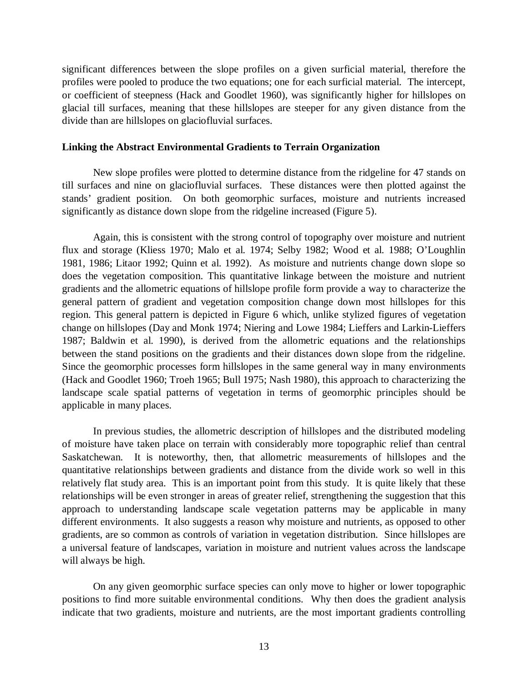significant differences between the slope profiles on a given surficial material, therefore the profiles were pooled to produce the two equations; one for each surficial material. The intercept, or coefficient of steepness (Hack and Goodlet 1960), was significantly higher for hillslopes on glacial till surfaces, meaning that these hillslopes are steeper for any given distance from the divide than are hillslopes on glaciofluvial surfaces.

#### **Linking the Abstract Environmental Gradients to Terrain Organization**

New slope profiles were plotted to determine distance from the ridgeline for 47 stands on till surfaces and nine on glaciofluvial surfaces. These distances were then plotted against the stands' gradient position. On both geomorphic surfaces, moisture and nutrients increased significantly as distance down slope from the ridgeline increased (Figure 5).

Again, this is consistent with the strong control of topography over moisture and nutrient flux and storage (Kliess 1970; Malo et al. 1974; Selby 1982; Wood et al. 1988; O'Loughlin 1981, 1986; Litaor 1992; Quinn et al. 1992). As moisture and nutrients change down slope so does the vegetation composition. This quantitative linkage between the moisture and nutrient gradients and the allometric equations of hillslope profile form provide a way to characterize the general pattern of gradient and vegetation composition change down most hillslopes for this region. This general pattern is depicted in Figure 6 which, unlike stylized figures of vegetation change on hillslopes (Day and Monk 1974; Niering and Lowe 1984; Lieffers and Larkin-Lieffers 1987; Baldwin et al. 1990), is derived from the allometric equations and the relationships between the stand positions on the gradients and their distances down slope from the ridgeline. Since the geomorphic processes form hillslopes in the same general way in many environments (Hack and Goodlet 1960; Troeh 1965; Bull 1975; Nash 1980), this approach to characterizing the landscape scale spatial patterns of vegetation in terms of geomorphic principles should be applicable in many places.

In previous studies, the allometric description of hillslopes and the distributed modeling of moisture have taken place on terrain with considerably more topographic relief than central Saskatchewan. It is noteworthy, then, that allometric measurements of hillslopes and the quantitative relationships between gradients and distance from the divide work so well in this relatively flat study area. This is an important point from this study. It is quite likely that these relationships will be even stronger in areas of greater relief, strengthening the suggestion that this approach to understanding landscape scale vegetation patterns may be applicable in many different environments. It also suggests a reason why moisture and nutrients, as opposed to other gradients, are so common as controls of variation in vegetation distribution. Since hillslopes are a universal feature of landscapes, variation in moisture and nutrient values across the landscape will always be high.

On any given geomorphic surface species can only move to higher or lower topographic positions to find more suitable environmental conditions. Why then does the gradient analysis indicate that two gradients, moisture and nutrients, are the most important gradients controlling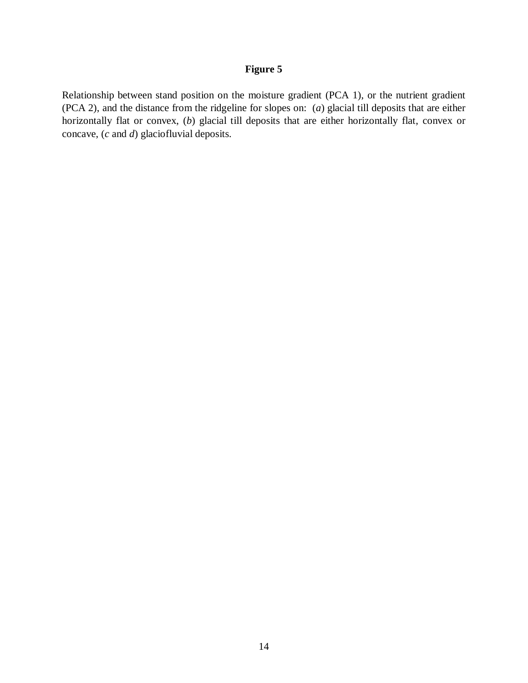Relationship between stand position on the moisture gradient (PCA 1), or the nutrient gradient (PCA 2), and the distance from the ridgeline for slopes on: (*a*) glacial till deposits that are either horizontally flat or convex, (*b*) glacial till deposits that are either horizontally flat, convex or concave, (*c* and *d*) glaciofluvial deposits.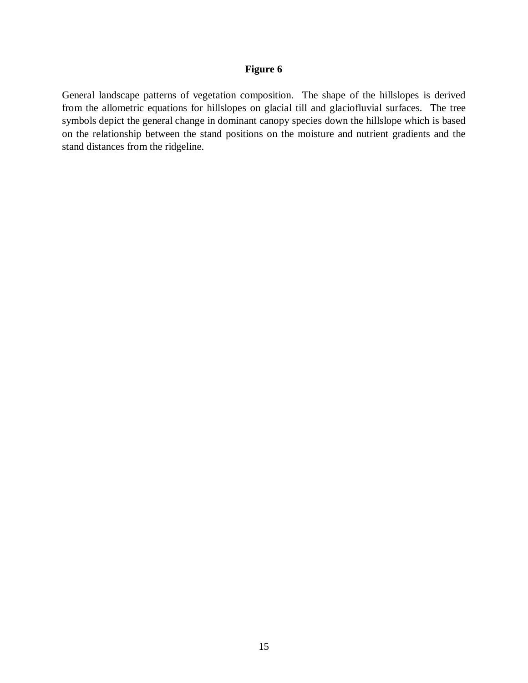General landscape patterns of vegetation composition. The shape of the hillslopes is derived from the allometric equations for hillslopes on glacial till and glaciofluvial surfaces. The tree symbols depict the general change in dominant canopy species down the hillslope which is based on the relationship between the stand positions on the moisture and nutrient gradients and the stand distances from the ridgeline.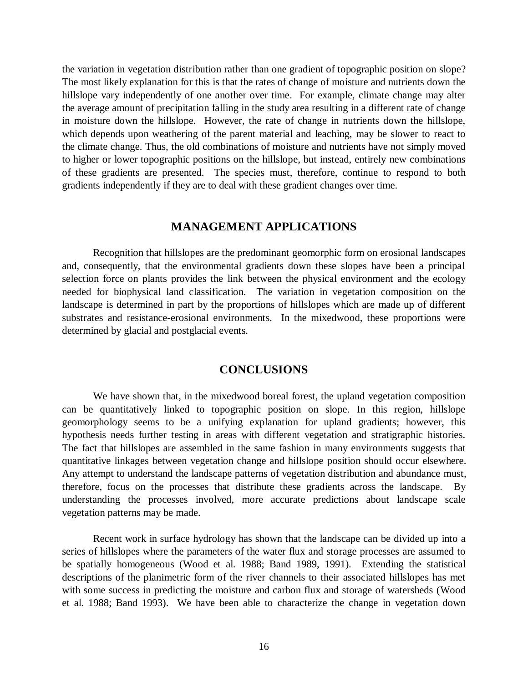the variation in vegetation distribution rather than one gradient of topographic position on slope? The most likely explanation for this is that the rates of change of moisture and nutrients down the hillslope vary independently of one another over time. For example, climate change may alter the average amount of precipitation falling in the study area resulting in a different rate of change in moisture down the hillslope. However, the rate of change in nutrients down the hillslope, which depends upon weathering of the parent material and leaching, may be slower to react to the climate change. Thus, the old combinations of moisture and nutrients have not simply moved to higher or lower topographic positions on the hillslope, but instead, entirely new combinations of these gradients are presented. The species must, therefore, continue to respond to both gradients independently if they are to deal with these gradient changes over time.

#### **MANAGEMENT APPLICATIONS**

Recognition that hillslopes are the predominant geomorphic form on erosional landscapes and, consequently, that the environmental gradients down these slopes have been a principal selection force on plants provides the link between the physical environment and the ecology needed for biophysical land classification. The variation in vegetation composition on the landscape is determined in part by the proportions of hillslopes which are made up of different substrates and resistance-erosional environments. In the mixedwood, these proportions were determined by glacial and postglacial events.

#### **CONCLUSIONS**

We have shown that, in the mixedwood boreal forest, the upland vegetation composition can be quantitatively linked to topographic position on slope. In this region, hillslope geomorphology seems to be a unifying explanation for upland gradients; however, this hypothesis needs further testing in areas with different vegetation and stratigraphic histories. The fact that hillslopes are assembled in the same fashion in many environments suggests that quantitative linkages between vegetation change and hillslope position should occur elsewhere. Any attempt to understand the landscape patterns of vegetation distribution and abundance must, therefore, focus on the processes that distribute these gradients across the landscape. By understanding the processes involved, more accurate predictions about landscape scale vegetation patterns may be made.

Recent work in surface hydrology has shown that the landscape can be divided up into a series of hillslopes where the parameters of the water flux and storage processes are assumed to be spatially homogeneous (Wood et al. 1988; Band 1989, 1991). Extending the statistical descriptions of the planimetric form of the river channels to their associated hillslopes has met with some success in predicting the moisture and carbon flux and storage of watersheds (Wood et al. 1988; Band 1993). We have been able to characterize the change in vegetation down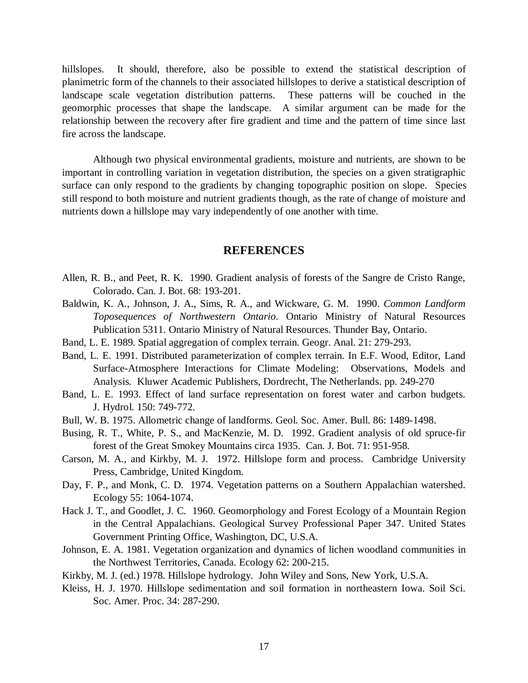hillslopes. It should, therefore, also be possible to extend the statistical description of planimetric form of the channels to their associated hillslopes to derive a statistical description of landscape scale vegetation distribution patterns. These patterns will be couched in the geomorphic processes that shape the landscape. A similar argument can be made for the relationship between the recovery after fire gradient and time and the pattern of time since last fire across the landscape.

Although two physical environmental gradients, moisture and nutrients, are shown to be important in controlling variation in vegetation distribution, the species on a given stratigraphic surface can only respond to the gradients by changing topographic position on slope. Species still respond to both moisture and nutrient gradients though, as the rate of change of moisture and nutrients down a hillslope may vary independently of one another with time.

#### **REFERENCES**

- Allen, R. B., and Peet, R. K. 1990. Gradient analysis of forests of the Sangre de Cristo Range, Colorado. Can. J. Bot. 68: 193-201.
- Baldwin, K. A., Johnson, J. A., Sims, R. A., and Wickware, G. M. 1990. *Common Landform Toposequences of Northwestern Ontario*. Ontario Ministry of Natural Resources Publication 5311. Ontario Ministry of Natural Resources. Thunder Bay, Ontario.
- Band, L. E. 1989. Spatial aggregation of complex terrain. Geogr. Anal. 21: 279-293.
- Band, L. E. 1991. Distributed parameterization of complex terrain. In E.F. Wood, Editor, Land Surface-Atmosphere Interactions for Climate Modeling: Observations, Models and Analysis*.* Kluwer Academic Publishers, Dordrecht, The Netherlands. pp. 249-270
- Band, L. E. 1993. Effect of land surface representation on forest water and carbon budgets. J. Hydrol. 150: 749-772.
- Bull, W. B. 1975. Allometric change of landforms. Geol. Soc. Amer. Bull. 86: 1489-1498.
- Busing, R. T., White, P. S., and MacKenzie, M. D. 1992. Gradient analysis of old spruce-fir forest of the Great Smokey Mountains circa 1935. Can. J. Bot. 71: 951-958.
- Carson, M. A., and Kirkby, M. J. 1972. Hillslope form and process. Cambridge University Press, Cambridge, United Kingdom.
- Day, F. P., and Monk, C. D. 1974. Vegetation patterns on a Southern Appalachian watershed. Ecology 55: 1064-1074.
- Hack J. T., and Goodlet, J. C. 1960. Geomorphology and Forest Ecology of a Mountain Region in the Central Appalachians. Geological Survey Professional Paper 347. United States Government Printing Office, Washington, DC, U.S.A.
- Johnson, E. A. 1981. Vegetation organization and dynamics of lichen woodland communities in the Northwest Territories, Canada. Ecology 62: 200-215.
- Kirkby, M. J. (ed.) 1978. Hillslope hydrology. John Wiley and Sons, New York, U.S.A.
- Kleiss, H. J. 1970. Hillslope sedimentation and soil formation in northeastern Iowa. Soil Sci. Soc. Amer. Proc. 34: 287-290.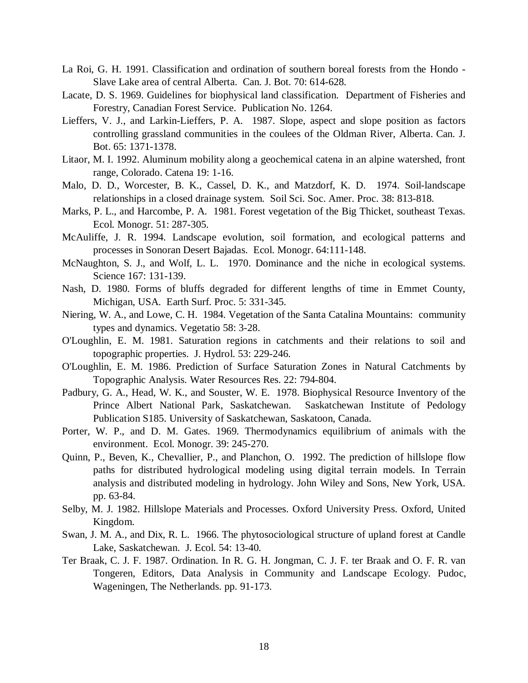- La Roi, G. H. 1991. Classification and ordination of southern boreal forests from the Hondo Slave Lake area of central Alberta. Can. J. Bot. 70: 614-628.
- Lacate, D. S. 1969. Guidelines for biophysical land classification. Department of Fisheries and Forestry, Canadian Forest Service. Publication No. 1264.
- Lieffers, V. J., and Larkin-Lieffers, P. A. 1987. Slope, aspect and slope position as factors controlling grassland communities in the coulees of the Oldman River, Alberta. Can. J. Bot. 65: 1371-1378.
- Litaor, M. I. 1992. Aluminum mobility along a geochemical catena in an alpine watershed, front range, Colorado. Catena 19: 1-16.
- Malo, D. D., Worcester, B. K., Cassel, D. K., and Matzdorf, K. D. 1974. Soil-landscape relationships in a closed drainage system. Soil Sci. Soc. Amer. Proc. 38: 813-818.
- Marks, P. L., and Harcombe, P. A. 1981. Forest vegetation of the Big Thicket, southeast Texas. Ecol. Monogr. 51: 287-305.
- McAuliffe, J. R. 1994. Landscape evolution, soil formation, and ecological patterns and processes in Sonoran Desert Bajadas. Ecol. Monogr. 64:111-148.
- McNaughton, S. J., and Wolf, L. L. 1970. Dominance and the niche in ecological systems. Science 167: 131-139.
- Nash, D. 1980. Forms of bluffs degraded for different lengths of time in Emmet County, Michigan, USA. Earth Surf. Proc. 5: 331-345.
- Niering, W. A., and Lowe, C. H. 1984. Vegetation of the Santa Catalina Mountains: community types and dynamics. Vegetatio 58: 3-28.
- O'Loughlin, E. M. 1981. Saturation regions in catchments and their relations to soil and topographic properties. J. Hydrol. 53: 229-246.
- O'Loughlin, E. M. 1986. Prediction of Surface Saturation Zones in Natural Catchments by Topographic Analysis. Water Resources Res. 22: 794-804.
- Padbury, G. A., Head, W. K., and Souster, W. E. 1978. Biophysical Resource Inventory of the Prince Albert National Park, Saskatchewan. Saskatchewan Institute of Pedology Publication S185. University of Saskatchewan, Saskatoon, Canada.
- Porter, W. P., and D. M. Gates. 1969. Thermodynamics equilibrium of animals with the environment. Ecol. Monogr. 39: 245-270.
- Quinn, P., Beven, K., Chevallier, P., and Planchon, O. 1992. The prediction of hillslope flow paths for distributed hydrological modeling using digital terrain models. In Terrain analysis and distributed modeling in hydrology. John Wiley and Sons, New York, USA. pp. 63-84.
- Selby, M. J. 1982. Hillslope Materials and Processes. Oxford University Press. Oxford, United Kingdom.
- Swan, J. M. A., and Dix, R. L. 1966. The phytosociological structure of upland forest at Candle Lake, Saskatchewan. J. Ecol. 54: 13-40.
- Ter Braak, C. J. F. 1987. Ordination. In R. G. H. Jongman, C. J. F. ter Braak and O. F. R. van Tongeren, Editors, Data Analysis in Community and Landscape Ecology. Pudoc, Wageningen, The Netherlands. pp. 91-173.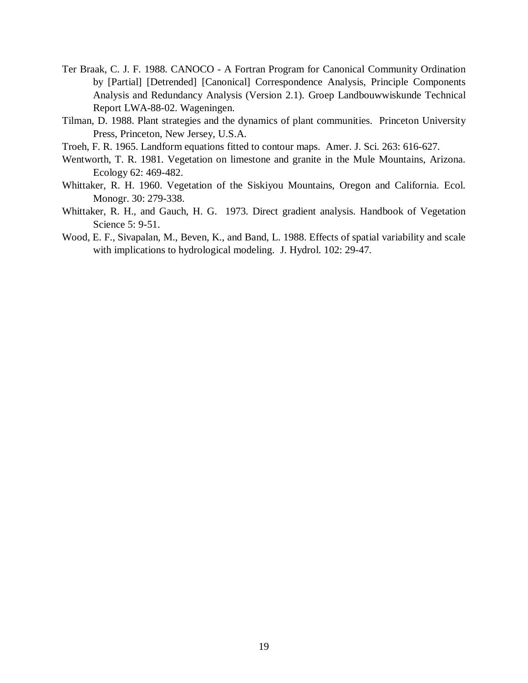- Ter Braak, C. J. F. 1988. CANOCO A Fortran Program for Canonical Community Ordination by [Partial] [Detrended] [Canonical] Correspondence Analysis, Principle Components Analysis and Redundancy Analysis (Version 2.1)*.* Groep Landbouwwiskunde Technical Report LWA-88-02. Wageningen.
- Tilman, D. 1988. Plant strategies and the dynamics of plant communities. Princeton University Press, Princeton, New Jersey, U.S.A.
- Troeh, F. R. 1965. Landform equations fitted to contour maps. Amer. J. Sci. 263: 616-627.
- Wentworth, T. R. 1981. Vegetation on limestone and granite in the Mule Mountains, Arizona. Ecology 62: 469-482.
- Whittaker, R. H. 1960. Vegetation of the Siskiyou Mountains, Oregon and California. Ecol. Monogr. 30: 279-338.
- Whittaker, R. H., and Gauch, H. G. 1973. Direct gradient analysis. Handbook of Vegetation Science 5: 9-51.
- Wood, E. F., Sivapalan, M., Beven, K., and Band, L. 1988. Effects of spatial variability and scale with implications to hydrological modeling. J. Hydrol. 102: 29-47.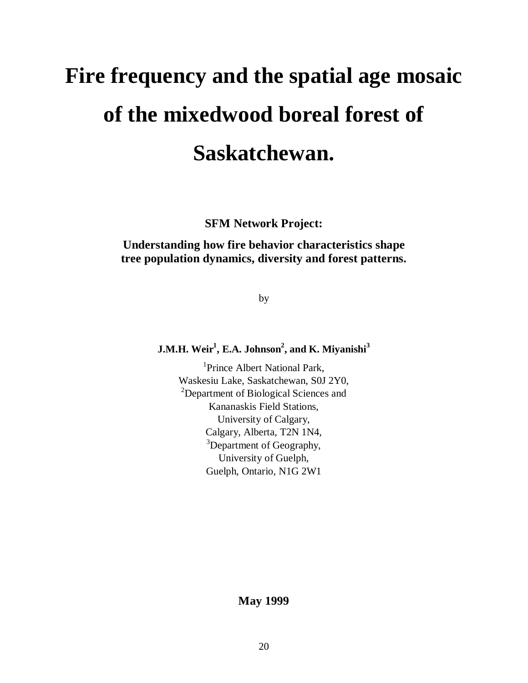# **Fire frequency and the spatial age mosaic of the mixedwood boreal forest of Saskatchewan.**

**SFM Network Project:**

### **Understanding how fire behavior characteristics shape tree population dynamics, diversity and forest patterns.**

by

#### **J.M.H. Weir1 , E.A. Johnson2 , and K. Miyanishi<sup>3</sup>**

<sup>1</sup>Prince Albert National Park, Waskesiu Lake, Saskatchewan, S0J 2Y0, <sup>2</sup>Department of Biological Sciences and Kananaskis Field Stations, University of Calgary, Calgary, Alberta, T2N 1N4, <sup>3</sup>Department of Geography, University of Guelph, Guelph, Ontario, N1G 2W1

#### **May 1999**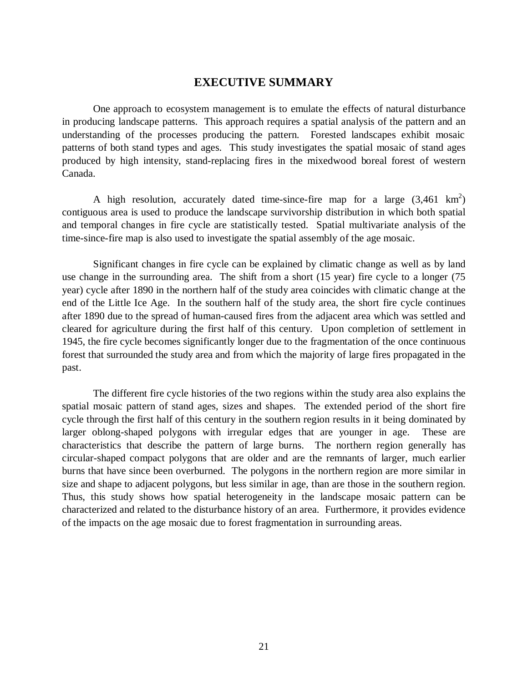#### **EXECUTIVE SUMMARY**

One approach to ecosystem management is to emulate the effects of natural disturbance in producing landscape patterns. This approach requires a spatial analysis of the pattern and an understanding of the processes producing the pattern. Forested landscapes exhibit mosaic patterns of both stand types and ages. This study investigates the spatial mosaic of stand ages produced by high intensity, stand-replacing fires in the mixedwood boreal forest of western Canada.

A high resolution, accurately dated time-since-fire map for a large  $(3,461 \text{ km}^2)$ contiguous area is used to produce the landscape survivorship distribution in which both spatial and temporal changes in fire cycle are statistically tested. Spatial multivariate analysis of the time-since-fire map is also used to investigate the spatial assembly of the age mosaic.

Significant changes in fire cycle can be explained by climatic change as well as by land use change in the surrounding area. The shift from a short (15 year) fire cycle to a longer (75 year) cycle after 1890 in the northern half of the study area coincides with climatic change at the end of the Little Ice Age. In the southern half of the study area, the short fire cycle continues after 1890 due to the spread of human-caused fires from the adjacent area which was settled and cleared for agriculture during the first half of this century. Upon completion of settlement in 1945, the fire cycle becomes significantly longer due to the fragmentation of the once continuous forest that surrounded the study area and from which the majority of large fires propagated in the past.

The different fire cycle histories of the two regions within the study area also explains the spatial mosaic pattern of stand ages, sizes and shapes. The extended period of the short fire cycle through the first half of this century in the southern region results in it being dominated by larger oblong-shaped polygons with irregular edges that are younger in age. These are characteristics that describe the pattern of large burns. The northern region generally has circular-shaped compact polygons that are older and are the remnants of larger, much earlier burns that have since been overburned. The polygons in the northern region are more similar in size and shape to adjacent polygons, but less similar in age, than are those in the southern region. Thus, this study shows how spatial heterogeneity in the landscape mosaic pattern can be characterized and related to the disturbance history of an area. Furthermore, it provides evidence of the impacts on the age mosaic due to forest fragmentation in surrounding areas.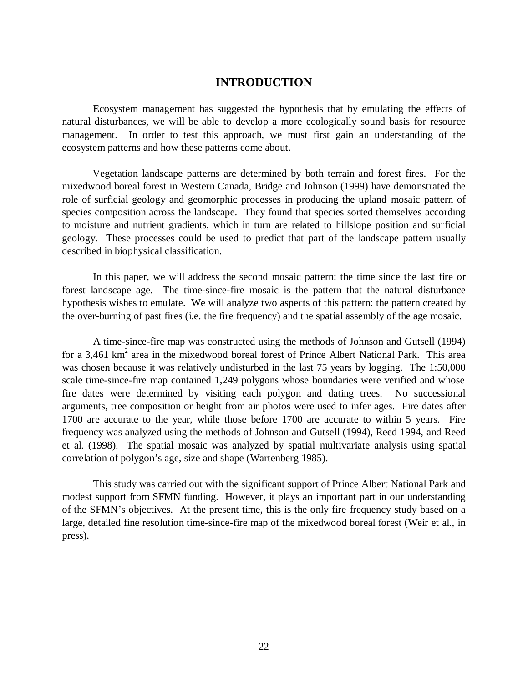#### **INTRODUCTION**

Ecosystem management has suggested the hypothesis that by emulating the effects of natural disturbances, we will be able to develop a more ecologically sound basis for resource management. In order to test this approach, we must first gain an understanding of the ecosystem patterns and how these patterns come about.

Vegetation landscape patterns are determined by both terrain and forest fires. For the mixedwood boreal forest in Western Canada, Bridge and Johnson (1999) have demonstrated the role of surficial geology and geomorphic processes in producing the upland mosaic pattern of species composition across the landscape. They found that species sorted themselves according to moisture and nutrient gradients, which in turn are related to hillslope position and surficial geology. These processes could be used to predict that part of the landscape pattern usually described in biophysical classification.

In this paper, we will address the second mosaic pattern: the time since the last fire or forest landscape age. The time-since-fire mosaic is the pattern that the natural disturbance hypothesis wishes to emulate. We will analyze two aspects of this pattern: the pattern created by the over-burning of past fires (i.e. the fire frequency) and the spatial assembly of the age mosaic.

A time-since-fire map was constructed using the methods of Johnson and Gutsell (1994) for a 3,461  $km^2$  area in the mixedwood boreal forest of Prince Albert National Park. This area was chosen because it was relatively undisturbed in the last 75 years by logging. The 1:50,000 scale time-since-fire map contained 1,249 polygons whose boundaries were verified and whose fire dates were determined by visiting each polygon and dating trees. No successional arguments, tree composition or height from air photos were used to infer ages. Fire dates after 1700 are accurate to the year, while those before 1700 are accurate to within 5 years. Fire frequency was analyzed using the methods of Johnson and Gutsell (1994), Reed 1994, and Reed et al. (1998). The spatial mosaic was analyzed by spatial multivariate analysis using spatial correlation of polygon's age, size and shape (Wartenberg 1985).

This study was carried out with the significant support of Prince Albert National Park and modest support from SFMN funding. However, it plays an important part in our understanding of the SFMN's objectives. At the present time, this is the only fire frequency study based on a large, detailed fine resolution time-since-fire map of the mixedwood boreal forest (Weir et al., in press).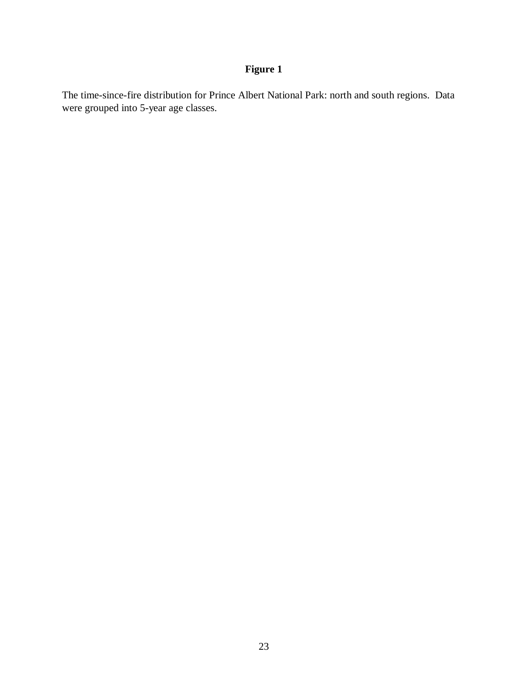The time-since-fire distribution for Prince Albert National Park: north and south regions. Data were grouped into 5-year age classes.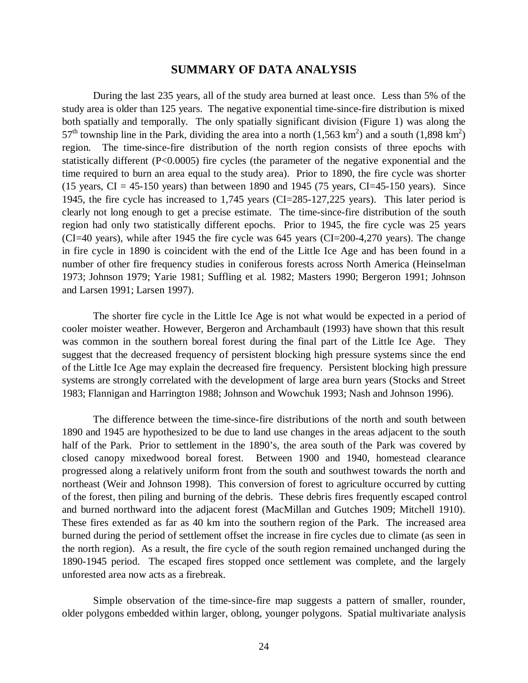#### **SUMMARY OF DATA ANALYSIS**

During the last 235 years, all of the study area burned at least once. Less than 5% of the study area is older than 125 years. The negative exponential time-since-fire distribution is mixed both spatially and temporally. The only spatially significant division (Figure 1) was along the 57<sup>th</sup> township line in the Park, dividing the area into a north  $(1,563 \text{ km}^2)$  and a south  $(1,898 \text{ km}^2)$ region. The time-since-fire distribution of the north region consists of three epochs with statistically different (P<0.0005) fire cycles (the parameter of the negative exponential and the time required to burn an area equal to the study area). Prior to 1890, the fire cycle was shorter (15 years,  $CI = 45-150$  years) than between 1890 and 1945 (75 years,  $CI = 45-150$  years). Since 1945, the fire cycle has increased to 1,745 years (CI=285-127,225 years). This later period is clearly not long enough to get a precise estimate. The time-since-fire distribution of the south region had only two statistically different epochs. Prior to 1945, the fire cycle was 25 years (CI=40 years), while after 1945 the fire cycle was 645 years (CI=200-4,270 years). The change in fire cycle in 1890 is coincident with the end of the Little Ice Age and has been found in a number of other fire frequency studies in coniferous forests across North America (Heinselman 1973; Johnson 1979; Yarie 1981; Suffling et al. 1982; Masters 1990; Bergeron 1991; Johnson and Larsen 1991; Larsen 1997).

The shorter fire cycle in the Little Ice Age is not what would be expected in a period of cooler moister weather. However, Bergeron and Archambault (1993) have shown that this result was common in the southern boreal forest during the final part of the Little Ice Age. They suggest that the decreased frequency of persistent blocking high pressure systems since the end of the Little Ice Age may explain the decreased fire frequency. Persistent blocking high pressure systems are strongly correlated with the development of large area burn years (Stocks and Street 1983; Flannigan and Harrington 1988; Johnson and Wowchuk 1993; Nash and Johnson 1996).

The difference between the time-since-fire distributions of the north and south between 1890 and 1945 are hypothesized to be due to land use changes in the areas adjacent to the south half of the Park. Prior to settlement in the 1890's, the area south of the Park was covered by closed canopy mixedwood boreal forest. Between 1900 and 1940, homestead clearance progressed along a relatively uniform front from the south and southwest towards the north and northeast (Weir and Johnson 1998). This conversion of forest to agriculture occurred by cutting of the forest, then piling and burning of the debris. These debris fires frequently escaped control and burned northward into the adjacent forest (MacMillan and Gutches 1909; Mitchell 1910). These fires extended as far as 40 km into the southern region of the Park. The increased area burned during the period of settlement offset the increase in fire cycles due to climate (as seen in the north region). As a result, the fire cycle of the south region remained unchanged during the 1890-1945 period. The escaped fires stopped once settlement was complete, and the largely unforested area now acts as a firebreak.

Simple observation of the time-since-fire map suggests a pattern of smaller, rounder, older polygons embedded within larger, oblong, younger polygons. Spatial multivariate analysis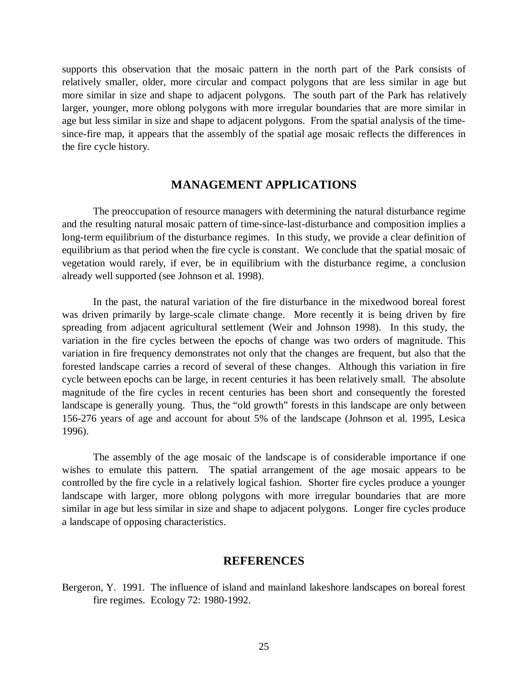supports this observation that the mosaic pattern in the north part of the Park consists of relatively smaller, older, more circular and compact polygons that are less similar in age but more similar in size and shape to adjacent polygons. The south part of the Park has relatively larger, younger, more oblong polygons with more irregular boundaries that are more similar in age but less similar in size and shape to adjacent polygons. From the spatial analysis of the timesince-fire map, it appears that the assembly of the spatial age mosaic reflects the differences in the fire cycle history.

#### **MANAGEMENT APPLICATIONS**

The preoccupation of resource managers with determining the natural disturbance regime and the resulting natural mosaic pattern of time-since-last-disturbance and composition implies a long-term equilibrium of the disturbance regimes. In this study, we provide a clear definition of equilibrium as that period when the fire cycle is constant. We conclude that the spatial mosaic of vegetation would rarely, if ever, be in equilibrium with the disturbance regime, a conclusion already well supported (see Johnson et al. 1998).

In the past, the natural variation of the fire disturbance in the mixedwood boreal forest was driven primarily by large-scale climate change. More recently it is being driven by fire spreading from adjacent agricultural settlement (Weir and Johnson 1998). In this study, the variation in the fire cycles between the epochs of change was two orders of magnitude. This variation in fire frequency demonstrates not only that the changes are frequent, but also that the forested landscape carries a record of several of these changes. Although this variation in fire cycle between epochs can be large, in recent centuries it has been relatively small. The absolute magnitude of the fire cycles in recent centuries has been short and consequently the forested landscape is generally young. Thus, the "old growth" forests in this landscape are only between 156-276 years of age and account for about 5% of the landscape (Johnson et al. 1995, Lesica 1996).

The assembly of the age mosaic of the landscape is of considerable importance if one wishes to emulate this pattern. The spatial arrangement of the age mosaic appears to be controlled by the fire cycle in a relatively logical fashion. Shorter fire cycles produce a younger landscape with larger, more oblong polygons with more irregular boundaries that are more similar in age but less similar in size and shape to adjacent polygons. Longer fire cycles produce a landscape of opposing characteristics.

#### **REFERENCES**

Bergeron, Y. 1991. The influence of island and mainland lakeshore landscapes on boreal forest fire regimes. Ecology 72: 1980-1992.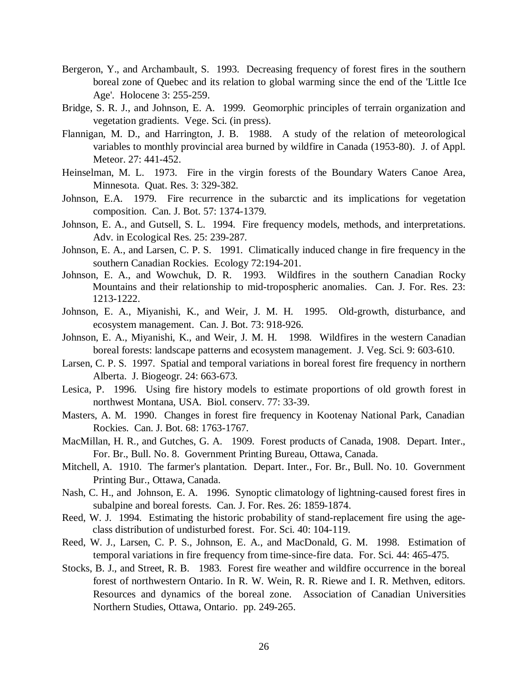- Bergeron, Y., and Archambault, S. 1993. Decreasing frequency of forest fires in the southern boreal zone of Quebec and its relation to global warming since the end of the 'Little Ice Age'. Holocene 3: 255-259.
- Bridge, S. R. J., and Johnson, E. A. 1999. Geomorphic principles of terrain organization and vegetation gradients. Vege. Sci. (in press).
- Flannigan, M. D., and Harrington, J. B. 1988. A study of the relation of meteorological variables to monthly provincial area burned by wildfire in Canada (1953-80). J. of Appl. Meteor. 27: 441-452.
- Heinselman, M. L. 1973. Fire in the virgin forests of the Boundary Waters Canoe Area, Minnesota. Quat. Res. 3: 329-382.
- Johnson, E.A. 1979. Fire recurrence in the subarctic and its implications for vegetation composition. Can. J. Bot. 57: 1374-1379.
- Johnson, E. A., and Gutsell, S. L. 1994. Fire frequency models, methods, and interpretations. Adv. in Ecological Res. 25: 239-287.
- Johnson, E. A., and Larsen, C. P. S. 1991. Climatically induced change in fire frequency in the southern Canadian Rockies. Ecology 72:194-201.
- Johnson, E. A., and Wowchuk, D. R. 1993. Wildfires in the southern Canadian Rocky Mountains and their relationship to mid-tropospheric anomalies. Can. J. For. Res. 23: 1213-1222.
- Johnson, E. A., Miyanishi, K., and Weir, J. M. H. 1995. Old-growth, disturbance, and ecosystem management. Can. J. Bot. 73: 918-926.
- Johnson, E. A., Miyanishi, K., and Weir, J. M. H. 1998. Wildfires in the western Canadian boreal forests: landscape patterns and ecosystem management. J. Veg. Sci. 9: 603-610.
- Larsen, C. P. S. 1997. Spatial and temporal variations in boreal forest fire frequency in northern Alberta. J. Biogeogr. 24: 663-673.
- Lesica, P. 1996. Using fire history models to estimate proportions of old growth forest in northwest Montana, USA. Biol. conserv. 77: 33-39.
- Masters, A. M. 1990. Changes in forest fire frequency in Kootenay National Park, Canadian Rockies. Can. J. Bot. 68: 1763-1767.
- MacMillan, H. R., and Gutches, G. A. 1909. Forest products of Canada, 1908. Depart. Inter., For. Br., Bull. No. 8. Government Printing Bureau, Ottawa, Canada.
- Mitchell, A. 1910. The farmer's plantation. Depart. Inter., For. Br., Bull. No. 10. Government Printing Bur., Ottawa, Canada.
- Nash, C. H., and Johnson, E. A. 1996. Synoptic climatology of lightning-caused forest fires in subalpine and boreal forests. Can. J. For. Res. 26: 1859-1874.
- Reed, W. J. 1994. Estimating the historic probability of stand-replacement fire using the ageclass distribution of undisturbed forest. For. Sci. 40: 104-119.
- Reed, W. J., Larsen, C. P. S., Johnson, E. A., and MacDonald, G. M. 1998. Estimation of temporal variations in fire frequency from time-since-fire data. For. Sci. 44: 465-475.
- Stocks, B. J., and Street, R. B. 1983. Forest fire weather and wildfire occurrence in the boreal forest of northwestern Ontario. In R. W. Wein, R. R. Riewe and I. R. Methven, editors. Resources and dynamics of the boreal zone. Association of Canadian Universities Northern Studies, Ottawa, Ontario. pp. 249-265.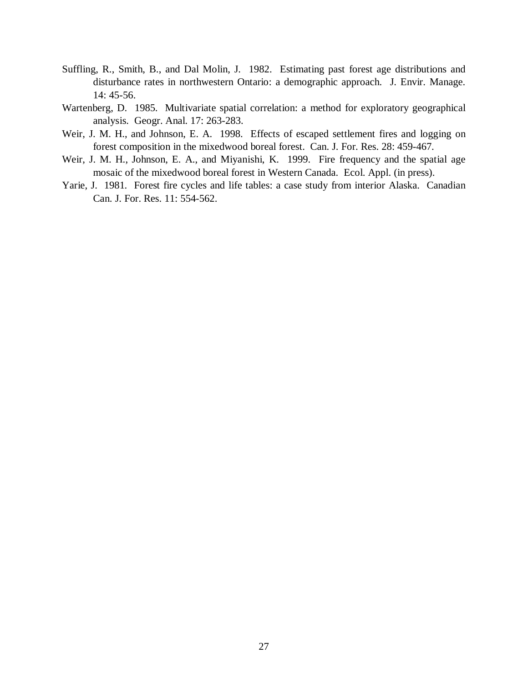- Suffling, R., Smith, B., and Dal Molin, J. 1982. Estimating past forest age distributions and disturbance rates in northwestern Ontario: a demographic approach. J. Envir. Manage. 14: 45-56.
- Wartenberg, D. 1985. Multivariate spatial correlation: a method for exploratory geographical analysis. Geogr. Anal. 17: 263-283.
- Weir, J. M. H., and Johnson, E. A. 1998. Effects of escaped settlement fires and logging on forest composition in the mixedwood boreal forest. Can. J. For. Res. 28: 459-467.
- Weir, J. M. H., Johnson, E. A., and Miyanishi, K. 1999. Fire frequency and the spatial age mosaic of the mixedwood boreal forest in Western Canada. Ecol. Appl. (in press).
- Yarie, J. 1981. Forest fire cycles and life tables: a case study from interior Alaska. Canadian Can. J. For. Res. 11: 554-562.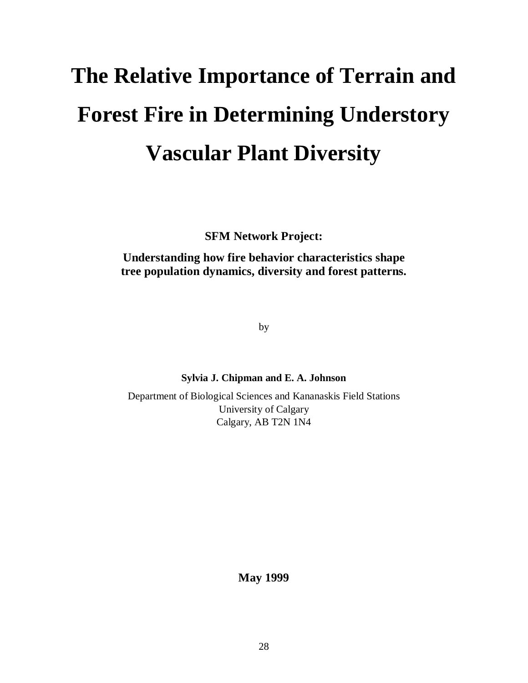# **The Relative Importance of Terrain and Forest Fire in Determining Understory Vascular Plant Diversity**

**SFM Network Project:**

**Understanding how fire behavior characteristics shape tree population dynamics, diversity and forest patterns.**

by

**Sylvia J. Chipman and E. A. Johnson**

Department of Biological Sciences and Kananaskis Field Stations University of Calgary Calgary, AB T2N 1N4

**May 1999**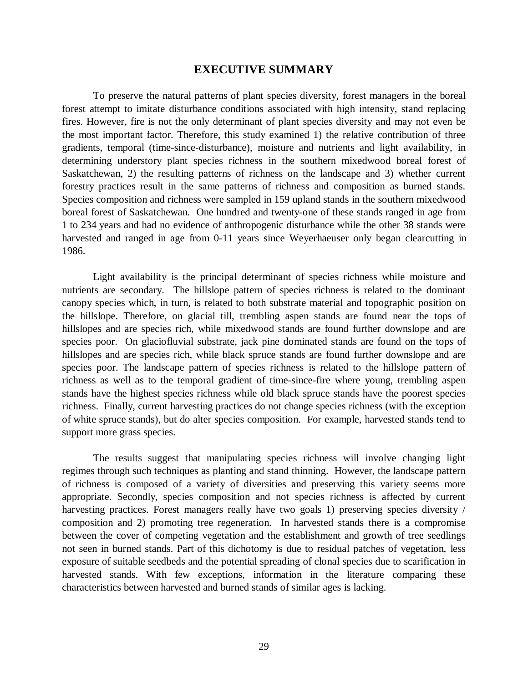#### **EXECUTIVE SUMMARY**

To preserve the natural patterns of plant species diversity, forest managers in the boreal forest attempt to imitate disturbance conditions associated with high intensity, stand replacing fires. However, fire is not the only determinant of plant species diversity and may not even be the most important factor. Therefore, this study examined 1) the relative contribution of three gradients, temporal (time-since-disturbance), moisture and nutrients and light availability, in determining understory plant species richness in the southern mixedwood boreal forest of Saskatchewan, 2) the resulting patterns of richness on the landscape and 3) whether current forestry practices result in the same patterns of richness and composition as burned stands. Species composition and richness were sampled in 159 upland stands in the southern mixedwood boreal forest of Saskatchewan. One hundred and twenty-one of these stands ranged in age from 1 to 234 years and had no evidence of anthropogenic disturbance while the other 38 stands were harvested and ranged in age from 0-11 years since Weyerhaeuser only began clearcutting in 1986.

Light availability is the principal determinant of species richness while moisture and nutrients are secondary. The hillslope pattern of species richness is related to the dominant canopy species which, in turn, is related to both substrate material and topographic position on the hillslope. Therefore, on glacial till, trembling aspen stands are found near the tops of hillslopes and are species rich, while mixedwood stands are found further downslope and are species poor. On glaciofluvial substrate, jack pine dominated stands are found on the tops of hillslopes and are species rich, while black spruce stands are found further downslope and are species poor. The landscape pattern of species richness is related to the hillslope pattern of richness as well as to the temporal gradient of time-since-fire where young, trembling aspen stands have the highest species richness while old black spruce stands have the poorest species richness. Finally, current harvesting practices do not change species richness (with the exception of white spruce stands), but do alter species composition. For example, harvested stands tend to support more grass species.

The results suggest that manipulating species richness will involve changing light regimes through such techniques as planting and stand thinning. However, the landscape pattern of richness is composed of a variety of diversities and preserving this variety seems more appropriate. Secondly, species composition and not species richness is affected by current harvesting practices. Forest managers really have two goals 1) preserving species diversity / composition and 2) promoting tree regeneration. In harvested stands there is a compromise between the cover of competing vegetation and the establishment and growth of tree seedlings not seen in burned stands. Part of this dichotomy is due to residual patches of vegetation, less exposure of suitable seedbeds and the potential spreading of clonal species due to scarification in harvested stands. With few exceptions, information in the literature comparing these characteristics between harvested and burned stands of similar ages is lacking.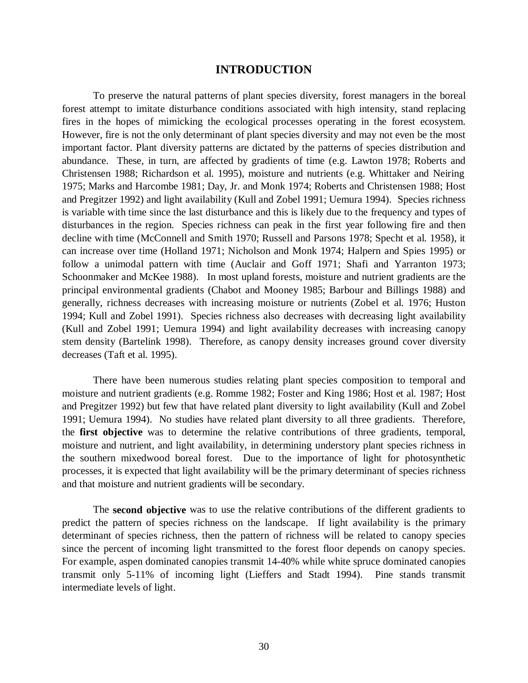#### **INTRODUCTION**

To preserve the natural patterns of plant species diversity, forest managers in the boreal forest attempt to imitate disturbance conditions associated with high intensity, stand replacing fires in the hopes of mimicking the ecological processes operating in the forest ecosystem. However, fire is not the only determinant of plant species diversity and may not even be the most important factor. Plant diversity patterns are dictated by the patterns of species distribution and abundance. These, in turn, are affected by gradients of time (e.g. Lawton 1978; Roberts and Christensen 1988; Richardson et al. 1995), moisture and nutrients (e.g. Whittaker and Neiring 1975; Marks and Harcombe 1981; Day, Jr. and Monk 1974; Roberts and Christensen 1988; Host and Pregitzer 1992) and light availability (Kull and Zobel 1991; Uemura 1994). Species richness is variable with time since the last disturbance and this is likely due to the frequency and types of disturbances in the region. Species richness can peak in the first year following fire and then decline with time (McConnell and Smith 1970; Russell and Parsons 1978; Specht et al. 1958), it can increase over time (Holland 1971; Nicholson and Monk 1974; Halpern and Spies 1995) or follow a unimodal pattern with time (Auclair and Goff 1971; Shafi and Yarranton 1973; Schoonmaker and McKee 1988). In most upland forests, moisture and nutrient gradients are the principal environmental gradients (Chabot and Mooney 1985; Barbour and Billings 1988) and generally, richness decreases with increasing moisture or nutrients (Zobel et al. 1976; Huston 1994; Kull and Zobel 1991). Species richness also decreases with decreasing light availability (Kull and Zobel 1991; Uemura 1994) and light availability decreases with increasing canopy stem density (Bartelink 1998). Therefore, as canopy density increases ground cover diversity decreases (Taft et al. 1995).

There have been numerous studies relating plant species composition to temporal and moisture and nutrient gradients (e.g. Romme 1982; Foster and King 1986; Host et al. 1987; Host and Pregitzer 1992) but few that have related plant diversity to light availability (Kull and Zobel 1991; Uemura 1994). No studies have related plant diversity to all three gradients. Therefore, the **first objective** was to determine the relative contributions of three gradients, temporal, moisture and nutrient, and light availability, in determining understory plant species richness in the southern mixedwood boreal forest. Due to the importance of light for photosynthetic processes, it is expected that light availability will be the primary determinant of species richness and that moisture and nutrient gradients will be secondary.

The **second objective** was to use the relative contributions of the different gradients to predict the pattern of species richness on the landscape. If light availability is the primary determinant of species richness, then the pattern of richness will be related to canopy species since the percent of incoming light transmitted to the forest floor depends on canopy species. For example, aspen dominated canopies transmit 14-40% while white spruce dominated canopies transmit only 5-11% of incoming light (Lieffers and Stadt 1994). Pine stands transmit intermediate levels of light.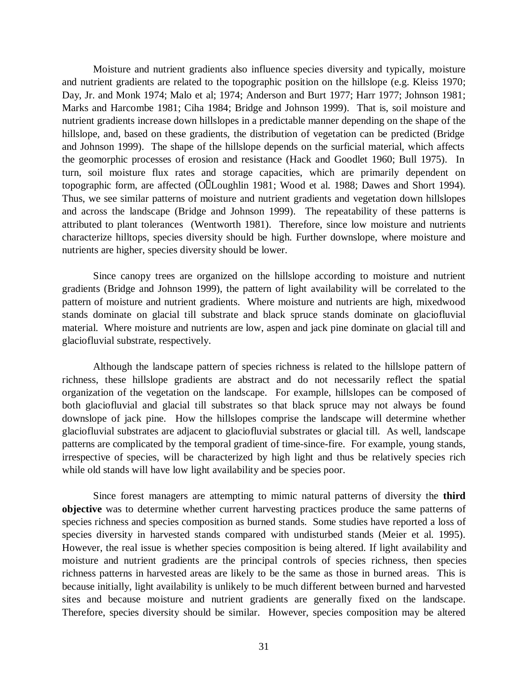Moisture and nutrient gradients also influence species diversity and typically, moisture and nutrient gradients are related to the topographic position on the hillslope (e.g. Kleiss 1970; Day, Jr. and Monk 1974; Malo et al; 1974; Anderson and Burt 1977; Harr 1977; Johnson 1981; Marks and Harcombe 1981; Ciha 1984; Bridge and Johnson 1999). That is, soil moisture and nutrient gradients increase down hillslopes in a predictable manner depending on the shape of the hillslope, and, based on these gradients, the distribution of vegetation can be predicted (Bridge and Johnson 1999). The shape of the hillslope depends on the surficial material, which affects the geomorphic processes of erosion and resistance (Hack and Goodlet 1960; Bull 1975). In turn, soil moisture flux rates and storage capacities, which are primarily dependent on topographic form, are affected (OllLoughlin 1981; Wood et al. 1988; Dawes and Short 1994). Thus, we see similar patterns of moisture and nutrient gradients and vegetation down hillslopes and across the landscape (Bridge and Johnson 1999). The repeatability of these patterns is attributed to plant tolerances (Wentworth 1981). Therefore, since low moisture and nutrients characterize hilltops, species diversity should be high. Further downslope, where moisture and nutrients are higher, species diversity should be lower.

Since canopy trees are organized on the hillslope according to moisture and nutrient gradients (Bridge and Johnson 1999), the pattern of light availability will be correlated to the pattern of moisture and nutrient gradients. Where moisture and nutrients are high, mixedwood stands dominate on glacial till substrate and black spruce stands dominate on glaciofluvial material. Where moisture and nutrients are low, aspen and jack pine dominate on glacial till and glaciofluvial substrate, respectively.

Although the landscape pattern of species richness is related to the hillslope pattern of richness, these hillslope gradients are abstract and do not necessarily reflect the spatial organization of the vegetation on the landscape. For example, hillslopes can be composed of both glaciofluvial and glacial till substrates so that black spruce may not always be found downslope of jack pine. How the hillslopes comprise the landscape will determine whether glaciofluvial substrates are adjacent to glaciofluvial substrates or glacial till. As well, landscape patterns are complicated by the temporal gradient of time-since-fire. For example, young stands, irrespective of species, will be characterized by high light and thus be relatively species rich while old stands will have low light availability and be species poor.

Since forest managers are attempting to mimic natural patterns of diversity the **third objective** was to determine whether current harvesting practices produce the same patterns of species richness and species composition as burned stands. Some studies have reported a loss of species diversity in harvested stands compared with undisturbed stands (Meier et al. 1995). However, the real issue is whether species composition is being altered. If light availability and moisture and nutrient gradients are the principal controls of species richness, then species richness patterns in harvested areas are likely to be the same as those in burned areas. This is because initially, light availability is unlikely to be much different between burned and harvested sites and because moisture and nutrient gradients are generally fixed on the landscape. Therefore, species diversity should be similar. However, species composition may be altered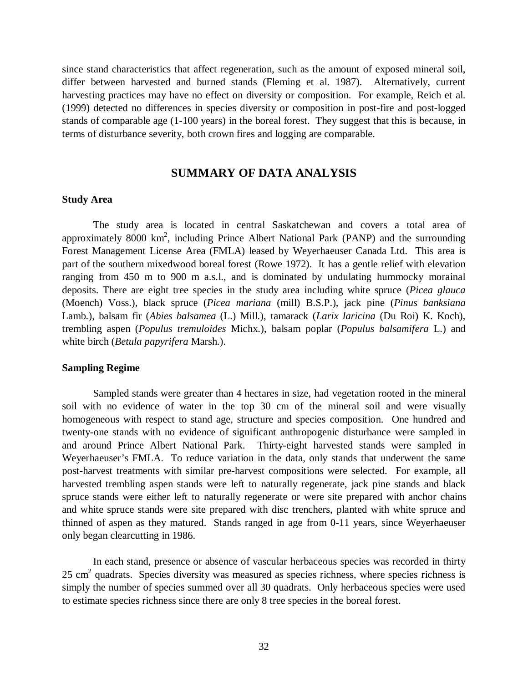since stand characteristics that affect regeneration, such as the amount of exposed mineral soil, differ between harvested and burned stands (Fleming et al. 1987). Alternatively, current harvesting practices may have no effect on diversity or composition. For example, Reich et al. (1999) detected no differences in species diversity or composition in post-fire and post-logged stands of comparable age (1-100 years) in the boreal forest. They suggest that this is because, in terms of disturbance severity, both crown fires and logging are comparable.

#### **SUMMARY OF DATA ANALYSIS**

#### **Study Area**

The study area is located in central Saskatchewan and covers a total area of approximately 8000  $km^2$ , including Prince Albert National Park (PANP) and the surrounding Forest Management License Area (FMLA) leased by Weyerhaeuser Canada Ltd. This area is part of the southern mixedwood boreal forest (Rowe 1972). It has a gentle relief with elevation ranging from 450 m to 900 m a.s.l., and is dominated by undulating hummocky morainal deposits. There are eight tree species in the study area including white spruce (*Picea glauca* (Moench) Voss.), black spruce (*Picea mariana* (mill) B.S.P.), jack pine (*Pinus banksiana* Lamb.), balsam fir (*Abies balsamea* (L.) Mill.), tamarack (*Larix laricina* (Du Roi) K. Koch), trembling aspen (*Populus tremuloides* Michx.), balsam poplar (*Populus balsamifera* L.) and white birch (*Betula papyrifera* Marsh.).

#### **Sampling Regime**

Sampled stands were greater than 4 hectares in size, had vegetation rooted in the mineral soil with no evidence of water in the top 30 cm of the mineral soil and were visually homogeneous with respect to stand age, structure and species composition. One hundred and twenty-one stands with no evidence of significant anthropogenic disturbance were sampled in and around Prince Albert National Park. Thirty-eight harvested stands were sampled in Weyerhaeuser's FMLA. To reduce variation in the data, only stands that underwent the same post-harvest treatments with similar pre-harvest compositions were selected. For example, all harvested trembling aspen stands were left to naturally regenerate, jack pine stands and black spruce stands were either left to naturally regenerate or were site prepared with anchor chains and white spruce stands were site prepared with disc trenchers, planted with white spruce and thinned of aspen as they matured. Stands ranged in age from 0-11 years, since Weyerhaeuser only began clearcutting in 1986.

In each stand, presence or absence of vascular herbaceous species was recorded in thirty  $25 \text{ cm}^2$  quadrats. Species diversity was measured as species richness, where species richness is simply the number of species summed over all 30 quadrats. Only herbaceous species were used to estimate species richness since there are only 8 tree species in the boreal forest.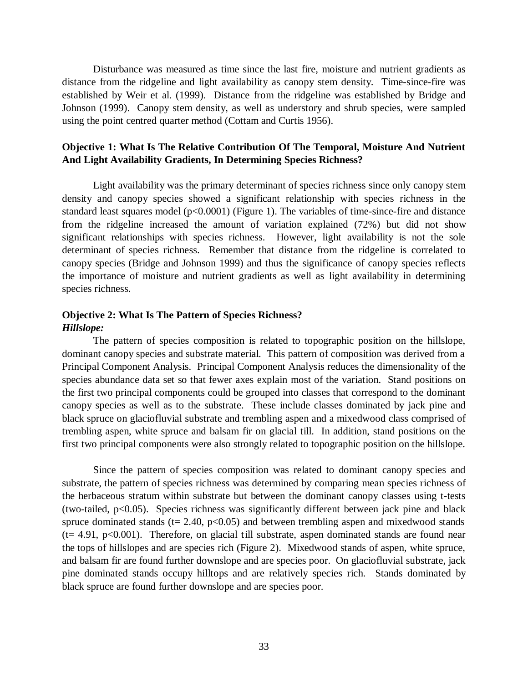Disturbance was measured as time since the last fire, moisture and nutrient gradients as distance from the ridgeline and light availability as canopy stem density. Time-since-fire was established by Weir et al. (1999). Distance from the ridgeline was established by Bridge and Johnson (1999). Canopy stem density, as well as understory and shrub species, were sampled using the point centred quarter method (Cottam and Curtis 1956).

#### **Objective 1: What Is The Relative Contribution Of The Temporal, Moisture And Nutrient And Light Availability Gradients, In Determining Species Richness?**

Light availability was the primary determinant of species richness since only canopy stem density and canopy species showed a significant relationship with species richness in the standard least squares model (p<0.0001) (Figure 1). The variables of time-since-fire and distance from the ridgeline increased the amount of variation explained (72%) but did not show significant relationships with species richness. However, light availability is not the sole determinant of species richness. Remember that distance from the ridgeline is correlated to canopy species (Bridge and Johnson 1999) and thus the significance of canopy species reflects the importance of moisture and nutrient gradients as well as light availability in determining species richness.

#### **Objective 2: What Is The Pattern of Species Richness?** *Hillslope:*

The pattern of species composition is related to topographic position on the hillslope, dominant canopy species and substrate material. This pattern of composition was derived from a Principal Component Analysis. Principal Component Analysis reduces the dimensionality of the species abundance data set so that fewer axes explain most of the variation. Stand positions on the first two principal components could be grouped into classes that correspond to the dominant canopy species as well as to the substrate. These include classes dominated by jack pine and black spruce on glaciofluvial substrate and trembling aspen and a mixedwood class comprised of trembling aspen, white spruce and balsam fir on glacial till. In addition, stand positions on the first two principal components were also strongly related to topographic position on the hillslope.

Since the pattern of species composition was related to dominant canopy species and substrate, the pattern of species richness was determined by comparing mean species richness of the herbaceous stratum within substrate but between the dominant canopy classes using t-tests (two-tailed, p<0.05). Species richness was significantly different between jack pine and black spruce dominated stands ( $t = 2.40$ ,  $p < 0.05$ ) and between trembling aspen and mixedwood stands  $(t= 4.91, p<0.001)$ . Therefore, on glacial till substrate, aspen dominated stands are found near the tops of hillslopes and are species rich (Figure 2). Mixedwood stands of aspen, white spruce, and balsam fir are found further downslope and are species poor. On glaciofluvial substrate, jack pine dominated stands occupy hilltops and are relatively species rich. Stands dominated by black spruce are found further downslope and are species poor.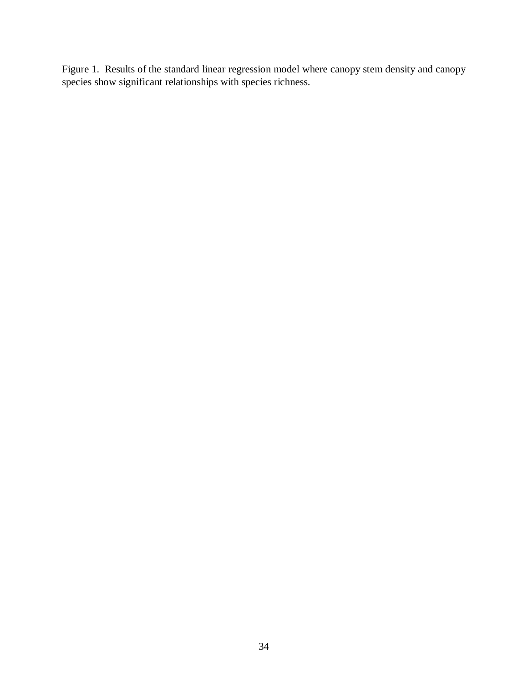Figure 1. Results of the standard linear regression model where canopy stem density and canopy species show significant relationships with species richness.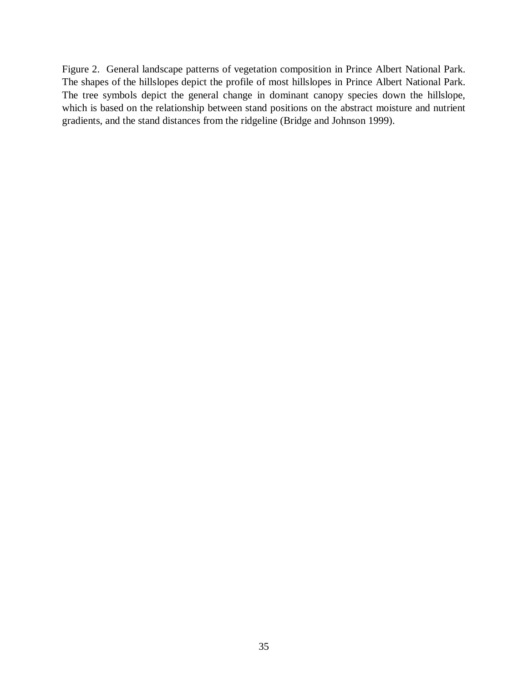Figure 2. General landscape patterns of vegetation composition in Prince Albert National Park. The shapes of the hillslopes depict the profile of most hillslopes in Prince Albert National Park. The tree symbols depict the general change in dominant canopy species down the hillslope, which is based on the relationship between stand positions on the abstract moisture and nutrient gradients, and the stand distances from the ridgeline (Bridge and Johnson 1999).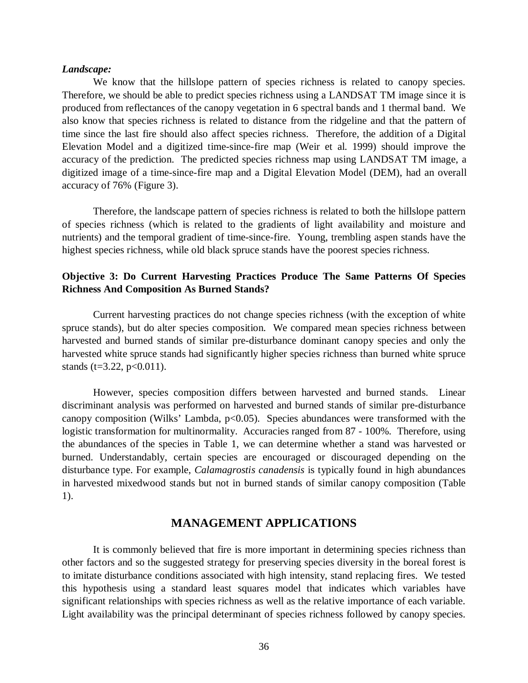#### *Landscape:*

We know that the hillslope pattern of species richness is related to canopy species. Therefore, we should be able to predict species richness using a LANDSAT TM image since it is produced from reflectances of the canopy vegetation in 6 spectral bands and 1 thermal band. We also know that species richness is related to distance from the ridgeline and that the pattern of time since the last fire should also affect species richness. Therefore, the addition of a Digital Elevation Model and a digitized time-since-fire map (Weir et al. 1999) should improve the accuracy of the prediction. The predicted species richness map using LANDSAT TM image, a digitized image of a time-since-fire map and a Digital Elevation Model (DEM), had an overall accuracy of 76% (Figure 3).

Therefore, the landscape pattern of species richness is related to both the hillslope pattern of species richness (which is related to the gradients of light availability and moisture and nutrients) and the temporal gradient of time-since-fire. Young, trembling aspen stands have the highest species richness, while old black spruce stands have the poorest species richness.

# **Objective 3: Do Current Harvesting Practices Produce The Same Patterns Of Species Richness And Composition As Burned Stands?**

Current harvesting practices do not change species richness (with the exception of white spruce stands), but do alter species composition. We compared mean species richness between harvested and burned stands of similar pre-disturbance dominant canopy species and only the harvested white spruce stands had significantly higher species richness than burned white spruce stands (t=3.22, p<0.011).

However, species composition differs between harvested and burned stands. Linear discriminant analysis was performed on harvested and burned stands of similar pre-disturbance canopy composition (Wilks' Lambda,  $p<0.05$ ). Species abundances were transformed with the logistic transformation for multinormality. Accuracies ranged from 87 - 100%. Therefore, using the abundances of the species in Table 1, we can determine whether a stand was harvested or burned. Understandably, certain species are encouraged or discouraged depending on the disturbance type. For example, *Calamagrostis canadensis* is typically found in high abundances in harvested mixedwood stands but not in burned stands of similar canopy composition (Table 1).

# **MANAGEMENT APPLICATIONS**

It is commonly believed that fire is more important in determining species richness than other factors and so the suggested strategy for preserving species diversity in the boreal forest is to imitate disturbance conditions associated with high intensity, stand replacing fires. We tested this hypothesis using a standard least squares model that indicates which variables have significant relationships with species richness as well as the relative importance of each variable. Light availability was the principal determinant of species richness followed by canopy species.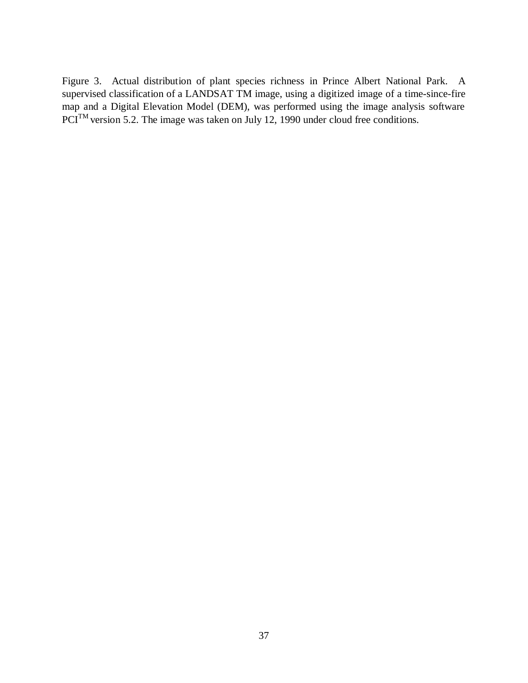Figure 3. Actual distribution of plant species richness in Prince Albert National Park. A supervised classification of a LANDSAT TM image, using a digitized image of a time-since-fire map and a Digital Elevation Model (DEM), was performed using the image analysis software PCI<sup>TM</sup> version 5.2. The image was taken on July 12, 1990 under cloud free conditions.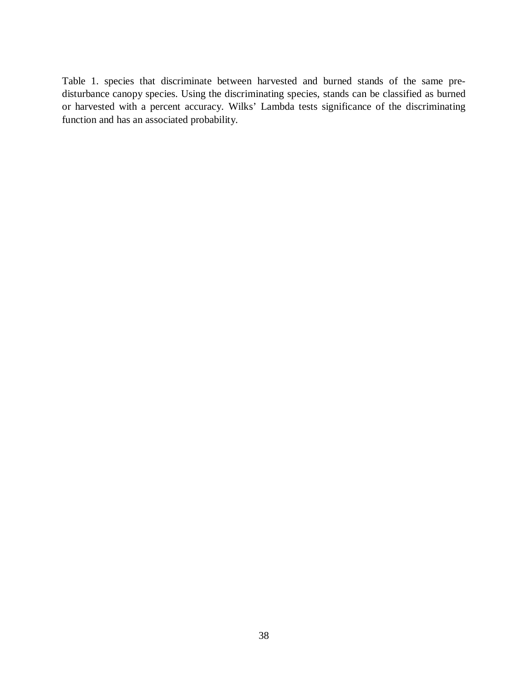Table 1. species that discriminate between harvested and burned stands of the same predisturbance canopy species. Using the discriminating species, stands can be classified as burned or harvested with a percent accuracy. Wilks' Lambda tests significance of the discriminating function and has an associated probability.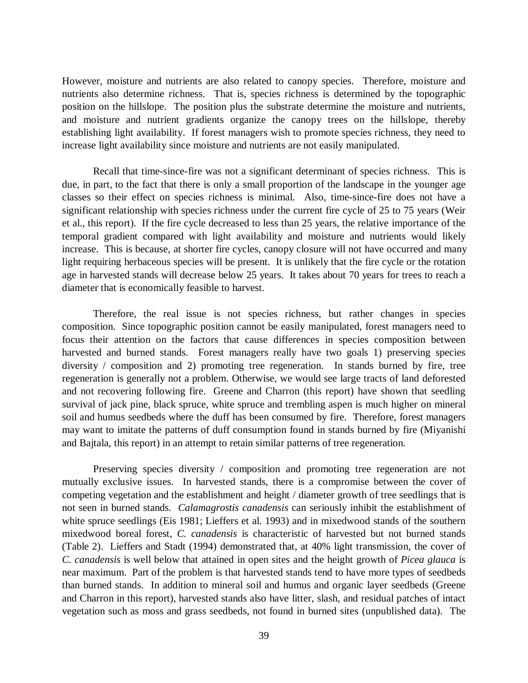However, moisture and nutrients are also related to canopy species. Therefore, moisture and nutrients also determine richness. That is, species richness is determined by the topographic position on the hillslope. The position plus the substrate determine the moisture and nutrients, and moisture and nutrient gradients organize the canopy trees on the hillslope, thereby establishing light availability. If forest managers wish to promote species richness, they need to increase light availability since moisture and nutrients are not easily manipulated.

Recall that time-since-fire was not a significant determinant of species richness. This is due, in part, to the fact that there is only a small proportion of the landscape in the younger age classes so their effect on species richness is minimal. Also, time-since-fire does not have a significant relationship with species richness under the current fire cycle of 25 to 75 years (Weir et al., this report). If the fire cycle decreased to less than 25 years, the relative importance of the temporal gradient compared with light availability and moisture and nutrients would likely increase. This is because, at shorter fire cycles, canopy closure will not have occurred and many light requiring herbaceous species will be present. It is unlikely that the fire cycle or the rotation age in harvested stands will decrease below 25 years. It takes about 70 years for trees to reach a diameter that is economically feasible to harvest.

Therefore, the real issue is not species richness, but rather changes in species composition. Since topographic position cannot be easily manipulated, forest managers need to focus their attention on the factors that cause differences in species composition between harvested and burned stands. Forest managers really have two goals 1) preserving species diversity / composition and 2) promoting tree regeneration. In stands burned by fire, tree regeneration is generally not a problem. Otherwise, we would see large tracts of land deforested and not recovering following fire. Greene and Charron (this report) have shown that seedling survival of jack pine, black spruce, white spruce and trembling aspen is much higher on mineral soil and humus seedbeds where the duff has been consumed by fire. Therefore, forest managers may want to imitate the patterns of duff consumption found in stands burned by fire (Miyanishi and Bajtala, this report) in an attempt to retain similar patterns of tree regeneration.

Preserving species diversity / composition and promoting tree regeneration are not mutually exclusive issues. In harvested stands, there is a compromise between the cover of competing vegetation and the establishment and height / diameter growth of tree seedlings that is not seen in burned stands. *Calamagrostis canadensis* can seriously inhibit the establishment of white spruce seedlings (Eis 1981; Lieffers et al. 1993) and in mixedwood stands of the southern mixedwood boreal forest, *C. canadensis* is characteristic of harvested but not burned stands (Table 2). Lieffers and Stadt (1994) demonstrated that, at 40% light transmission, the cover of *C. canadensis* is well below that attained in open sites and the height growth of *Picea glauca* is near maximum. Part of the problem is that harvested stands tend to have more types of seedbeds than burned stands. In addition to mineral soil and humus and organic layer seedbeds (Greene and Charron in this report), harvested stands also have litter, slash, and residual patches of intact vegetation such as moss and grass seedbeds, not found in burned sites (unpublished data). The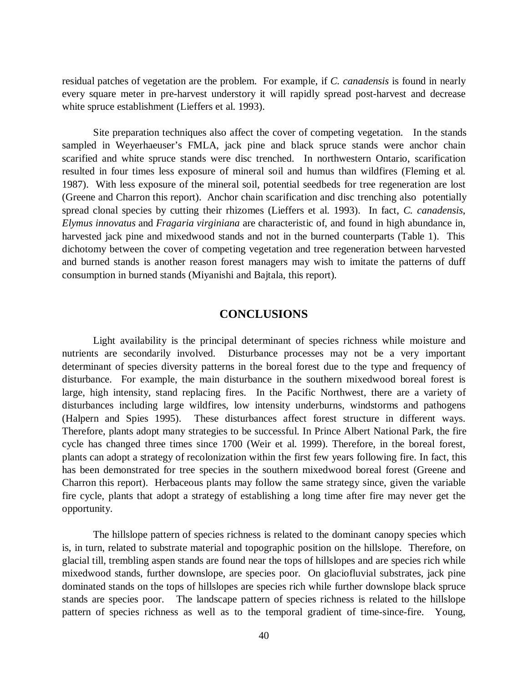residual patches of vegetation are the problem. For example, if *C. canadensis* is found in nearly every square meter in pre-harvest understory it will rapidly spread post-harvest and decrease white spruce establishment (Lieffers et al. 1993).

Site preparation techniques also affect the cover of competing vegetation. In the stands sampled in Weyerhaeuser's FMLA, jack pine and black spruce stands were anchor chain scarified and white spruce stands were disc trenched. In northwestern Ontario, scarification resulted in four times less exposure of mineral soil and humus than wildfires (Fleming et al. 1987). With less exposure of the mineral soil, potential seedbeds for tree regeneration are lost (Greene and Charron this report). Anchor chain scarification and disc trenching also potentially spread clonal species by cutting their rhizomes (Lieffers et al. 1993). In fact, *C. canadensis*, *Elymus innovatus* and *Fragaria virginiana* are characteristic of, and found in high abundance in, harvested jack pine and mixedwood stands and not in the burned counterparts (Table 1). This dichotomy between the cover of competing vegetation and tree regeneration between harvested and burned stands is another reason forest managers may wish to imitate the patterns of duff consumption in burned stands (Miyanishi and Bajtala, this report).

# **CONCLUSIONS**

Light availability is the principal determinant of species richness while moisture and nutrients are secondarily involved. Disturbance processes may not be a very important determinant of species diversity patterns in the boreal forest due to the type and frequency of disturbance. For example, the main disturbance in the southern mixedwood boreal forest is large, high intensity, stand replacing fires. In the Pacific Northwest, there are a variety of disturbances including large wildfires, low intensity underburns, windstorms and pathogens (Halpern and Spies 1995). These disturbances affect forest structure in different ways. Therefore, plants adopt many strategies to be successful. In Prince Albert National Park, the fire cycle has changed three times since 1700 (Weir et al. 1999). Therefore, in the boreal forest, plants can adopt a strategy of recolonization within the first few years following fire. In fact, this has been demonstrated for tree species in the southern mixedwood boreal forest (Greene and Charron this report). Herbaceous plants may follow the same strategy since, given the variable fire cycle, plants that adopt a strategy of establishing a long time after fire may never get the opportunity.

The hillslope pattern of species richness is related to the dominant canopy species which is, in turn, related to substrate material and topographic position on the hillslope. Therefore, on glacial till, trembling aspen stands are found near the tops of hillslopes and are species rich while mixedwood stands, further downslope, are species poor. On glaciofluvial substrates, jack pine dominated stands on the tops of hillslopes are species rich while further downslope black spruce stands are species poor. The landscape pattern of species richness is related to the hillslope pattern of species richness as well as to the temporal gradient of time-since-fire. Young,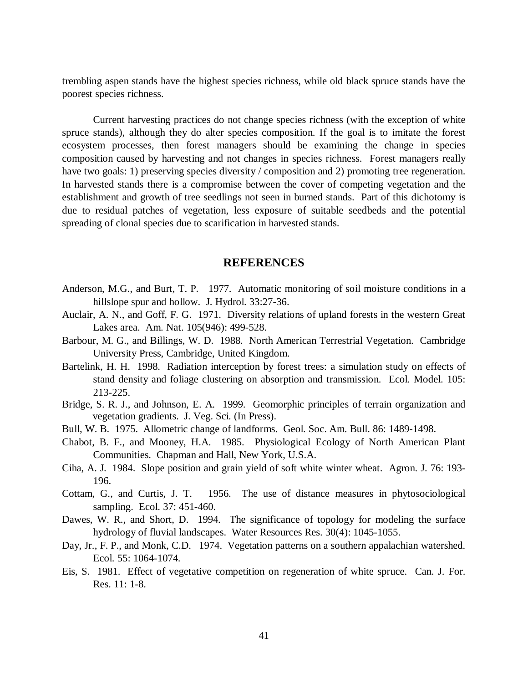trembling aspen stands have the highest species richness, while old black spruce stands have the poorest species richness.

Current harvesting practices do not change species richness (with the exception of white spruce stands), although they do alter species composition. If the goal is to imitate the forest ecosystem processes, then forest managers should be examining the change in species composition caused by harvesting and not changes in species richness. Forest managers really have two goals: 1) preserving species diversity / composition and 2) promoting tree regeneration. In harvested stands there is a compromise between the cover of competing vegetation and the establishment and growth of tree seedlings not seen in burned stands. Part of this dichotomy is due to residual patches of vegetation, less exposure of suitable seedbeds and the potential spreading of clonal species due to scarification in harvested stands.

# **REFERENCES**

- Anderson, M.G., and Burt, T. P. 1977. Automatic monitoring of soil moisture conditions in a hillslope spur and hollow. J. Hydrol. 33:27-36.
- Auclair, A. N., and Goff, F. G. 1971. Diversity relations of upland forests in the western Great Lakes area. Am. Nat. 105(946): 499-528.
- Barbour, M. G., and Billings, W. D. 1988. North American Terrestrial Vegetation. Cambridge University Press, Cambridge, United Kingdom.
- Bartelink, H. H. 1998. Radiation interception by forest trees: a simulation study on effects of stand density and foliage clustering on absorption and transmission. Ecol. Model. 105: 213-225.
- Bridge, S. R. J., and Johnson, E. A. 1999. Geomorphic principles of terrain organization and vegetation gradients. J. Veg. Sci. (In Press).
- Bull, W. B. 1975. Allometric change of landforms. Geol. Soc. Am. Bull. 86: 1489-1498.
- Chabot, B. F., and Mooney, H.A. 1985. Physiological Ecology of North American Plant Communities. Chapman and Hall, New York, U.S.A.
- Ciha, A. J. 1984. Slope position and grain yield of soft white winter wheat. Agron. J. 76: 193- 196.
- Cottam, G., and Curtis, J. T. 1956. The use of distance measures in phytosociological sampling. Ecol. 37: 451-460.
- Dawes, W. R., and Short, D. 1994. The significance of topology for modeling the surface hydrology of fluvial landscapes. Water Resources Res. 30(4): 1045-1055.
- Day, Jr., F. P., and Monk, C.D. 1974. Vegetation patterns on a southern appalachian watershed. Ecol. 55: 1064-1074.
- Eis, S. 1981. Effect of vegetative competition on regeneration of white spruce. Can. J. For. Res. 11: 1-8.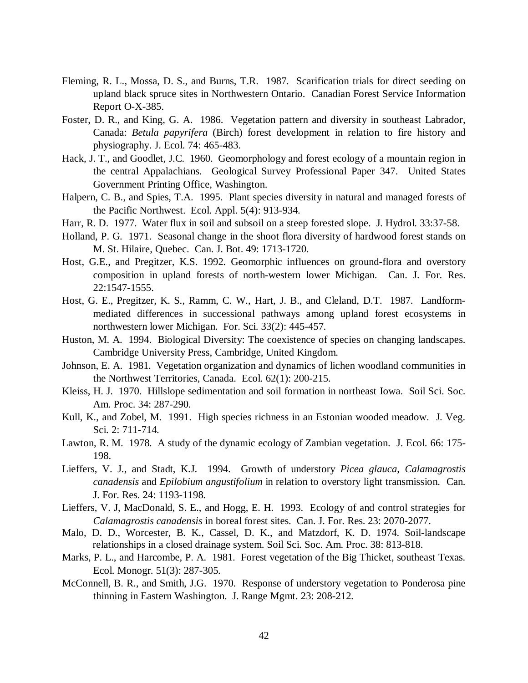- Fleming, R. L., Mossa, D. S., and Burns, T.R. 1987. Scarification trials for direct seeding on upland black spruce sites in Northwestern Ontario. Canadian Forest Service Information Report O-X-385.
- Foster, D. R., and King, G. A. 1986. Vegetation pattern and diversity in southeast Labrador, Canada: *Betula papyrifera* (Birch) forest development in relation to fire history and physiography. J. Ecol. 74: 465-483.
- Hack, J. T., and Goodlet, J.C. 1960. Geomorphology and forest ecology of a mountain region in the central Appalachians. Geological Survey Professional Paper 347. United States Government Printing Office, Washington.
- Halpern, C. B., and Spies, T.A. 1995. Plant species diversity in natural and managed forests of the Pacific Northwest. Ecol. Appl. 5(4): 913-934.
- Harr, R. D. 1977. Water flux in soil and subsoil on a steep forested slope. J. Hydrol. 33:37-58.
- Holland, P. G. 1971. Seasonal change in the shoot flora diversity of hardwood forest stands on M. St. Hilaire, Quebec. Can. J. Bot. 49: 1713-1720.
- Host, G.E., and Pregitzer, K.S. 1992. Geomorphic influences on ground-flora and overstory composition in upland forests of north-western lower Michigan. Can. J. For. Res. 22:1547-1555.
- Host, G. E., Pregitzer, K. S., Ramm, C. W., Hart, J. B., and Cleland, D.T. 1987. Landformmediated differences in successional pathways among upland forest ecosystems in northwestern lower Michigan. For. Sci. 33(2): 445-457.
- Huston, M. A. 1994. Biological Diversity: The coexistence of species on changing landscapes. Cambridge University Press, Cambridge, United Kingdom.
- Johnson, E. A. 1981. Vegetation organization and dynamics of lichen woodland communities in the Northwest Territories, Canada. Ecol. 62(1): 200-215.
- Kleiss, H. J. 1970. Hillslope sedimentation and soil formation in northeast Iowa. Soil Sci. Soc. Am. Proc. 34: 287-290.
- Kull, K., and Zobel, M. 1991. High species richness in an Estonian wooded meadow. J. Veg. Sci. 2: 711-714.
- Lawton, R. M. 1978. A study of the dynamic ecology of Zambian vegetation. J. Ecol. 66: 175- 198.
- Lieffers, V. J., and Stadt, K.J. 1994. Growth of understory *Picea glauca*, *Calamagrostis canadensis* and *Epilobium angustifolium* in relation to overstory light transmission. Can. J. For. Res. 24: 1193-1198.
- Lieffers, V. J, MacDonald, S. E., and Hogg, E. H. 1993. Ecology of and control strategies for *Calamagrostis canadensis* in boreal forest sites. Can. J. For. Res. 23: 2070-2077.
- Malo, D. D., Worcester, B. K., Cassel, D. K., and Matzdorf, K. D. 1974. Soil-landscape relationships in a closed drainage system. Soil Sci. Soc. Am. Proc. 38: 813-818.
- Marks, P. L., and Harcombe, P. A. 1981. Forest vegetation of the Big Thicket, southeast Texas. Ecol. Monogr. 51(3): 287-305.
- McConnell, B. R., and Smith, J.G. 1970. Response of understory vegetation to Ponderosa pine thinning in Eastern Washington. J. Range Mgmt. 23: 208-212.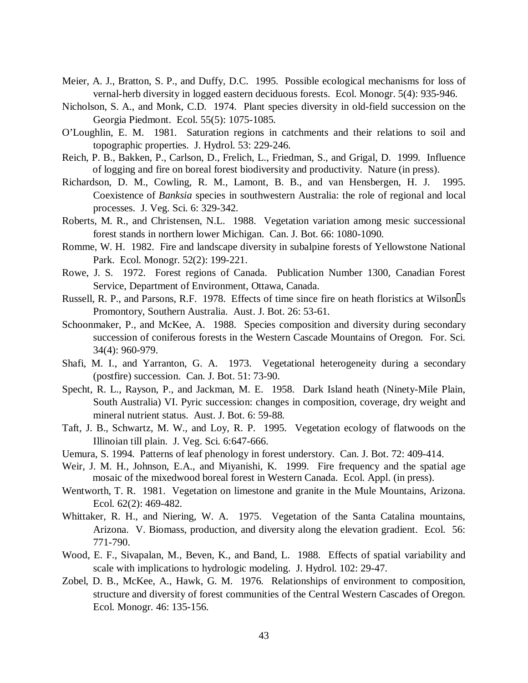- Meier, A. J., Bratton, S. P., and Duffy, D.C. 1995. Possible ecological mechanisms for loss of vernal-herb diversity in logged eastern deciduous forests. Ecol. Monogr. 5(4): 935-946.
- Nicholson, S. A., and Monk, C.D. 1974. Plant species diversity in old-field succession on the Georgia Piedmont. Ecol. 55(5): 1075-1085.
- O'Loughlin, E. M. 1981. Saturation regions in catchments and their relations to soil and topographic properties. J. Hydrol. 53: 229-246.
- Reich, P. B., Bakken, P., Carlson, D., Frelich, L., Friedman, S., and Grigal, D. 1999. Influence of logging and fire on boreal forest biodiversity and productivity. Nature (in press).
- Richardson, D. M., Cowling, R. M., Lamont, B. B., and van Hensbergen, H. J. 1995. Coexistence of *Banksia* species in southwestern Australia: the role of regional and local processes. J. Veg. Sci. 6: 329-342.
- Roberts, M. R., and Christensen, N.L. 1988. Vegetation variation among mesic successional forest stands in northern lower Michigan. Can. J. Bot. 66: 1080-1090.
- Romme, W. H. 1982. Fire and landscape diversity in subalpine forests of Yellowstone National Park. Ecol. Monogr. 52(2): 199-221.
- Rowe, J. S. 1972. Forest regions of Canada. Publication Number 1300, Canadian Forest Service, Department of Environment, Ottawa, Canada.
- Russell, R. P., and Parsons, R.F. 1978. Effects of time since fire on heath floristics at Wilson<sup>[]</sup>s Promontory, Southern Australia. Aust. J. Bot. 26: 53-61.
- Schoonmaker, P., and McKee, A. 1988. Species composition and diversity during secondary succession of coniferous forests in the Western Cascade Mountains of Oregon. For. Sci. 34(4): 960-979.
- Shafi, M. I., and Yarranton, G. A. 1973. Vegetational heterogeneity during a secondary (postfire) succession. Can. J. Bot. 51: 73-90.
- Specht, R. L., Rayson, P., and Jackman, M. E. 1958. Dark Island heath (Ninety-Mile Plain, South Australia) VI. Pyric succession: changes in composition, coverage, dry weight and mineral nutrient status. Aust. J. Bot. 6: 59-88.
- Taft, J. B., Schwartz, M. W., and Loy, R. P. 1995. Vegetation ecology of flatwoods on the Illinoian till plain. J. Veg. Sci. 6:647-666.
- Uemura, S. 1994. Patterns of leaf phenology in forest understory. Can. J. Bot. 72: 409-414.
- Weir, J. M. H., Johnson, E.A., and Miyanishi, K. 1999. Fire frequency and the spatial age mosaic of the mixedwood boreal forest in Western Canada. Ecol. Appl. (in press).
- Wentworth, T. R. 1981. Vegetation on limestone and granite in the Mule Mountains, Arizona. Ecol. 62(2): 469-482.
- Whittaker, R. H., and Niering, W. A. 1975. Vegetation of the Santa Catalina mountains, Arizona. V. Biomass, production, and diversity along the elevation gradient. Ecol. 56: 771-790.
- Wood, E. F., Sivapalan, M., Beven, K., and Band, L. 1988. Effects of spatial variability and scale with implications to hydrologic modeling. J. Hydrol. 102: 29-47.
- Zobel, D. B., McKee, A., Hawk, G. M. 1976. Relationships of environment to composition, structure and diversity of forest communities of the Central Western Cascades of Oregon. Ecol. Monogr. 46: 135-156.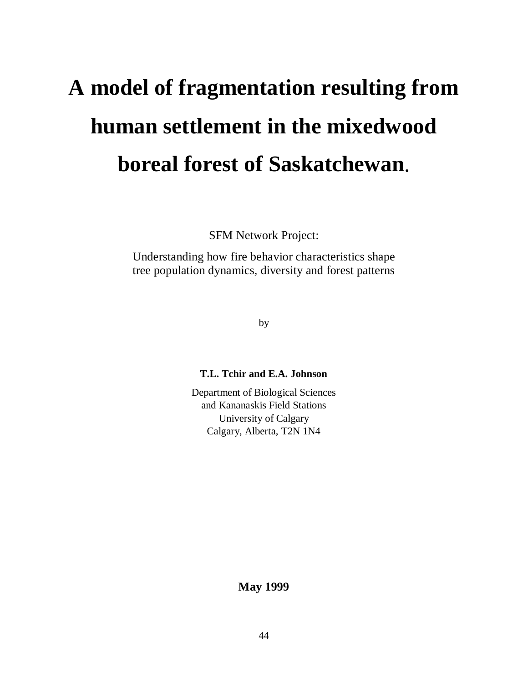# **A model of fragmentation resulting from human settlement in the mixedwood boreal forest of Saskatchewan**.

SFM Network Project:

Understanding how fire behavior characteristics shape tree population dynamics, diversity and forest patterns

by

# **T.L. Tchir and E.A. Johnson**

Department of Biological Sciences and Kananaskis Field Stations University of Calgary Calgary, Alberta, T2N 1N4

**May 1999**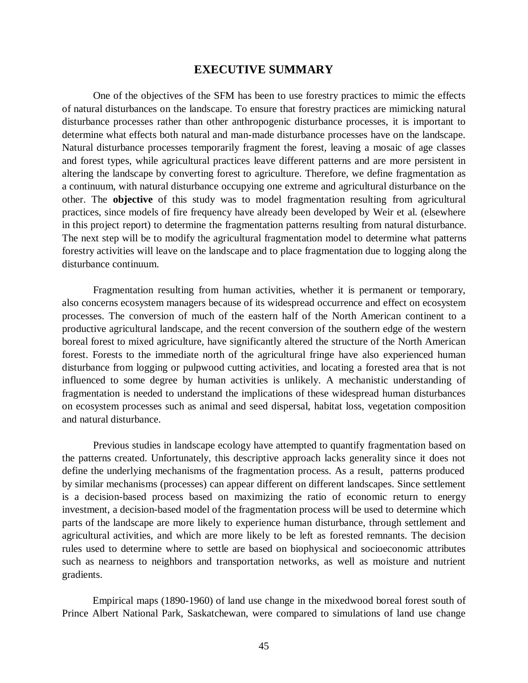# **EXECUTIVE SUMMARY**

One of the objectives of the SFM has been to use forestry practices to mimic the effects of natural disturbances on the landscape. To ensure that forestry practices are mimicking natural disturbance processes rather than other anthropogenic disturbance processes, it is important to determine what effects both natural and man-made disturbance processes have on the landscape. Natural disturbance processes temporarily fragment the forest, leaving a mosaic of age classes and forest types, while agricultural practices leave different patterns and are more persistent in altering the landscape by converting forest to agriculture. Therefore, we define fragmentation as a continuum, with natural disturbance occupying one extreme and agricultural disturbance on the other. The **objective** of this study was to model fragmentation resulting from agricultural practices, since models of fire frequency have already been developed by Weir et al. (elsewhere in this project report) to determine the fragmentation patterns resulting from natural disturbance. The next step will be to modify the agricultural fragmentation model to determine what patterns forestry activities will leave on the landscape and to place fragmentation due to logging along the disturbance continuum.

Fragmentation resulting from human activities, whether it is permanent or temporary, also concerns ecosystem managers because of its widespread occurrence and effect on ecosystem processes. The conversion of much of the eastern half of the North American continent to a productive agricultural landscape, and the recent conversion of the southern edge of the western boreal forest to mixed agriculture, have significantly altered the structure of the North American forest. Forests to the immediate north of the agricultural fringe have also experienced human disturbance from logging or pulpwood cutting activities, and locating a forested area that is not influenced to some degree by human activities is unlikely. A mechanistic understanding of fragmentation is needed to understand the implications of these widespread human disturbances on ecosystem processes such as animal and seed dispersal, habitat loss, vegetation composition and natural disturbance.

Previous studies in landscape ecology have attempted to quantify fragmentation based on the patterns created. Unfortunately, this descriptive approach lacks generality since it does not define the underlying mechanisms of the fragmentation process. As a result, patterns produced by similar mechanisms (processes) can appear different on different landscapes. Since settlement is a decision-based process based on maximizing the ratio of economic return to energy investment, a decision-based model of the fragmentation process will be used to determine which parts of the landscape are more likely to experience human disturbance, through settlement and agricultural activities, and which are more likely to be left as forested remnants. The decision rules used to determine where to settle are based on biophysical and socioeconomic attributes such as nearness to neighbors and transportation networks, as well as moisture and nutrient gradients.

Empirical maps (1890-1960) of land use change in the mixedwood boreal forest south of Prince Albert National Park, Saskatchewan, were compared to simulations of land use change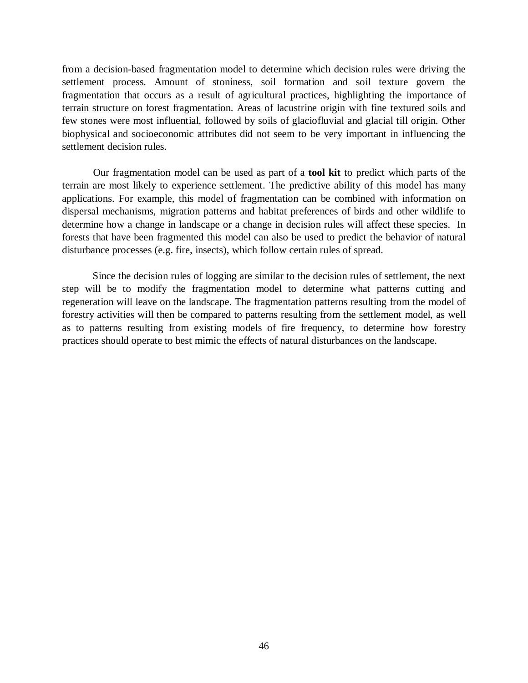from a decision-based fragmentation model to determine which decision rules were driving the settlement process. Amount of stoniness, soil formation and soil texture govern the fragmentation that occurs as a result of agricultural practices, highlighting the importance of terrain structure on forest fragmentation. Areas of lacustrine origin with fine textured soils and few stones were most influential, followed by soils of glaciofluvial and glacial till origin. Other biophysical and socioeconomic attributes did not seem to be very important in influencing the settlement decision rules.

Our fragmentation model can be used as part of a **tool kit** to predict which parts of the terrain are most likely to experience settlement. The predictive ability of this model has many applications. For example, this model of fragmentation can be combined with information on dispersal mechanisms, migration patterns and habitat preferences of birds and other wildlife to determine how a change in landscape or a change in decision rules will affect these species. In forests that have been fragmented this model can also be used to predict the behavior of natural disturbance processes (e.g. fire, insects), which follow certain rules of spread.

Since the decision rules of logging are similar to the decision rules of settlement, the next step will be to modify the fragmentation model to determine what patterns cutting and regeneration will leave on the landscape. The fragmentation patterns resulting from the model of forestry activities will then be compared to patterns resulting from the settlement model, as well as to patterns resulting from existing models of fire frequency, to determine how forestry practices should operate to best mimic the effects of natural disturbances on the landscape.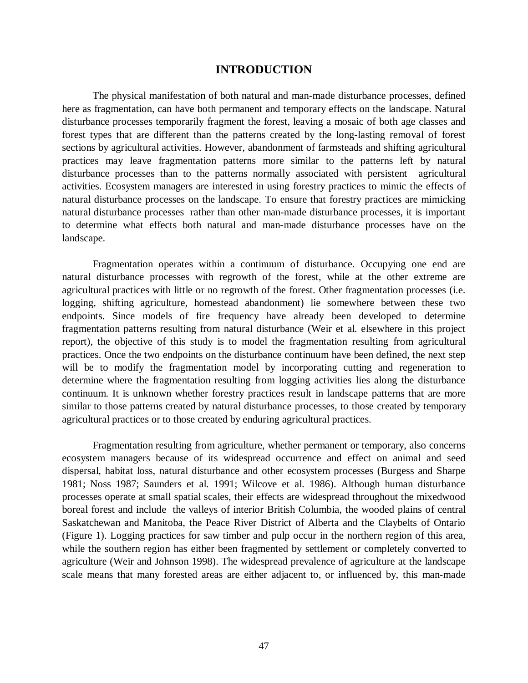# **INTRODUCTION**

The physical manifestation of both natural and man-made disturbance processes, defined here as fragmentation, can have both permanent and temporary effects on the landscape. Natural disturbance processes temporarily fragment the forest, leaving a mosaic of both age classes and forest types that are different than the patterns created by the long-lasting removal of forest sections by agricultural activities. However, abandonment of farmsteads and shifting agricultural practices may leave fragmentation patterns more similar to the patterns left by natural disturbance processes than to the patterns normally associated with persistent agricultural activities. Ecosystem managers are interested in using forestry practices to mimic the effects of natural disturbance processes on the landscape. To ensure that forestry practices are mimicking natural disturbance processes rather than other man-made disturbance processes, it is important to determine what effects both natural and man-made disturbance processes have on the landscape.

Fragmentation operates within a continuum of disturbance. Occupying one end are natural disturbance processes with regrowth of the forest, while at the other extreme are agricultural practices with little or no regrowth of the forest. Other fragmentation processes (i.e. logging, shifting agriculture, homestead abandonment) lie somewhere between these two endpoints. Since models of fire frequency have already been developed to determine fragmentation patterns resulting from natural disturbance (Weir et al. elsewhere in this project report), the objective of this study is to model the fragmentation resulting from agricultural practices. Once the two endpoints on the disturbance continuum have been defined, the next step will be to modify the fragmentation model by incorporating cutting and regeneration to determine where the fragmentation resulting from logging activities lies along the disturbance continuum. It is unknown whether forestry practices result in landscape patterns that are more similar to those patterns created by natural disturbance processes, to those created by temporary agricultural practices or to those created by enduring agricultural practices.

Fragmentation resulting from agriculture, whether permanent or temporary, also concerns ecosystem managers because of its widespread occurrence and effect on animal and seed dispersal, habitat loss, natural disturbance and other ecosystem processes (Burgess and Sharpe 1981; Noss 1987; Saunders et al. 1991; Wilcove et al. 1986). Although human disturbance processes operate at small spatial scales, their effects are widespread throughout the mixedwood boreal forest and include the valleys of interior British Columbia, the wooded plains of central Saskatchewan and Manitoba, the Peace River District of Alberta and the Claybelts of Ontario (Figure 1). Logging practices for saw timber and pulp occur in the northern region of this area, while the southern region has either been fragmented by settlement or completely converted to agriculture (Weir and Johnson 1998). The widespread prevalence of agriculture at the landscape scale means that many forested areas are either adjacent to, or influenced by, this man-made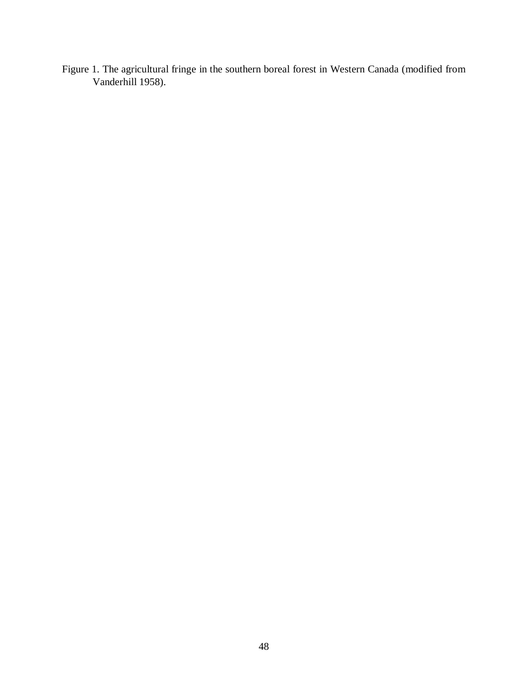Figure 1. The agricultural fringe in the southern boreal forest in Western Canada (modified from Vanderhill 1958).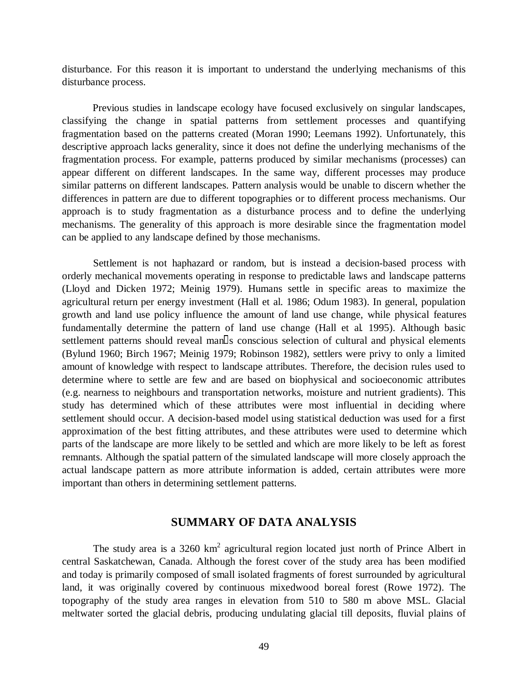disturbance. For this reason it is important to understand the underlying mechanisms of this disturbance process.

Previous studies in landscape ecology have focused exclusively on singular landscapes, classifying the change in spatial patterns from settlement processes and quantifying fragmentation based on the patterns created (Moran 1990; Leemans 1992). Unfortunately, this descriptive approach lacks generality, since it does not define the underlying mechanisms of the fragmentation process. For example, patterns produced by similar mechanisms (processes) can appear different on different landscapes. In the same way, different processes may produce similar patterns on different landscapes. Pattern analysis would be unable to discern whether the differences in pattern are due to different topographies or to different process mechanisms. Our approach is to study fragmentation as a disturbance process and to define the underlying mechanisms. The generality of this approach is more desirable since the fragmentation model can be applied to any landscape defined by those mechanisms.

Settlement is not haphazard or random, but is instead a decision-based process with orderly mechanical movements operating in response to predictable laws and landscape patterns (Lloyd and Dicken 1972; Meinig 1979). Humans settle in specific areas to maximize the agricultural return per energy investment (Hall et al. 1986; Odum 1983). In general, population growth and land use policy influence the amount of land use change, while physical features fundamentally determine the pattern of land use change (Hall et al*.* 1995). Although basic settlement patterns should reveal man $\mathbb{I}_s$  conscious selection of cultural and physical elements (Bylund 1960; Birch 1967; Meinig 1979; Robinson 1982), settlers were privy to only a limited amount of knowledge with respect to landscape attributes. Therefore, the decision rules used to determine where to settle are few and are based on biophysical and socioeconomic attributes (e.g. nearness to neighbours and transportation networks, moisture and nutrient gradients). This study has determined which of these attributes were most influential in deciding where settlement should occur. A decision-based model using statistical deduction was used for a first approximation of the best fitting attributes, and these attributes were used to determine which parts of the landscape are more likely to be settled and which are more likely to be left as forest remnants. Although the spatial pattern of the simulated landscape will more closely approach the actual landscape pattern as more attribute information is added, certain attributes were more important than others in determining settlement patterns.

# **SUMMARY OF DATA ANALYSIS**

The study area is a 3260  $km^2$  agricultural region located just north of Prince Albert in central Saskatchewan, Canada. Although the forest cover of the study area has been modified and today is primarily composed of small isolated fragments of forest surrounded by agricultural land, it was originally covered by continuous mixedwood boreal forest (Rowe 1972). The topography of the study area ranges in elevation from 510 to 580 m above MSL. Glacial meltwater sorted the glacial debris, producing undulating glacial till deposits, fluvial plains of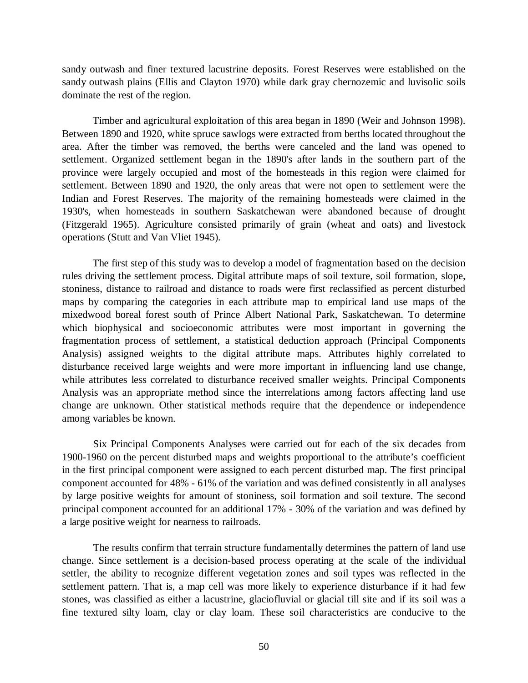sandy outwash and finer textured lacustrine deposits. Forest Reserves were established on the sandy outwash plains (Ellis and Clayton 1970) while dark gray chernozemic and luvisolic soils dominate the rest of the region.

Timber and agricultural exploitation of this area began in 1890 (Weir and Johnson 1998). Between 1890 and 1920, white spruce sawlogs were extracted from berths located throughout the area. After the timber was removed, the berths were canceled and the land was opened to settlement. Organized settlement began in the 1890's after lands in the southern part of the province were largely occupied and most of the homesteads in this region were claimed for settlement. Between 1890 and 1920, the only areas that were not open to settlement were the Indian and Forest Reserves. The majority of the remaining homesteads were claimed in the 1930's, when homesteads in southern Saskatchewan were abandoned because of drought (Fitzgerald 1965). Agriculture consisted primarily of grain (wheat and oats) and livestock operations (Stutt and Van Vliet 1945).

The first step of this study was to develop a model of fragmentation based on the decision rules driving the settlement process. Digital attribute maps of soil texture, soil formation, slope, stoniness, distance to railroad and distance to roads were first reclassified as percent disturbed maps by comparing the categories in each attribute map to empirical land use maps of the mixedwood boreal forest south of Prince Albert National Park, Saskatchewan. To determine which biophysical and socioeconomic attributes were most important in governing the fragmentation process of settlement, a statistical deduction approach (Principal Components Analysis) assigned weights to the digital attribute maps. Attributes highly correlated to disturbance received large weights and were more important in influencing land use change, while attributes less correlated to disturbance received smaller weights. Principal Components Analysis was an appropriate method since the interrelations among factors affecting land use change are unknown. Other statistical methods require that the dependence or independence among variables be known.

Six Principal Components Analyses were carried out for each of the six decades from 1900-1960 on the percent disturbed maps and weights proportional to the attribute's coefficient in the first principal component were assigned to each percent disturbed map. The first principal component accounted for 48% - 61% of the variation and was defined consistently in all analyses by large positive weights for amount of stoniness, soil formation and soil texture. The second principal component accounted for an additional 17% - 30% of the variation and was defined by a large positive weight for nearness to railroads.

The results confirm that terrain structure fundamentally determines the pattern of land use change. Since settlement is a decision-based process operating at the scale of the individual settler, the ability to recognize different vegetation zones and soil types was reflected in the settlement pattern. That is, a map cell was more likely to experience disturbance if it had few stones, was classified as either a lacustrine, glaciofluvial or glacial till site and if its soil was a fine textured silty loam, clay or clay loam. These soil characteristics are conducive to the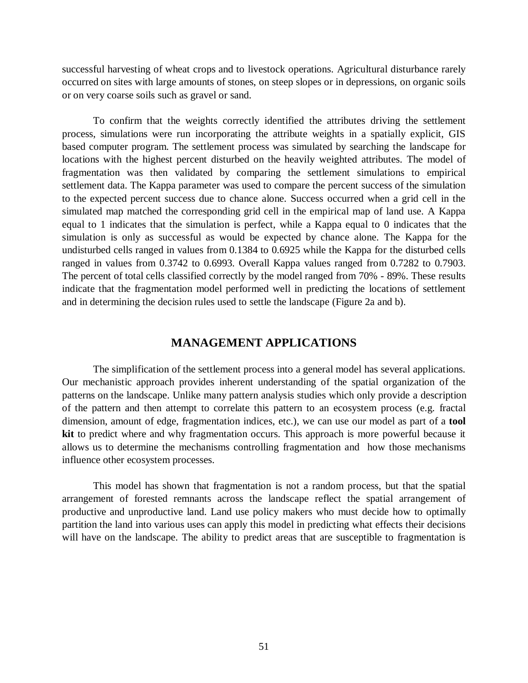successful harvesting of wheat crops and to livestock operations. Agricultural disturbance rarely occurred on sites with large amounts of stones, on steep slopes or in depressions, on organic soils or on very coarse soils such as gravel or sand.

To confirm that the weights correctly identified the attributes driving the settlement process, simulations were run incorporating the attribute weights in a spatially explicit, GIS based computer program. The settlement process was simulated by searching the landscape for locations with the highest percent disturbed on the heavily weighted attributes. The model of fragmentation was then validated by comparing the settlement simulations to empirical settlement data. The Kappa parameter was used to compare the percent success of the simulation to the expected percent success due to chance alone. Success occurred when a grid cell in the simulated map matched the corresponding grid cell in the empirical map of land use. A Kappa equal to 1 indicates that the simulation is perfect, while a Kappa equal to 0 indicates that the simulation is only as successful as would be expected by chance alone. The Kappa for the undisturbed cells ranged in values from 0.1384 to 0.6925 while the Kappa for the disturbed cells ranged in values from 0.3742 to 0.6993. Overall Kappa values ranged from 0.7282 to 0.7903. The percent of total cells classified correctly by the model ranged from 70% - 89%. These results indicate that the fragmentation model performed well in predicting the locations of settlement and in determining the decision rules used to settle the landscape (Figure 2a and b).

# **MANAGEMENT APPLICATIONS**

The simplification of the settlement process into a general model has several applications. Our mechanistic approach provides inherent understanding of the spatial organization of the patterns on the landscape. Unlike many pattern analysis studies which only provide a description of the pattern and then attempt to correlate this pattern to an ecosystem process (e.g. fractal dimension, amount of edge, fragmentation indices, etc.), we can use our model as part of a **tool kit** to predict where and why fragmentation occurs. This approach is more powerful because it allows us to determine the mechanisms controlling fragmentation and how those mechanisms influence other ecosystem processes.

This model has shown that fragmentation is not a random process, but that the spatial arrangement of forested remnants across the landscape reflect the spatial arrangement of productive and unproductive land. Land use policy makers who must decide how to optimally partition the land into various uses can apply this model in predicting what effects their decisions will have on the landscape. The ability to predict areas that are susceptible to fragmentation is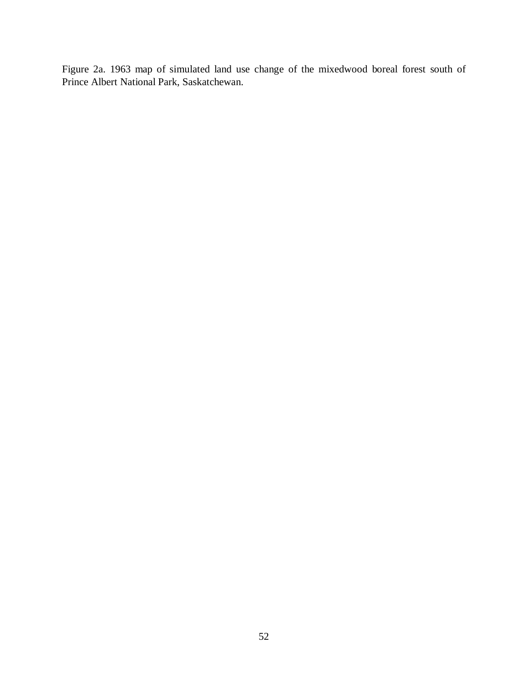Figure 2a. 1963 map of simulated land use change of the mixedwood boreal forest south of Prince Albert National Park, Saskatchewan.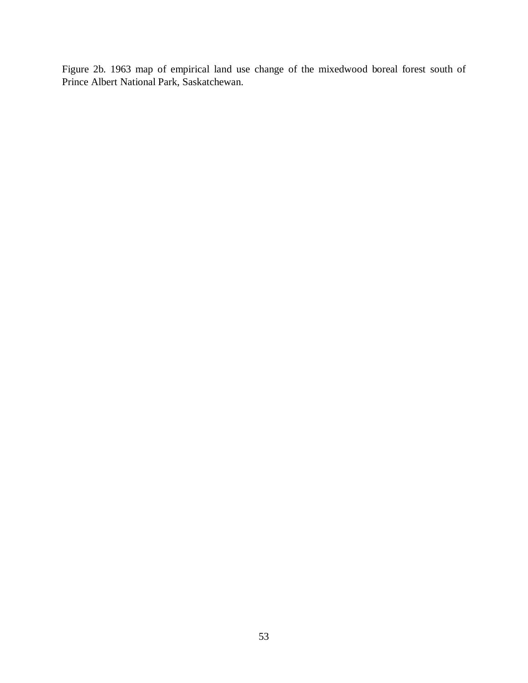Figure 2b. 1963 map of empirical land use change of the mixedwood boreal forest south of Prince Albert National Park, Saskatchewan.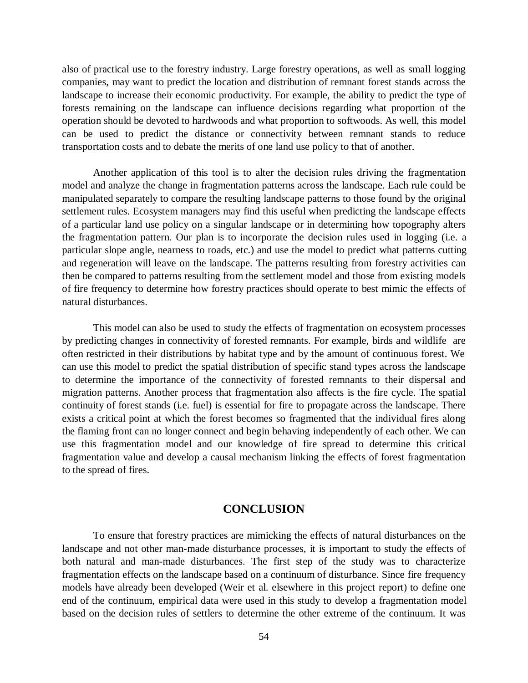also of practical use to the forestry industry. Large forestry operations, as well as small logging companies, may want to predict the location and distribution of remnant forest stands across the landscape to increase their economic productivity. For example, the ability to predict the type of forests remaining on the landscape can influence decisions regarding what proportion of the operation should be devoted to hardwoods and what proportion to softwoods. As well, this model can be used to predict the distance or connectivity between remnant stands to reduce transportation costs and to debate the merits of one land use policy to that of another.

Another application of this tool is to alter the decision rules driving the fragmentation model and analyze the change in fragmentation patterns across the landscape. Each rule could be manipulated separately to compare the resulting landscape patterns to those found by the original settlement rules. Ecosystem managers may find this useful when predicting the landscape effects of a particular land use policy on a singular landscape or in determining how topography alters the fragmentation pattern. Our plan is to incorporate the decision rules used in logging (i.e. a particular slope angle, nearness to roads, etc.) and use the model to predict what patterns cutting and regeneration will leave on the landscape. The patterns resulting from forestry activities can then be compared to patterns resulting from the settlement model and those from existing models of fire frequency to determine how forestry practices should operate to best mimic the effects of natural disturbances.

This model can also be used to study the effects of fragmentation on ecosystem processes by predicting changes in connectivity of forested remnants. For example, birds and wildlife are often restricted in their distributions by habitat type and by the amount of continuous forest. We can use this model to predict the spatial distribution of specific stand types across the landscape to determine the importance of the connectivity of forested remnants to their dispersal and migration patterns. Another process that fragmentation also affects is the fire cycle. The spatial continuity of forest stands (i.e. fuel) is essential for fire to propagate across the landscape. There exists a critical point at which the forest becomes so fragmented that the individual fires along the flaming front can no longer connect and begin behaving independently of each other. We can use this fragmentation model and our knowledge of fire spread to determine this critical fragmentation value and develop a causal mechanism linking the effects of forest fragmentation to the spread of fires.

## **CONCLUSION**

To ensure that forestry practices are mimicking the effects of natural disturbances on the landscape and not other man-made disturbance processes, it is important to study the effects of both natural and man-made disturbances. The first step of the study was to characterize fragmentation effects on the landscape based on a continuum of disturbance. Since fire frequency models have already been developed (Weir et al. elsewhere in this project report) to define one end of the continuum, empirical data were used in this study to develop a fragmentation model based on the decision rules of settlers to determine the other extreme of the continuum. It was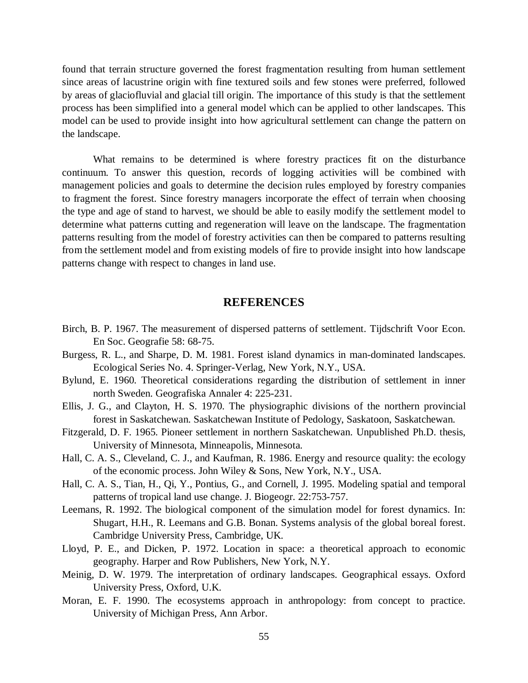found that terrain structure governed the forest fragmentation resulting from human settlement since areas of lacustrine origin with fine textured soils and few stones were preferred, followed by areas of glaciofluvial and glacial till origin. The importance of this study is that the settlement process has been simplified into a general model which can be applied to other landscapes. This model can be used to provide insight into how agricultural settlement can change the pattern on the landscape.

What remains to be determined is where forestry practices fit on the disturbance continuum. To answer this question, records of logging activities will be combined with management policies and goals to determine the decision rules employed by forestry companies to fragment the forest. Since forestry managers incorporate the effect of terrain when choosing the type and age of stand to harvest, we should be able to easily modify the settlement model to determine what patterns cutting and regeneration will leave on the landscape. The fragmentation patterns resulting from the model of forestry activities can then be compared to patterns resulting from the settlement model and from existing models of fire to provide insight into how landscape patterns change with respect to changes in land use.

# **REFERENCES**

- Birch, B. P. 1967. The measurement of dispersed patterns of settlement. Tijdschrift Voor Econ. En Soc. Geografie 58: 68-75.
- Burgess, R. L., and Sharpe, D. M. 1981. Forest island dynamics in man-dominated landscapes. Ecological Series No. 4. Springer-Verlag, New York, N.Y., USA.
- Bylund, E. 1960. Theoretical considerations regarding the distribution of settlement in inner north Sweden. Geografiska Annaler 4: 225-231.
- Ellis, J. G., and Clayton, H. S. 1970. The physiographic divisions of the northern provincial forest in Saskatchewan. Saskatchewan Institute of Pedology, Saskatoon, Saskatchewan.
- Fitzgerald, D. F. 1965. Pioneer settlement in northern Saskatchewan. Unpublished Ph.D. thesis, University of Minnesota, Minneapolis, Minnesota.
- Hall, C. A. S., Cleveland, C. J., and Kaufman, R. 1986. Energy and resource quality: the ecology of the economic process. John Wiley & Sons, New York, N.Y., USA.
- Hall, C. A. S., Tian, H., Qi, Y., Pontius, G., and Cornell, J. 1995. Modeling spatial and temporal patterns of tropical land use change. J. Biogeogr. 22:753-757.
- Leemans, R. 1992. The biological component of the simulation model for forest dynamics. In: Shugart, H.H., R. Leemans and G.B. Bonan. Systems analysis of the global boreal forest. Cambridge University Press, Cambridge, UK.
- Lloyd, P. E., and Dicken, P. 1972. Location in space: a theoretical approach to economic geography. Harper and Row Publishers, New York, N.Y.
- Meinig, D. W. 1979. The interpretation of ordinary landscapes. Geographical essays. Oxford University Press, Oxford, U.K.
- Moran, E. F. 1990. The ecosystems approach in anthropology: from concept to practice. University of Michigan Press, Ann Arbor.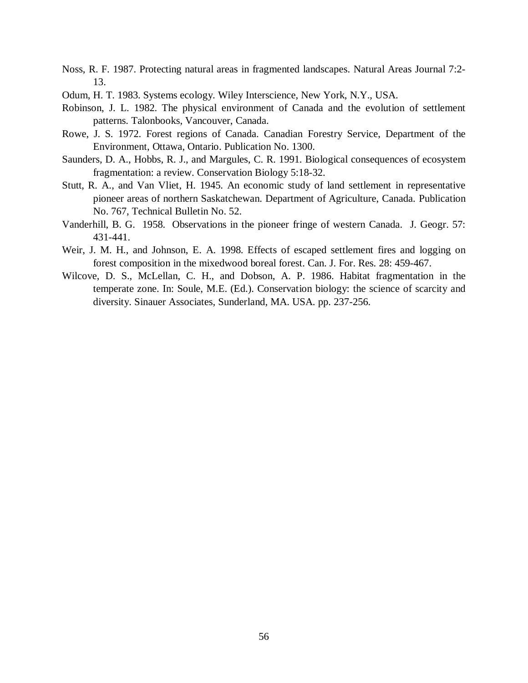- Noss, R. F. 1987. Protecting natural areas in fragmented landscapes. Natural Areas Journal 7:2- 13.
- Odum, H. T. 1983. Systems ecology. Wiley Interscience, New York, N.Y., USA.
- Robinson, J. L. 1982. The physical environment of Canada and the evolution of settlement patterns. Talonbooks, Vancouver, Canada.
- Rowe, J. S. 1972. Forest regions of Canada. Canadian Forestry Service, Department of the Environment, Ottawa, Ontario. Publication No. 1300.
- Saunders, D. A., Hobbs, R. J., and Margules, C. R. 1991. Biological consequences of ecosystem fragmentation: a review. Conservation Biology 5:18-32.
- Stutt, R. A., and Van Vliet, H. 1945. An economic study of land settlement in representative pioneer areas of northern Saskatchewan. Department of Agriculture, Canada. Publication No. 767, Technical Bulletin No. 52.
- Vanderhill, B. G. 1958. Observations in the pioneer fringe of western Canada. J. Geogr. 57: 431-441.
- Weir, J. M. H., and Johnson, E. A. 1998. Effects of escaped settlement fires and logging on forest composition in the mixedwood boreal forest. Can. J. For. Res. 28: 459-467.
- Wilcove, D. S., McLellan, C. H., and Dobson, A. P. 1986. Habitat fragmentation in the temperate zone. In: Soule, M.E. (Ed.). Conservation biology: the science of scarcity and diversity. Sinauer Associates, Sunderland, MA. USA. pp. 237-256.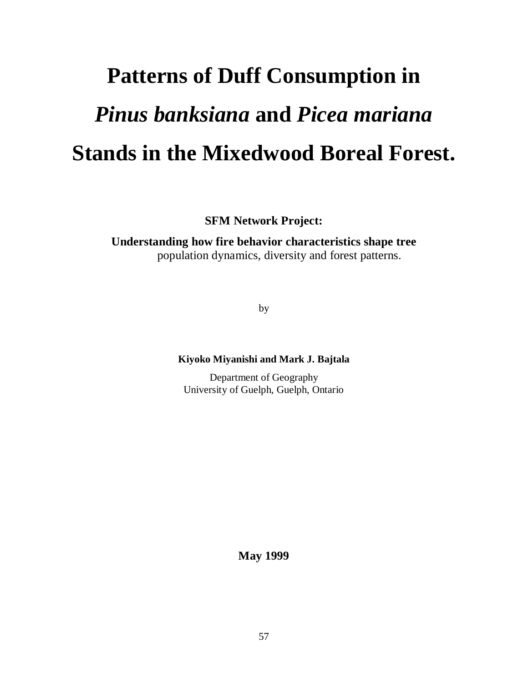# **Patterns of Duff Consumption in** *Pinus banksiana* **and** *Picea mariana* **Stands in the Mixedwood Boreal Forest.**

**SFM Network Project:**

**Understanding how fire behavior characteristics shape tree** population dynamics, diversity and forest patterns.

by

# **Kiyoko Miyanishi and Mark J. Bajtala**

Department of Geography University of Guelph, Guelph, Ontario

**May 1999**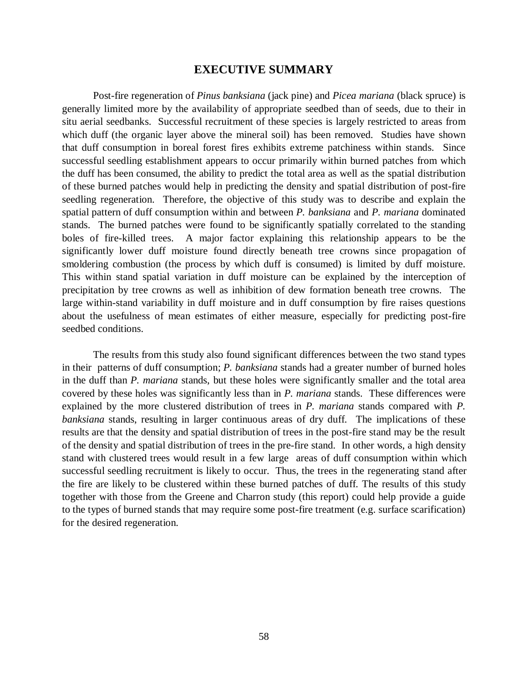# **EXECUTIVE SUMMARY**

Post-fire regeneration of *Pinus banksiana* (jack pine) and *Picea mariana* (black spruce) is generally limited more by the availability of appropriate seedbed than of seeds, due to their in situ aerial seedbanks. Successful recruitment of these species is largely restricted to areas from which duff (the organic layer above the mineral soil) has been removed. Studies have shown that duff consumption in boreal forest fires exhibits extreme patchiness within stands. Since successful seedling establishment appears to occur primarily within burned patches from which the duff has been consumed, the ability to predict the total area as well as the spatial distribution of these burned patches would help in predicting the density and spatial distribution of post-fire seedling regeneration. Therefore, the objective of this study was to describe and explain the spatial pattern of duff consumption within and between *P. banksiana* and *P. mariana* dominated stands. The burned patches were found to be significantly spatially correlated to the standing boles of fire-killed trees. A major factor explaining this relationship appears to be the significantly lower duff moisture found directly beneath tree crowns since propagation of smoldering combustion (the process by which duff is consumed) is limited by duff moisture. This within stand spatial variation in duff moisture can be explained by the interception of precipitation by tree crowns as well as inhibition of dew formation beneath tree crowns. The large within-stand variability in duff moisture and in duff consumption by fire raises questions about the usefulness of mean estimates of either measure, especially for predicting post-fire seedbed conditions.

The results from this study also found significant differences between the two stand types in their patterns of duff consumption; *P. banksiana* stands had a greater number of burned holes in the duff than *P. mariana* stands, but these holes were significantly smaller and the total area covered by these holes was significantly less than in *P. mariana* stands. These differences were explained by the more clustered distribution of trees in *P. mariana* stands compared with *P. banksiana* stands, resulting in larger continuous areas of dry duff. The implications of these results are that the density and spatial distribution of trees in the post-fire stand may be the result of the density and spatial distribution of trees in the pre-fire stand. In other words, a high density stand with clustered trees would result in a few large areas of duff consumption within which successful seedling recruitment is likely to occur. Thus, the trees in the regenerating stand after the fire are likely to be clustered within these burned patches of duff. The results of this study together with those from the Greene and Charron study (this report) could help provide a guide to the types of burned stands that may require some post-fire treatment (e.g. surface scarification) for the desired regeneration.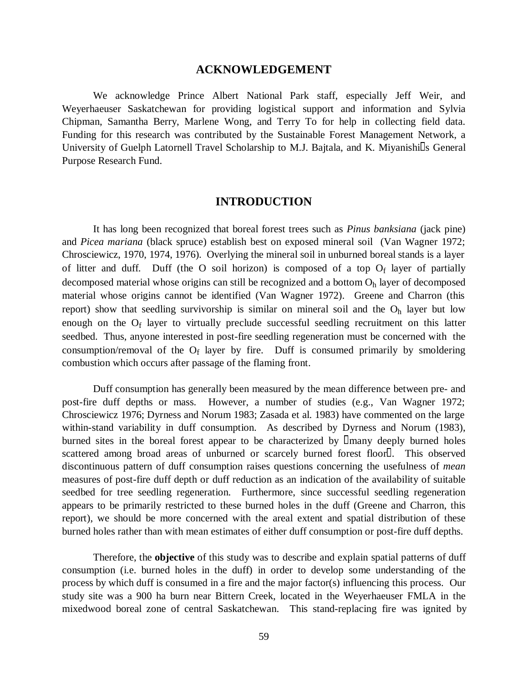## **ACKNOWLEDGEMENT**

We acknowledge Prince Albert National Park staff, especially Jeff Weir, and Weyerhaeuser Saskatchewan for providing logistical support and information and Sylvia Chipman, Samantha Berry, Marlene Wong, and Terry To for help in collecting field data. Funding for this research was contributed by the Sustainable Forest Management Network, a University of Guelph Latornell Travel Scholarship to M.J. Bajtala, and K. Miyanishi<sup>n</sup>s General Purpose Research Fund.

## **INTRODUCTION**

It has long been recognized that boreal forest trees such as *Pinus banksiana* (jack pine) and *Picea mariana* (black spruce) establish best on exposed mineral soil (Van Wagner 1972; Chrosciewicz, 1970, 1974, 1976). Overlying the mineral soil in unburned boreal stands is a layer of litter and duff. Duff (the O soil horizon) is composed of a top  $O_f$  layer of partially decomposed material whose origins can still be recognized and a bottom  $O<sub>h</sub>$  layer of decomposed material whose origins cannot be identified (Van Wagner 1972). Greene and Charron (this report) show that seedling survivorship is similar on mineral soil and the  $O<sub>h</sub>$  layer but low enough on the Of layer to virtually preclude successful seedling recruitment on this latter seedbed. Thus, anyone interested in post-fire seedling regeneration must be concerned with the consumption/removal of the  $O_f$  layer by fire. Duff is consumed primarily by smoldering combustion which occurs after passage of the flaming front.

Duff consumption has generally been measured by the mean difference between pre- and post-fire duff depths or mass. However, a number of studies (e.g., Van Wagner 1972; Chrosciewicz 1976; Dyrness and Norum 1983; Zasada et al. 1983) have commented on the large within-stand variability in duff consumption. As described by Dyrness and Norum (1983), burned sites in the boreal forest appear to be characterized by  $\Box$ many deeply burned holes scattered among broad areas of unburned or scarcely burned forest floor. This observed discontinuous pattern of duff consumption raises questions concerning the usefulness of *mean* measures of post-fire duff depth or duff reduction as an indication of the availability of suitable seedbed for tree seedling regeneration. Furthermore, since successful seedling regeneration appears to be primarily restricted to these burned holes in the duff (Greene and Charron, this report), we should be more concerned with the areal extent and spatial distribution of these burned holes rather than with mean estimates of either duff consumption or post-fire duff depths.

Therefore, the **objective** of this study was to describe and explain spatial patterns of duff consumption (i.e. burned holes in the duff) in order to develop some understanding of the process by which duff is consumed in a fire and the major factor(s) influencing this process. Our study site was a 900 ha burn near Bittern Creek, located in the Weyerhaeuser FMLA in the mixedwood boreal zone of central Saskatchewan. This stand-replacing fire was ignited by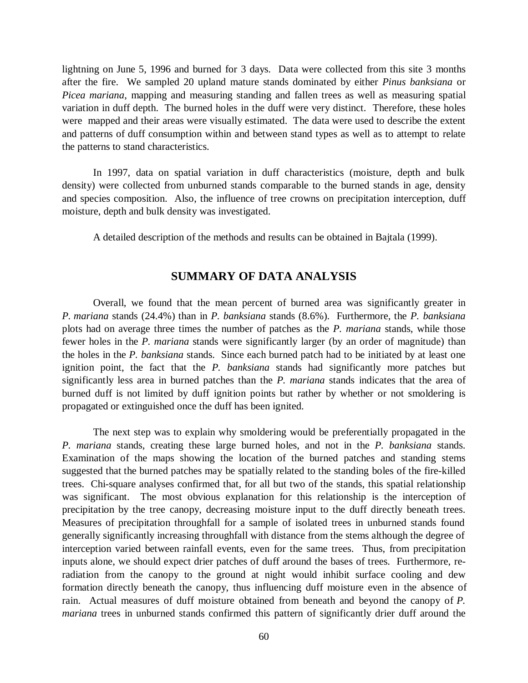lightning on June 5, 1996 and burned for 3 days. Data were collected from this site 3 months after the fire. We sampled 20 upland mature stands dominated by either *Pinus banksiana* or *Picea mariana*, mapping and measuring standing and fallen trees as well as measuring spatial variation in duff depth. The burned holes in the duff were very distinct. Therefore, these holes were mapped and their areas were visually estimated. The data were used to describe the extent and patterns of duff consumption within and between stand types as well as to attempt to relate the patterns to stand characteristics.

In 1997, data on spatial variation in duff characteristics (moisture, depth and bulk density) were collected from unburned stands comparable to the burned stands in age, density and species composition. Also, the influence of tree crowns on precipitation interception, duff moisture, depth and bulk density was investigated.

A detailed description of the methods and results can be obtained in Bajtala (1999).

# **SUMMARY OF DATA ANALYSIS**

Overall, we found that the mean percent of burned area was significantly greater in *P. mariana* stands (24.4%) than in *P. banksiana* stands (8.6%). Furthermore, the *P. banksiana* plots had on average three times the number of patches as the *P. mariana* stands, while those fewer holes in the *P. mariana* stands were significantly larger (by an order of magnitude) than the holes in the *P. banksiana* stands. Since each burned patch had to be initiated by at least one ignition point, the fact that the *P. banksiana* stands had significantly more patches but significantly less area in burned patches than the *P. mariana* stands indicates that the area of burned duff is not limited by duff ignition points but rather by whether or not smoldering is propagated or extinguished once the duff has been ignited.

The next step was to explain why smoldering would be preferentially propagated in the *P. mariana* stands, creating these large burned holes, and not in the *P. banksiana* stands. Examination of the maps showing the location of the burned patches and standing stems suggested that the burned patches may be spatially related to the standing boles of the fire-killed trees. Chi-square analyses confirmed that, for all but two of the stands, this spatial relationship was significant. The most obvious explanation for this relationship is the interception of precipitation by the tree canopy, decreasing moisture input to the duff directly beneath trees. Measures of precipitation throughfall for a sample of isolated trees in unburned stands found generally significantly increasing throughfall with distance from the stems although the degree of interception varied between rainfall events, even for the same trees. Thus, from precipitation inputs alone, we should expect drier patches of duff around the bases of trees. Furthermore, reradiation from the canopy to the ground at night would inhibit surface cooling and dew formation directly beneath the canopy, thus influencing duff moisture even in the absence of rain. Actual measures of duff moisture obtained from beneath and beyond the canopy of *P. mariana* trees in unburned stands confirmed this pattern of significantly drier duff around the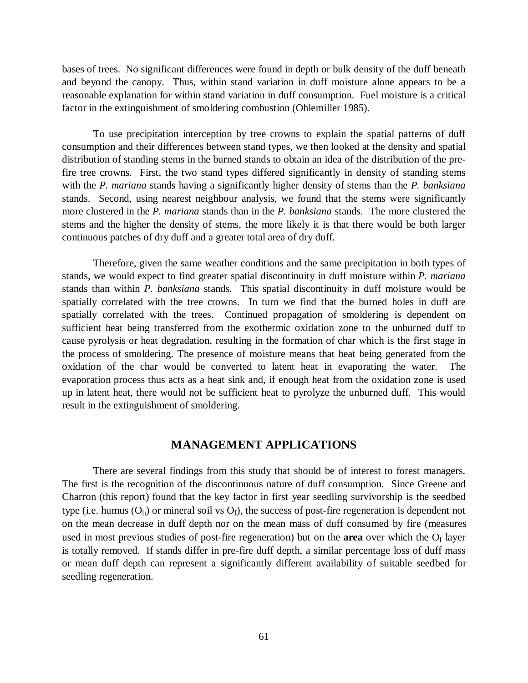bases of trees. No significant differences were found in depth or bulk density of the duff beneath and beyond the canopy. Thus, within stand variation in duff moisture alone appears to be a reasonable explanation for within stand variation in duff consumption. Fuel moisture is a critical factor in the extinguishment of smoldering combustion (Ohlemiller 1985).

To use precipitation interception by tree crowns to explain the spatial patterns of duff consumption and their differences between stand types, we then looked at the density and spatial distribution of standing stems in the burned stands to obtain an idea of the distribution of the prefire tree crowns. First, the two stand types differed significantly in density of standing stems with the *P. mariana* stands having a significantly higher density of stems than the *P. banksiana* stands. Second, using nearest neighbour analysis, we found that the stems were significantly more clustered in the *P. mariana* stands than in the *P. banksiana* stands. The more clustered the stems and the higher the density of stems, the more likely it is that there would be both larger continuous patches of dry duff and a greater total area of dry duff.

Therefore, given the same weather conditions and the same precipitation in both types of stands, we would expect to find greater spatial discontinuity in duff moisture within *P. mariana* stands than within *P. banksiana* stands. This spatial discontinuity in duff moisture would be spatially correlated with the tree crowns. In turn we find that the burned holes in duff are spatially correlated with the trees. Continued propagation of smoldering is dependent on sufficient heat being transferred from the exothermic oxidation zone to the unburned duff to cause pyrolysis or heat degradation, resulting in the formation of char which is the first stage in the process of smoldering. The presence of moisture means that heat being generated from the oxidation of the char would be converted to latent heat in evaporating the water. The evaporation process thus acts as a heat sink and, if enough heat from the oxidation zone is used up in latent heat, there would not be sufficient heat to pyrolyze the unburned duff. This would result in the extinguishment of smoldering.

## **MANAGEMENT APPLICATIONS**

There are several findings from this study that should be of interest to forest managers. The first is the recognition of the discontinuous nature of duff consumption. Since Greene and Charron (this report) found that the key factor in first year seedling survivorship is the seedbed type (i.e. humus  $(O_h)$ ) or mineral soil vs  $O_f$ ), the success of post-fire regeneration is dependent not on the mean decrease in duff depth nor on the mean mass of duff consumed by fire (measures used in most previous studies of post-fire regeneration) but on the **area** over which the  $O_f$  layer is totally removed. If stands differ in pre-fire duff depth, a similar percentage loss of duff mass or mean duff depth can represent a significantly different availability of suitable seedbed for seedling regeneration.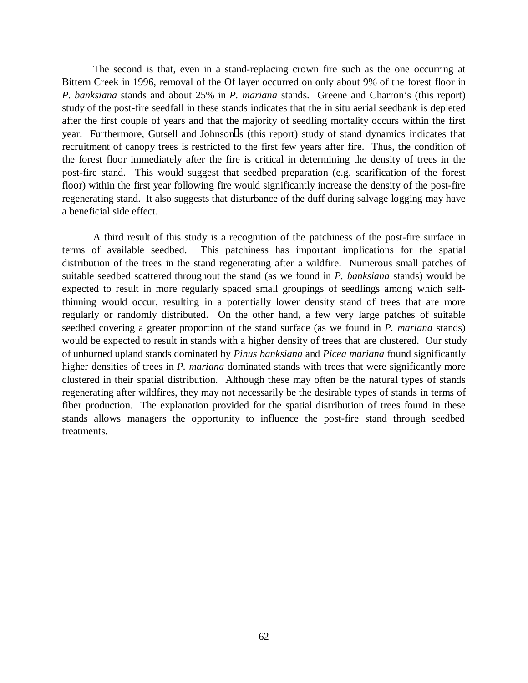The second is that, even in a stand-replacing crown fire such as the one occurring at Bittern Creek in 1996, removal of the Of layer occurred on only about 9% of the forest floor in *P. banksiana* stands and about 25% in *P. mariana* stands. Greene and Charron's (this report) study of the post-fire seedfall in these stands indicates that the in situ aerial seedbank is depleted after the first couple of years and that the majority of seedling mortality occurs within the first year. Furthermore, Gutsell and Johnson $\mathbb{S}$  (this report) study of stand dynamics indicates that recruitment of canopy trees is restricted to the first few years after fire. Thus, the condition of the forest floor immediately after the fire is critical in determining the density of trees in the post-fire stand. This would suggest that seedbed preparation (e.g. scarification of the forest floor) within the first year following fire would significantly increase the density of the post-fire regenerating stand. It also suggests that disturbance of the duff during salvage logging may have a beneficial side effect.

A third result of this study is a recognition of the patchiness of the post-fire surface in terms of available seedbed. This patchiness has important implications for the spatial distribution of the trees in the stand regenerating after a wildfire. Numerous small patches of suitable seedbed scattered throughout the stand (as we found in *P. banksiana* stands) would be expected to result in more regularly spaced small groupings of seedlings among which selfthinning would occur, resulting in a potentially lower density stand of trees that are more regularly or randomly distributed. On the other hand, a few very large patches of suitable seedbed covering a greater proportion of the stand surface (as we found in *P. mariana* stands) would be expected to result in stands with a higher density of trees that are clustered. Our study of unburned upland stands dominated by *Pinus banksiana* and *Picea mariana* found significantly higher densities of trees in *P. mariana* dominated stands with trees that were significantly more clustered in their spatial distribution. Although these may often be the natural types of stands regenerating after wildfires, they may not necessarily be the desirable types of stands in terms of fiber production. The explanation provided for the spatial distribution of trees found in these stands allows managers the opportunity to influence the post-fire stand through seedbed treatments.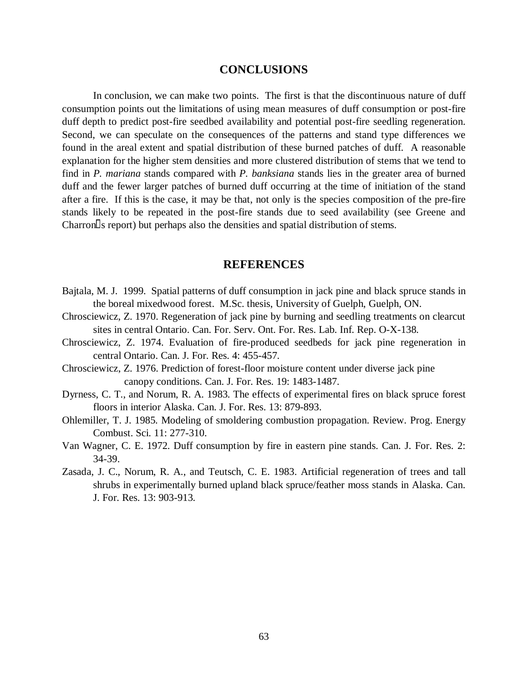# **CONCLUSIONS**

In conclusion, we can make two points. The first is that the discontinuous nature of duff consumption points out the limitations of using mean measures of duff consumption or post-fire duff depth to predict post-fire seedbed availability and potential post-fire seedling regeneration. Second, we can speculate on the consequences of the patterns and stand type differences we found in the areal extent and spatial distribution of these burned patches of duff. A reasonable explanation for the higher stem densities and more clustered distribution of stems that we tend to find in *P. mariana* stands compared with *P. banksiana* stands lies in the greater area of burned duff and the fewer larger patches of burned duff occurring at the time of initiation of the stand after a fire. If this is the case, it may be that, not only is the species composition of the pre-fire stands likely to be repeated in the post-fire stands due to seed availability (see Greene and  $Charron  $\simeq$  15$  stems.

## **REFERENCES**

- Bajtala, M. J. 1999. Spatial patterns of duff consumption in jack pine and black spruce stands in the boreal mixedwood forest. M.Sc. thesis, University of Guelph, Guelph, ON.
- Chrosciewicz, Z. 1970. Regeneration of jack pine by burning and seedling treatments on clearcut sites in central Ontario. Can. For. Serv. Ont. For. Res. Lab. Inf. Rep. O-X-138.
- Chrosciewicz, Z. 1974. Evaluation of fire-produced seedbeds for jack pine regeneration in central Ontario. Can. J. For. Res. 4: 455-457.
- Chrosciewicz, Z. 1976. Prediction of forest-floor moisture content under diverse jack pine canopy conditions. Can. J. For. Res. 19: 1483-1487.
- Dyrness, C. T., and Norum, R. A. 1983. The effects of experimental fires on black spruce forest floors in interior Alaska. Can. J. For. Res. 13: 879-893.
- Ohlemiller, T. J. 1985. Modeling of smoldering combustion propagation. Review. Prog. Energy Combust. Sci. 11: 277-310.
- Van Wagner, C. E. 1972. Duff consumption by fire in eastern pine stands. Can. J. For. Res. 2: 34-39.
- Zasada, J. C., Norum, R. A., and Teutsch, C. E. 1983. Artificial regeneration of trees and tall shrubs in experimentally burned upland black spruce/feather moss stands in Alaska. Can. J. For. Res. 13: 903-913.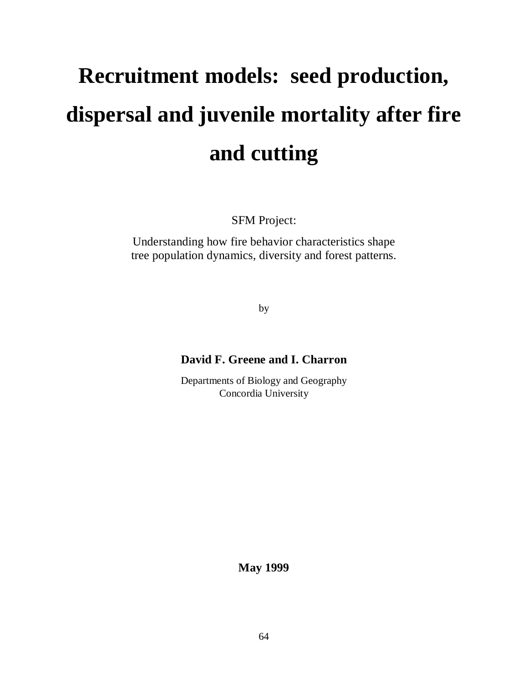# **Recruitment models: seed production, dispersal and juvenile mortality after fire and cutting**

SFM Project:

Understanding how fire behavior characteristics shape tree population dynamics, diversity and forest patterns.

by

# **David F. Greene and I. Charron**

Departments of Biology and Geography Concordia University

**May 1999**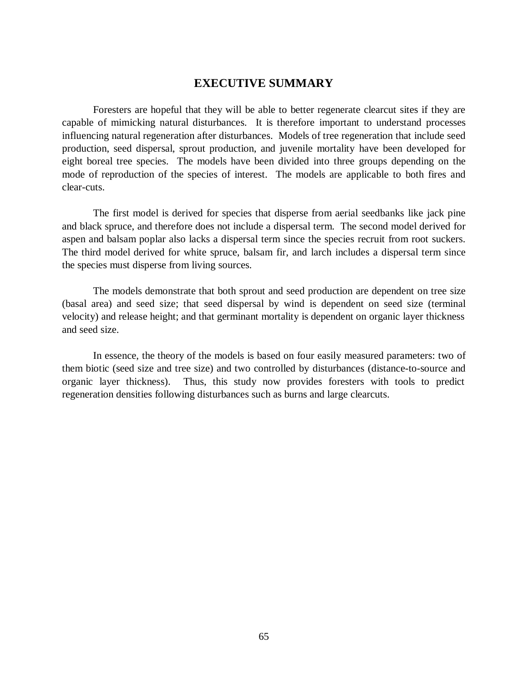# **EXECUTIVE SUMMARY**

Foresters are hopeful that they will be able to better regenerate clearcut sites if they are capable of mimicking natural disturbances. It is therefore important to understand processes influencing natural regeneration after disturbances. Models of tree regeneration that include seed production, seed dispersal, sprout production, and juvenile mortality have been developed for eight boreal tree species. The models have been divided into three groups depending on the mode of reproduction of the species of interest. The models are applicable to both fires and clear-cuts.

The first model is derived for species that disperse from aerial seedbanks like jack pine and black spruce, and therefore does not include a dispersal term. The second model derived for aspen and balsam poplar also lacks a dispersal term since the species recruit from root suckers. The third model derived for white spruce, balsam fir, and larch includes a dispersal term since the species must disperse from living sources.

The models demonstrate that both sprout and seed production are dependent on tree size (basal area) and seed size; that seed dispersal by wind is dependent on seed size (terminal velocity) and release height; and that germinant mortality is dependent on organic layer thickness and seed size.

In essence, the theory of the models is based on four easily measured parameters: two of them biotic (seed size and tree size) and two controlled by disturbances (distance-to-source and organic layer thickness). Thus, this study now provides foresters with tools to predict regeneration densities following disturbances such as burns and large clearcuts.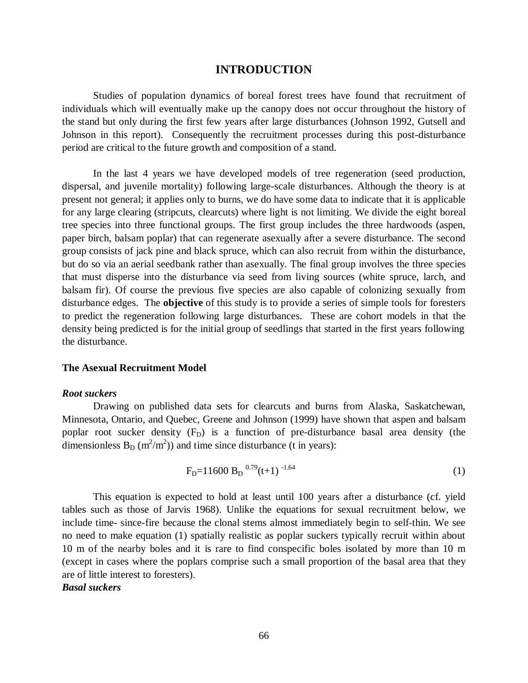## **INTRODUCTION**

Studies of population dynamics of boreal forest trees have found that recruitment of individuals which will eventually make up the canopy does not occur throughout the history of the stand but only during the first few years after large disturbances (Johnson 1992, Gutsell and Johnson in this report). Consequently the recruitment processes during this post-disturbance period are critical to the future growth and composition of a stand.

In the last 4 years we have developed models of tree regeneration (seed production, dispersal, and juvenile mortality) following large-scale disturbances. Although the theory is at present not general; it applies only to burns, we do have some data to indicate that it is applicable for any large clearing (stripcuts, clearcuts) where light is not limiting. We divide the eight boreal tree species into three functional groups. The first group includes the three hardwoods (aspen, paper birch, balsam poplar) that can regenerate asexually after a severe disturbance. The second group consists of jack pine and black spruce, which can also recruit from within the disturbance, but do so via an aerial seedbank rather than asexually. The final group involves the three species that must disperse into the disturbance via seed from living sources (white spruce, larch, and balsam fir). Of course the previous five species are also capable of colonizing sexually from disturbance edges. The **objective** of this study is to provide a series of simple tools for foresters to predict the regeneration following large disturbances. These are cohort models in that the density being predicted is for the initial group of seedlings that started in the first years following the disturbance.

### **The Asexual Recruitment Model**

#### *Root suckers*

Drawing on published data sets for clearcuts and burns from Alaska, Saskatchewan, Minnesota, Ontario, and Quebec, Greene and Johnson (1999) have shown that aspen and balsam poplar root sucker density  $(F<sub>D</sub>)$  is a function of pre-disturbance basal area density (the dimensionless  $B_D (m^2/m^2)$  and time since disturbance (t in years):

$$
FD=11600 BD 0.79(t+1) -1.64
$$
 (1)

This equation is expected to hold at least until 100 years after a disturbance (cf. yield tables such as those of Jarvis 1968). Unlike the equations for sexual recruitment below, we include time- since-fire because the clonal stems almost immediately begin to self-thin. We see no need to make equation (1) spatially realistic as poplar suckers typically recruit within about 10 m of the nearby boles and it is rare to find conspecific boles isolated by more than 10 m (except in cases where the poplars comprise such a small proportion of the basal area that they are of little interest to foresters).

# *Basal suckers*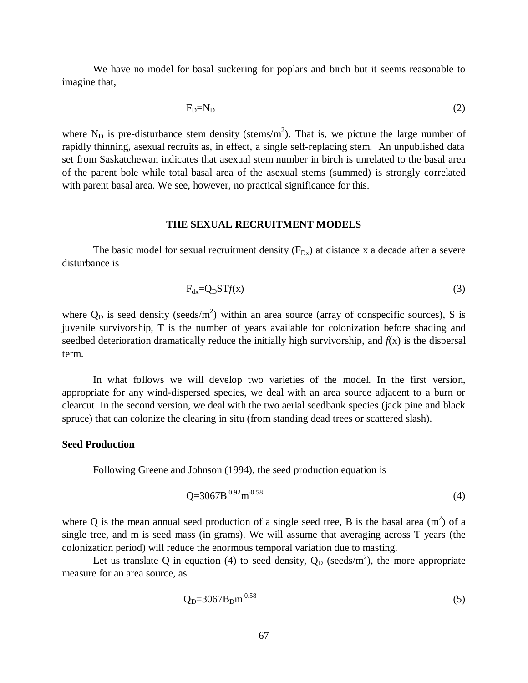We have no model for basal suckering for poplars and birch but it seems reasonable to imagine that,

$$
F_D=N_D \tag{2}
$$

where  $N_D$  is pre-disturbance stem density (stems/m<sup>2</sup>). That is, we picture the large number of rapidly thinning, asexual recruits as, in effect, a single self-replacing stem. An unpublished data set from Saskatchewan indicates that asexual stem number in birch is unrelated to the basal area of the parent bole while total basal area of the asexual stems (summed) is strongly correlated with parent basal area. We see, however, no practical significance for this.

#### **THE SEXUAL RECRUITMENT MODELS**

The basic model for sexual recruitment density  $(F_{Dx})$  at distance x a decade after a severe disturbance is

$$
F_{dx} = Q_D S T f(x)
$$
 (3)

where  $Q_D$  is seed density (seeds/m<sup>2</sup>) within an area source (array of conspecific sources), S is juvenile survivorship, T is the number of years available for colonization before shading and seedbed deterioration dramatically reduce the initially high survivorship, and *f*(x) is the dispersal term.

In what follows we will develop two varieties of the model. In the first version, appropriate for any wind-dispersed species, we deal with an area source adjacent to a burn or clearcut. In the second version, we deal with the two aerial seedbank species (jack pine and black spruce) that can colonize the clearing in situ (from standing dead trees or scattered slash).

### **Seed Production**

Following Greene and Johnson (1994), the seed production equation is

$$
Q=3067B^{0.92}m^{0.58} \tag{4}
$$

where Q is the mean annual seed production of a single seed tree, B is the basal area  $(m<sup>2</sup>)$  of a single tree, and m is seed mass (in grams). We will assume that averaging across T years (the colonization period) will reduce the enormous temporal variation due to masting.

Let us translate Q in equation (4) to seed density,  $Q_D$  (seeds/m<sup>2</sup>), the more appropriate measure for an area source, as

$$
Q_{D} = 3067 B_{D} m^{-0.58}
$$
 (5)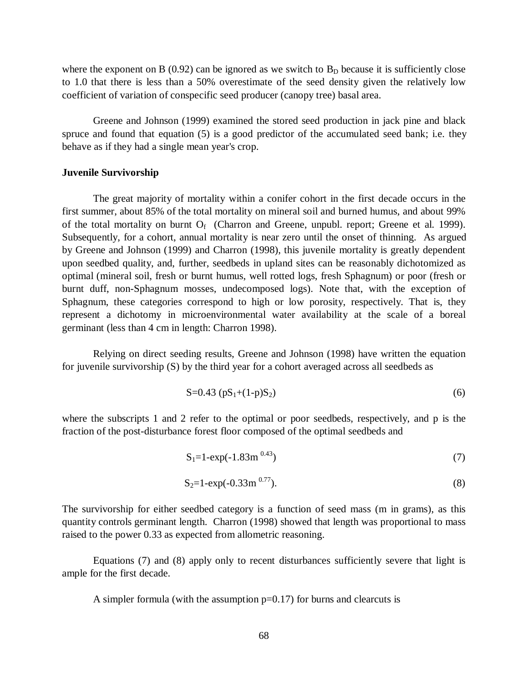where the exponent on B (0.92) can be ignored as we switch to  $B<sub>D</sub>$  because it is sufficiently close to 1.0 that there is less than a 50% overestimate of the seed density given the relatively low coefficient of variation of conspecific seed producer (canopy tree) basal area.

Greene and Johnson (1999) examined the stored seed production in jack pine and black spruce and found that equation (5) is a good predictor of the accumulated seed bank; i.e. they behave as if they had a single mean year's crop.

#### **Juvenile Survivorship**

The great majority of mortality within a conifer cohort in the first decade occurs in the first summer, about 85% of the total mortality on mineral soil and burned humus, and about 99% of the total mortality on burnt  $O_f$  (Charron and Greene, unpubl. report; Greene et al. 1999). Subsequently, for a cohort, annual mortality is near zero until the onset of thinning. As argued by Greene and Johnson (1999) and Charron (1998), this juvenile mortality is greatly dependent upon seedbed quality, and, further, seedbeds in upland sites can be reasonably dichotomized as optimal (mineral soil, fresh or burnt humus, well rotted logs, fresh Sphagnum) or poor (fresh or burnt duff, non-Sphagnum mosses, undecomposed logs). Note that, with the exception of Sphagnum, these categories correspond to high or low porosity, respectively. That is, they represent a dichotomy in microenvironmental water availability at the scale of a boreal germinant (less than 4 cm in length: Charron 1998).

Relying on direct seeding results, Greene and Johnson (1998) have written the equation for juvenile survivorship (S) by the third year for a cohort averaged across all seedbeds as

$$
S=0.43 (pS_1+(1-p)S_2)
$$
 (6)

where the subscripts 1 and 2 refer to the optimal or poor seedbeds, respectively, and p is the fraction of the post-disturbance forest floor composed of the optimal seedbeds and

$$
S_1 = 1 - \exp(-1.83 \, \text{m}^{0.43}) \tag{7}
$$

$$
S_2 = 1 - \exp(-0.33 m^{0.77}).
$$
\n(8)

The survivorship for either seedbed category is a function of seed mass (m in grams), as this quantity controls germinant length. Charron (1998) showed that length was proportional to mass raised to the power 0.33 as expected from allometric reasoning.

Equations (7) and (8) apply only to recent disturbances sufficiently severe that light is ample for the first decade.

A simpler formula (with the assumption  $p=0.17$ ) for burns and clearcuts is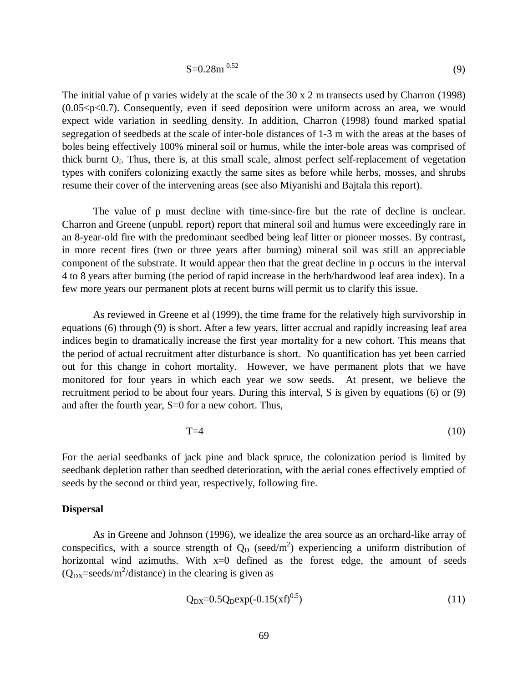$$
S=0.28m^{0.52} \tag{9}
$$

The initial value of p varies widely at the scale of the 30 x 2 m transects used by Charron (1998)  $(0.05 < p < 0.7)$ . Consequently, even if seed deposition were uniform across an area, we would expect wide variation in seedling density. In addition, Charron (1998) found marked spatial segregation of seedbeds at the scale of inter-bole distances of 1-3 m with the areas at the bases of boles being effectively 100% mineral soil or humus, while the inter-bole areas was comprised of thick burnt  $O_f$ . Thus, there is, at this small scale, almost perfect self-replacement of vegetation types with conifers colonizing exactly the same sites as before while herbs, mosses, and shrubs resume their cover of the intervening areas (see also Miyanishi and Bajtala this report).

The value of p must decline with time-since-fire but the rate of decline is unclear. Charron and Greene (unpubl. report) report that mineral soil and humus were exceedingly rare in an 8-year-old fire with the predominant seedbed being leaf litter or pioneer mosses. By contrast, in more recent fires (two or three years after burning) mineral soil was still an appreciable component of the substrate. It would appear then that the great decline in p occurs in the interval 4 to 8 years after burning (the period of rapid increase in the herb/hardwood leaf area index). In a few more years our permanent plots at recent burns will permit us to clarify this issue.

As reviewed in Greene et al (1999), the time frame for the relatively high survivorship in equations (6) through (9) is short. After a few years, litter accrual and rapidly increasing leaf area indices begin to dramatically increase the first year mortality for a new cohort. This means that the period of actual recruitment after disturbance is short. No quantification has yet been carried out for this change in cohort mortality. However, we have permanent plots that we have monitored for four years in which each year we sow seeds. At present, we believe the recruitment period to be about four years. During this interval, S is given by equations (6) or (9) and after the fourth year, S=0 for a new cohort. Thus,

$$
T=4\tag{10}
$$

For the aerial seedbanks of jack pine and black spruce, the colonization period is limited by seedbank depletion rather than seedbed deterioration, with the aerial cones effectively emptied of seeds by the second or third year, respectively, following fire.

## **Dispersal**

As in Greene and Johnson (1996), we idealize the area source as an orchard-like array of conspecifics, with a source strength of  $Q_D$  (seed/m<sup>2</sup>) experiencing a uniform distribution of horizontal wind azimuths. With  $x=0$  defined as the forest edge, the amount of seeds  $(Q_{\text{DX}} = \text{seeds/m}^2/\text{distance})$  in the clearing is given as

$$
Q_{DX} = 0.5 Q_D exp(-0.15(xf)^{0.5})
$$
\n(11)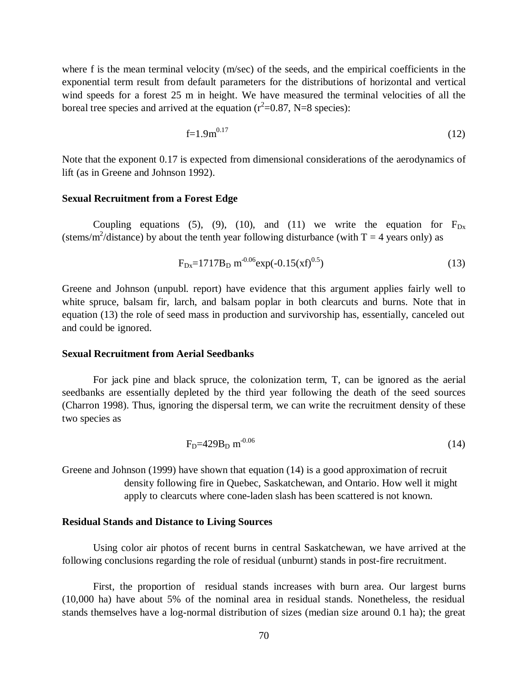where f is the mean terminal velocity (m/sec) of the seeds, and the empirical coefficients in the exponential term result from default parameters for the distributions of horizontal and vertical wind speeds for a forest 25 m in height. We have measured the terminal velocities of all the boreal tree species and arrived at the equation ( $r^2$ =0.87, N=8 species):

$$
f=1.9m^{0.17} \tag{12}
$$

Note that the exponent 0.17 is expected from dimensional considerations of the aerodynamics of lift (as in Greene and Johnson 1992).

#### **Sexual Recruitment from a Forest Edge**

Coupling equations (5), (9), (10), and (11) we write the equation for  $F_{Dx}$ (stems/m<sup>2</sup>/distance) by about the tenth year following disturbance (with  $T = 4$  years only) as

$$
F_{Dx} = 1717B_D \text{ m}^{-0.06} \exp(-0.15(\text{xf})^{0.5})
$$
 (13)

Greene and Johnson (unpubl. report) have evidence that this argument applies fairly well to white spruce, balsam fir, larch, and balsam poplar in both clearcuts and burns. Note that in equation (13) the role of seed mass in production and survivorship has, essentially, canceled out and could be ignored.

#### **Sexual Recruitment from Aerial Seedbanks**

For jack pine and black spruce, the colonization term, T, can be ignored as the aerial seedbanks are essentially depleted by the third year following the death of the seed sources (Charron 1998). Thus, ignoring the dispersal term, we can write the recruitment density of these two species as

$$
FD=429BD m-0.06
$$
 (14)

Greene and Johnson (1999) have shown that equation (14) is a good approximation of recruit density following fire in Quebec, Saskatchewan, and Ontario. How well it might apply to clearcuts where cone-laden slash has been scattered is not known.

#### **Residual Stands and Distance to Living Sources**

Using color air photos of recent burns in central Saskatchewan, we have arrived at the following conclusions regarding the role of residual (unburnt) stands in post-fire recruitment.

First, the proportion of residual stands increases with burn area. Our largest burns (10,000 ha) have about 5% of the nominal area in residual stands. Nonetheless, the residual stands themselves have a log-normal distribution of sizes (median size around 0.1 ha); the great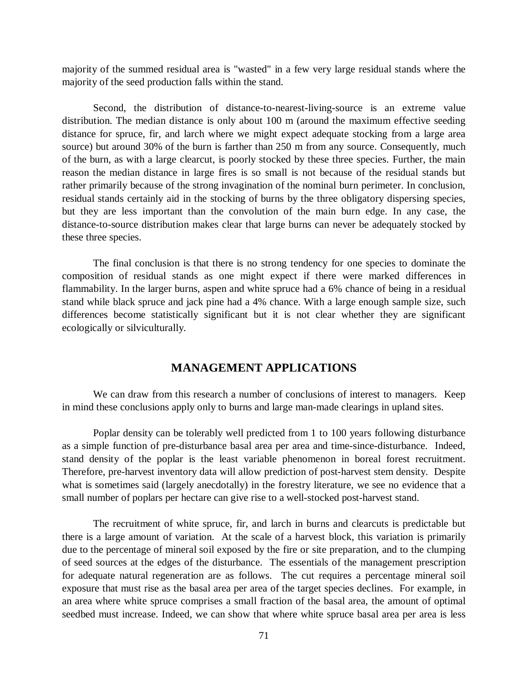majority of the summed residual area is "wasted" in a few very large residual stands where the majority of the seed production falls within the stand.

Second, the distribution of distance-to-nearest-living-source is an extreme value distribution. The median distance is only about 100 m (around the maximum effective seeding distance for spruce, fir, and larch where we might expect adequate stocking from a large area source) but around 30% of the burn is farther than 250 m from any source. Consequently, much of the burn, as with a large clearcut, is poorly stocked by these three species. Further, the main reason the median distance in large fires is so small is not because of the residual stands but rather primarily because of the strong invagination of the nominal burn perimeter. In conclusion, residual stands certainly aid in the stocking of burns by the three obligatory dispersing species, but they are less important than the convolution of the main burn edge. In any case, the distance-to-source distribution makes clear that large burns can never be adequately stocked by these three species.

The final conclusion is that there is no strong tendency for one species to dominate the composition of residual stands as one might expect if there were marked differences in flammability. In the larger burns, aspen and white spruce had a 6% chance of being in a residual stand while black spruce and jack pine had a 4% chance. With a large enough sample size, such differences become statistically significant but it is not clear whether they are significant ecologically or silviculturally.

## **MANAGEMENT APPLICATIONS**

We can draw from this research a number of conclusions of interest to managers. Keep in mind these conclusions apply only to burns and large man-made clearings in upland sites.

Poplar density can be tolerably well predicted from 1 to 100 years following disturbance as a simple function of pre-disturbance basal area per area and time-since-disturbance. Indeed, stand density of the poplar is the least variable phenomenon in boreal forest recruitment. Therefore, pre-harvest inventory data will allow prediction of post-harvest stem density. Despite what is sometimes said (largely anecdotally) in the forestry literature, we see no evidence that a small number of poplars per hectare can give rise to a well-stocked post-harvest stand.

The recruitment of white spruce, fir, and larch in burns and clearcuts is predictable but there is a large amount of variation. At the scale of a harvest block, this variation is primarily due to the percentage of mineral soil exposed by the fire or site preparation, and to the clumping of seed sources at the edges of the disturbance. The essentials of the management prescription for adequate natural regeneration are as follows. The cut requires a percentage mineral soil exposure that must rise as the basal area per area of the target species declines. For example, in an area where white spruce comprises a small fraction of the basal area, the amount of optimal seedbed must increase. Indeed, we can show that where white spruce basal area per area is less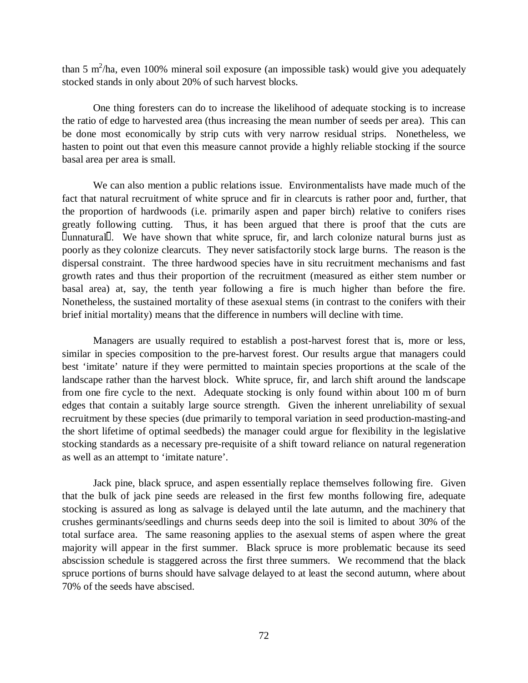than 5 m<sup>2</sup>/ha, even 100% mineral soil exposure (an impossible task) would give you adequately stocked stands in only about 20% of such harvest blocks.

One thing foresters can do to increase the likelihood of adequate stocking is to increase the ratio of edge to harvested area (thus increasing the mean number of seeds per area). This can be done most economically by strip cuts with very narrow residual strips. Nonetheless, we hasten to point out that even this measure cannot provide a highly reliable stocking if the source basal area per area is small.

We can also mention a public relations issue. Environmentalists have made much of the fact that natural recruitment of white spruce and fir in clearcuts is rather poor and, further, that the proportion of hardwoods (i.e. primarily aspen and paper birch) relative to conifers rises greatly following cutting. Thus, it has been argued that there is proof that the cuts are unnatural. We have shown that white spruce, fir, and larch colonize natural burns just as poorly as they colonize clearcuts. They never satisfactorily stock large burns. The reason is the dispersal constraint. The three hardwood species have in situ recruitment mechanisms and fast growth rates and thus their proportion of the recruitment (measured as either stem number or basal area) at, say, the tenth year following a fire is much higher than before the fire. Nonetheless, the sustained mortality of these asexual stems (in contrast to the conifers with their brief initial mortality) means that the difference in numbers will decline with time.

Managers are usually required to establish a post-harvest forest that is, more or less, similar in species composition to the pre-harvest forest. Our results argue that managers could best 'imitate' nature if they were permitted to maintain species proportions at the scale of the landscape rather than the harvest block. White spruce, fir, and larch shift around the landscape from one fire cycle to the next. Adequate stocking is only found within about 100 m of burn edges that contain a suitably large source strength. Given the inherent unreliability of sexual recruitment by these species (due primarily to temporal variation in seed production-masting-and the short lifetime of optimal seedbeds) the manager could argue for flexibility in the legislative stocking standards as a necessary pre-requisite of a shift toward reliance on natural regeneration as well as an attempt to 'imitate nature'.

Jack pine, black spruce, and aspen essentially replace themselves following fire. Given that the bulk of jack pine seeds are released in the first few months following fire, adequate stocking is assured as long as salvage is delayed until the late autumn, and the machinery that crushes germinants/seedlings and churns seeds deep into the soil is limited to about 30% of the total surface area. The same reasoning applies to the asexual stems of aspen where the great majority will appear in the first summer. Black spruce is more problematic because its seed abscission schedule is staggered across the first three summers. We recommend that the black spruce portions of burns should have salvage delayed to at least the second autumn, where about 70% of the seeds have abscised.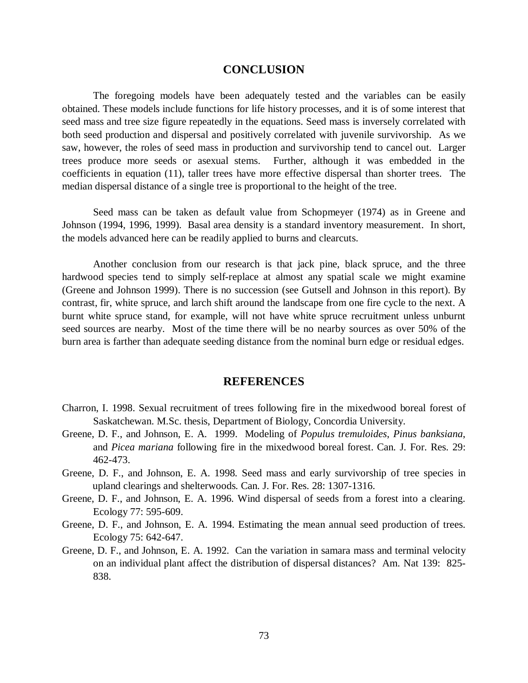## **CONCLUSION**

The foregoing models have been adequately tested and the variables can be easily obtained. These models include functions for life history processes, and it is of some interest that seed mass and tree size figure repeatedly in the equations. Seed mass is inversely correlated with both seed production and dispersal and positively correlated with juvenile survivorship. As we saw, however, the roles of seed mass in production and survivorship tend to cancel out. Larger trees produce more seeds or asexual stems. Further, although it was embedded in the coefficients in equation (11), taller trees have more effective dispersal than shorter trees. The median dispersal distance of a single tree is proportional to the height of the tree.

Seed mass can be taken as default value from Schopmeyer (1974) as in Greene and Johnson (1994, 1996, 1999). Basal area density is a standard inventory measurement. In short, the models advanced here can be readily applied to burns and clearcuts.

Another conclusion from our research is that jack pine, black spruce, and the three hardwood species tend to simply self-replace at almost any spatial scale we might examine (Greene and Johnson 1999). There is no succession (see Gutsell and Johnson in this report). By contrast, fir, white spruce, and larch shift around the landscape from one fire cycle to the next. A burnt white spruce stand, for example, will not have white spruce recruitment unless unburnt seed sources are nearby. Most of the time there will be no nearby sources as over 50% of the burn area is farther than adequate seeding distance from the nominal burn edge or residual edges.

#### **REFERENCES**

- Charron, I. 1998. Sexual recruitment of trees following fire in the mixedwood boreal forest of Saskatchewan. M.Sc. thesis, Department of Biology, Concordia University.
- Greene, D. F., and Johnson, E. A. 1999. Modeling of *Populus tremuloides*, *Pinus banksiana*, and *Picea mariana* following fire in the mixedwood boreal forest. Can. J. For. Res. 29: 462-473.
- Greene, D. F., and Johnson, E. A. 1998. Seed mass and early survivorship of tree species in upland clearings and shelterwoods. Can. J. For. Res. 28: 1307-1316.
- Greene, D. F., and Johnson, E. A. 1996. Wind dispersal of seeds from a forest into a clearing. Ecology 77: 595-609.
- Greene, D. F., and Johnson, E. A. 1994. Estimating the mean annual seed production of trees. Ecology 75: 642-647.
- Greene, D. F., and Johnson, E. A. 1992. Can the variation in samara mass and terminal velocity on an individual plant affect the distribution of dispersal distances? Am. Nat 139: 825- 838.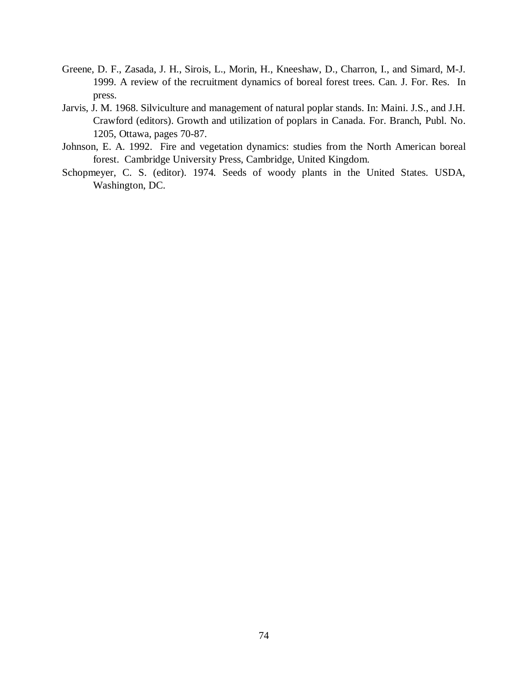- Greene, D. F., Zasada, J. H., Sirois, L., Morin, H., Kneeshaw, D., Charron, I., and Simard, M-J. 1999. A review of the recruitment dynamics of boreal forest trees. Can. J. For. Res. In press.
- Jarvis, J. M. 1968. Silviculture and management of natural poplar stands. In: Maini. J.S., and J.H. Crawford (editors). Growth and utilization of poplars in Canada. For. Branch, Publ. No. 1205, Ottawa, pages 70-87.
- Johnson, E. A. 1992. Fire and vegetation dynamics: studies from the North American boreal forest. Cambridge University Press, Cambridge, United Kingdom.
- Schopmeyer, C. S. (editor). 1974. Seeds of woody plants in the United States. USDA, Washington, DC.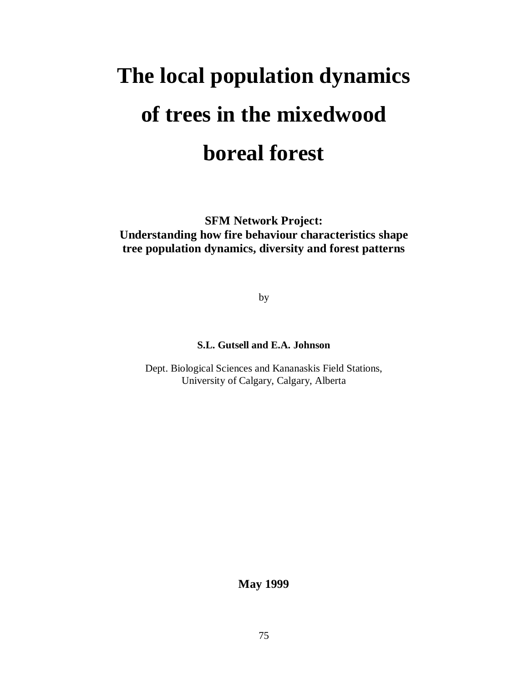# **The local population dynamics of trees in the mixedwood boreal forest**

**SFM Network Project: Understanding how fire behaviour characteristics shape tree population dynamics, diversity and forest patterns**

by

## **S.L. Gutsell and E.A. Johnson**

Dept. Biological Sciences and Kananaskis Field Stations, University of Calgary, Calgary, Alberta

**May 1999**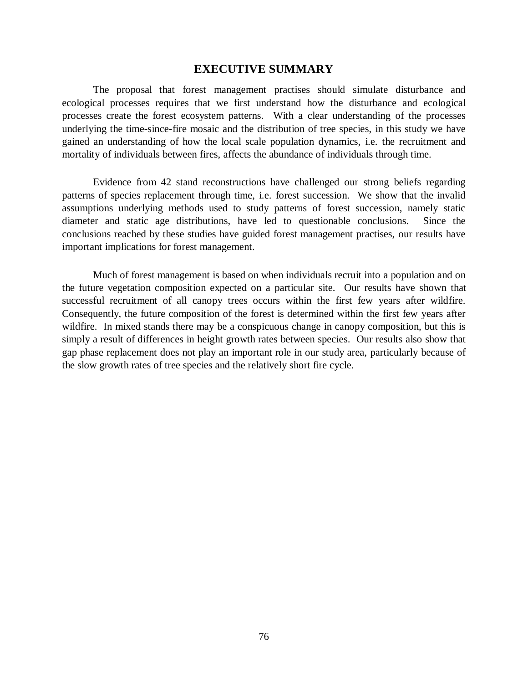### **EXECUTIVE SUMMARY**

The proposal that forest management practises should simulate disturbance and ecological processes requires that we first understand how the disturbance and ecological processes create the forest ecosystem patterns. With a clear understanding of the processes underlying the time-since-fire mosaic and the distribution of tree species, in this study we have gained an understanding of how the local scale population dynamics, i.e. the recruitment and mortality of individuals between fires, affects the abundance of individuals through time.

Evidence from 42 stand reconstructions have challenged our strong beliefs regarding patterns of species replacement through time, i.e. forest succession. We show that the invalid assumptions underlying methods used to study patterns of forest succession, namely static diameter and static age distributions, have led to questionable conclusions. Since the conclusions reached by these studies have guided forest management practises, our results have important implications for forest management.

Much of forest management is based on when individuals recruit into a population and on the future vegetation composition expected on a particular site. Our results have shown that successful recruitment of all canopy trees occurs within the first few years after wildfire. Consequently, the future composition of the forest is determined within the first few years after wildfire. In mixed stands there may be a conspicuous change in canopy composition, but this is simply a result of differences in height growth rates between species. Our results also show that gap phase replacement does not play an important role in our study area, particularly because of the slow growth rates of tree species and the relatively short fire cycle.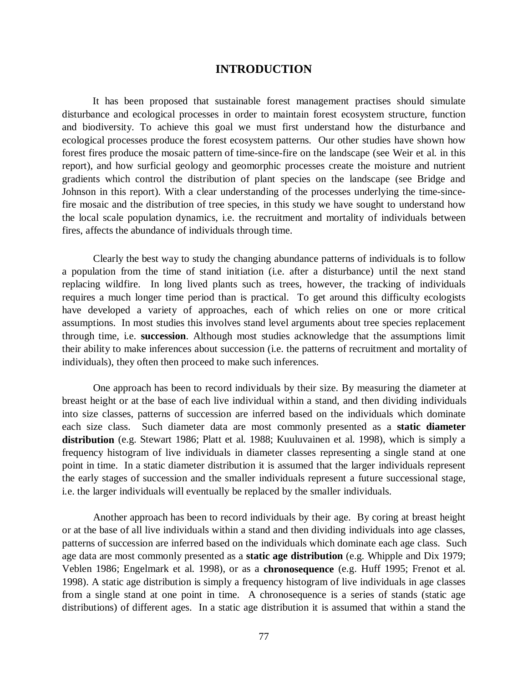## **INTRODUCTION**

It has been proposed that sustainable forest management practises should simulate disturbance and ecological processes in order to maintain forest ecosystem structure, function and biodiversity. To achieve this goal we must first understand how the disturbance and ecological processes produce the forest ecosystem patterns. Our other studies have shown how forest fires produce the mosaic pattern of time-since-fire on the landscape (see Weir et al. in this report), and how surficial geology and geomorphic processes create the moisture and nutrient gradients which control the distribution of plant species on the landscape (see Bridge and Johnson in this report). With a clear understanding of the processes underlying the time-sincefire mosaic and the distribution of tree species, in this study we have sought to understand how the local scale population dynamics, i.e. the recruitment and mortality of individuals between fires, affects the abundance of individuals through time.

Clearly the best way to study the changing abundance patterns of individuals is to follow a population from the time of stand initiation (i.e. after a disturbance) until the next stand replacing wildfire. In long lived plants such as trees, however, the tracking of individuals requires a much longer time period than is practical. To get around this difficulty ecologists have developed a variety of approaches, each of which relies on one or more critical assumptions. In most studies this involves stand level arguments about tree species replacement through time, i.e. **succession**. Although most studies acknowledge that the assumptions limit their ability to make inferences about succession (i.e. the patterns of recruitment and mortality of individuals), they often then proceed to make such inferences.

One approach has been to record individuals by their size. By measuring the diameter at breast height or at the base of each live individual within a stand, and then dividing individuals into size classes, patterns of succession are inferred based on the individuals which dominate each size class. Such diameter data are most commonly presented as a **static diameter distribution** (e.g. Stewart 1986; Platt et al. 1988; Kuuluvainen et al. 1998), which is simply a frequency histogram of live individuals in diameter classes representing a single stand at one point in time. In a static diameter distribution it is assumed that the larger individuals represent the early stages of succession and the smaller individuals represent a future successional stage, i.e. the larger individuals will eventually be replaced by the smaller individuals.

Another approach has been to record individuals by their age. By coring at breast height or at the base of all live individuals within a stand and then dividing individuals into age classes, patterns of succession are inferred based on the individuals which dominate each age class. Such age data are most commonly presented as a **static age distribution** (e.g. Whipple and Dix 1979; Veblen 1986; Engelmark et al. 1998), or as a **chronosequence** (e.g. Huff 1995; Frenot et al. 1998). A static age distribution is simply a frequency histogram of live individuals in age classes from a single stand at one point in time. A chronosequence is a series of stands (static age distributions) of different ages. In a static age distribution it is assumed that within a stand the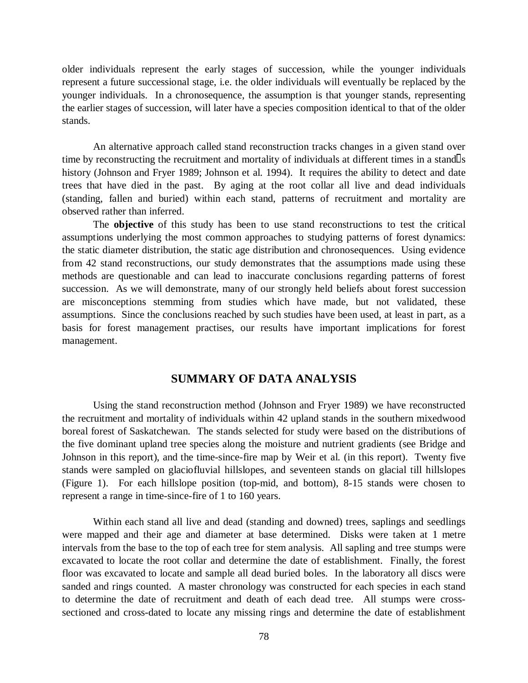older individuals represent the early stages of succession, while the younger individuals represent a future successional stage, i.e. the older individuals will eventually be replaced by the younger individuals. In a chronosequence, the assumption is that younger stands, representing the earlier stages of succession, will later have a species composition identical to that of the older stands.

An alternative approach called stand reconstruction tracks changes in a given stand over time by reconstructing the recruitment and mortality of individuals at different times in a stand  $\Box$ history (Johnson and Fryer 1989; Johnson et al. 1994). It requires the ability to detect and date trees that have died in the past. By aging at the root collar all live and dead individuals (standing, fallen and buried) within each stand, patterns of recruitment and mortality are observed rather than inferred.

The **objective** of this study has been to use stand reconstructions to test the critical assumptions underlying the most common approaches to studying patterns of forest dynamics: the static diameter distribution, the static age distribution and chronosequences. Using evidence from 42 stand reconstructions, our study demonstrates that the assumptions made using these methods are questionable and can lead to inaccurate conclusions regarding patterns of forest succession. As we will demonstrate, many of our strongly held beliefs about forest succession are misconceptions stemming from studies which have made, but not validated, these assumptions. Since the conclusions reached by such studies have been used, at least in part, as a basis for forest management practises, our results have important implications for forest management.

## **SUMMARY OF DATA ANALYSIS**

Using the stand reconstruction method (Johnson and Fryer 1989) we have reconstructed the recruitment and mortality of individuals within 42 upland stands in the southern mixedwood boreal forest of Saskatchewan. The stands selected for study were based on the distributions of the five dominant upland tree species along the moisture and nutrient gradients (see Bridge and Johnson in this report), and the time-since-fire map by Weir et al. (in this report). Twenty five stands were sampled on glaciofluvial hillslopes, and seventeen stands on glacial till hillslopes (Figure 1). For each hillslope position (top-mid, and bottom), 8-15 stands were chosen to represent a range in time-since-fire of 1 to 160 years.

Within each stand all live and dead (standing and downed) trees, saplings and seedlings were mapped and their age and diameter at base determined. Disks were taken at 1 metre intervals from the base to the top of each tree for stem analysis. All sapling and tree stumps were excavated to locate the root collar and determine the date of establishment. Finally, the forest floor was excavated to locate and sample all dead buried boles. In the laboratory all discs were sanded and rings counted. A master chronology was constructed for each species in each stand to determine the date of recruitment and death of each dead tree. All stumps were crosssectioned and cross-dated to locate any missing rings and determine the date of establishment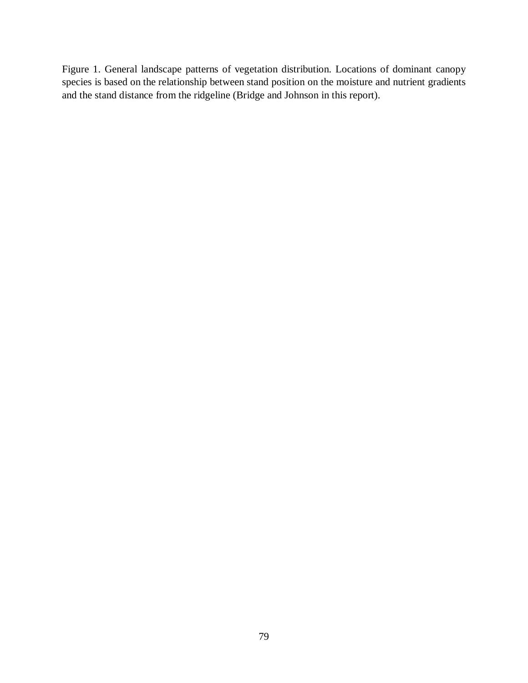Figure 1. General landscape patterns of vegetation distribution. Locations of dominant canopy species is based on the relationship between stand position on the moisture and nutrient gradients and the stand distance from the ridgeline (Bridge and Johnson in this report).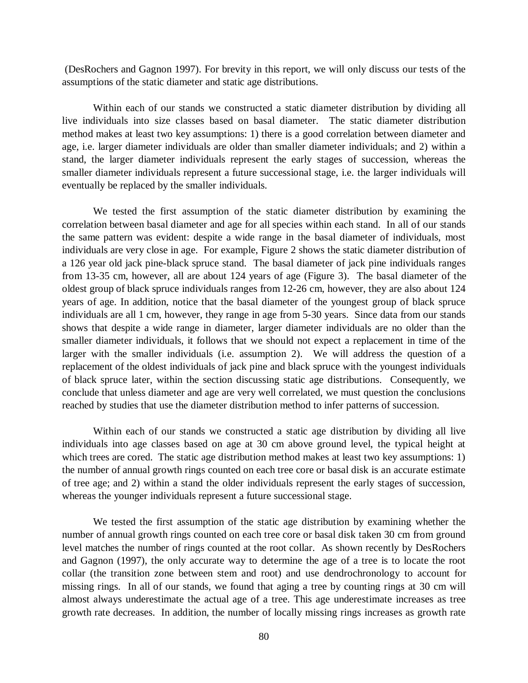(DesRochers and Gagnon 1997). For brevity in this report, we will only discuss our tests of the assumptions of the static diameter and static age distributions.

Within each of our stands we constructed a static diameter distribution by dividing all live individuals into size classes based on basal diameter. The static diameter distribution method makes at least two key assumptions: 1) there is a good correlation between diameter and age, i.e. larger diameter individuals are older than smaller diameter individuals; and 2) within a stand, the larger diameter individuals represent the early stages of succession, whereas the smaller diameter individuals represent a future successional stage, i.e. the larger individuals will eventually be replaced by the smaller individuals.

We tested the first assumption of the static diameter distribution by examining the correlation between basal diameter and age for all species within each stand. In all of our stands the same pattern was evident: despite a wide range in the basal diameter of individuals, most individuals are very close in age. For example, Figure 2 shows the static diameter distribution of a 126 year old jack pine-black spruce stand. The basal diameter of jack pine individuals ranges from 13-35 cm, however, all are about 124 years of age (Figure 3). The basal diameter of the oldest group of black spruce individuals ranges from 12-26 cm, however, they are also about 124 years of age. In addition, notice that the basal diameter of the youngest group of black spruce individuals are all 1 cm, however, they range in age from 5-30 years. Since data from our stands shows that despite a wide range in diameter, larger diameter individuals are no older than the smaller diameter individuals, it follows that we should not expect a replacement in time of the larger with the smaller individuals (i.e. assumption 2). We will address the question of a replacement of the oldest individuals of jack pine and black spruce with the youngest individuals of black spruce later, within the section discussing static age distributions. Consequently, we conclude that unless diameter and age are very well correlated, we must question the conclusions reached by studies that use the diameter distribution method to infer patterns of succession.

Within each of our stands we constructed a static age distribution by dividing all live individuals into age classes based on age at 30 cm above ground level, the typical height at which trees are cored. The static age distribution method makes at least two key assumptions: 1) the number of annual growth rings counted on each tree core or basal disk is an accurate estimate of tree age; and 2) within a stand the older individuals represent the early stages of succession, whereas the younger individuals represent a future successional stage.

We tested the first assumption of the static age distribution by examining whether the number of annual growth rings counted on each tree core or basal disk taken 30 cm from ground level matches the number of rings counted at the root collar. As shown recently by DesRochers and Gagnon (1997), the only accurate way to determine the age of a tree is to locate the root collar (the transition zone between stem and root) and use dendrochronology to account for missing rings. In all of our stands, we found that aging a tree by counting rings at 30 cm will almost always underestimate the actual age of a tree. This age underestimate increases as tree growth rate decreases. In addition, the number of locally missing rings increases as growth rate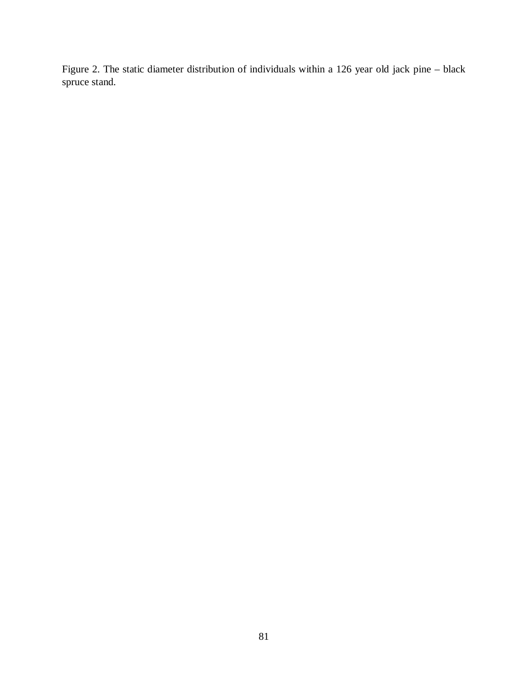Figure 2. The static diameter distribution of individuals within a 126 year old jack pine – black spruce stand.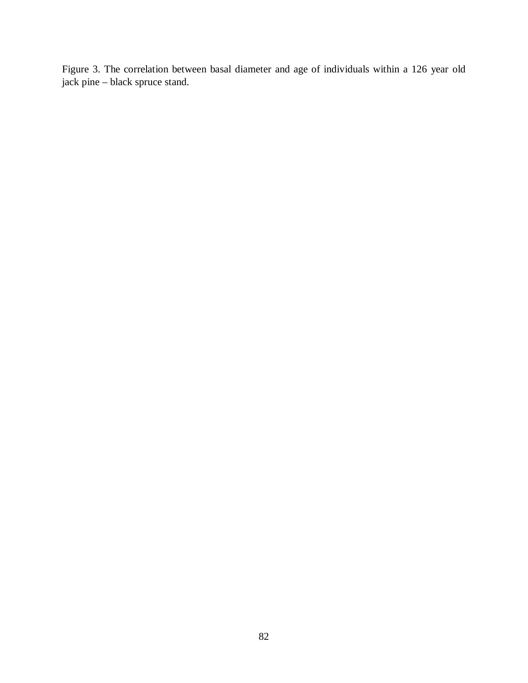Figure 3. The correlation between basal diameter and age of individuals within a 126 year old jack pine – black spruce stand.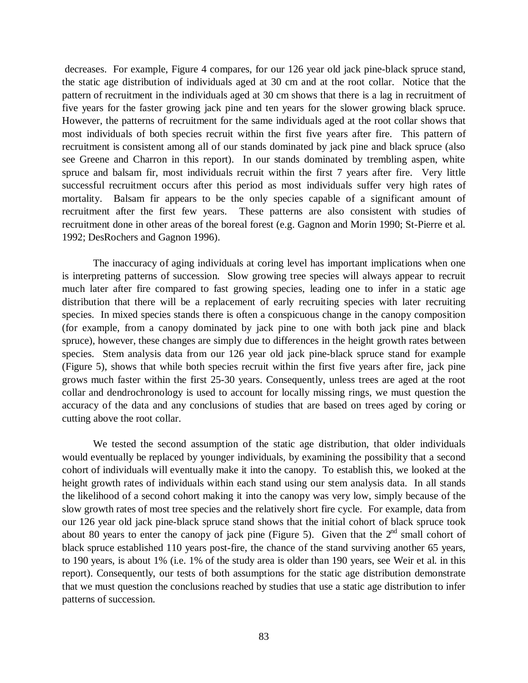decreases. For example, Figure 4 compares, for our 126 year old jack pine-black spruce stand, the static age distribution of individuals aged at 30 cm and at the root collar. Notice that the pattern of recruitment in the individuals aged at 30 cm shows that there is a lag in recruitment of five years for the faster growing jack pine and ten years for the slower growing black spruce. However, the patterns of recruitment for the same individuals aged at the root collar shows that most individuals of both species recruit within the first five years after fire. This pattern of recruitment is consistent among all of our stands dominated by jack pine and black spruce (also see Greene and Charron in this report). In our stands dominated by trembling aspen, white spruce and balsam fir, most individuals recruit within the first 7 years after fire. Very little successful recruitment occurs after this period as most individuals suffer very high rates of mortality. Balsam fir appears to be the only species capable of a significant amount of recruitment after the first few years. These patterns are also consistent with studies of recruitment done in other areas of the boreal forest (e.g. Gagnon and Morin 1990; St-Pierre et al. 1992; DesRochers and Gagnon 1996).

The inaccuracy of aging individuals at coring level has important implications when one is interpreting patterns of succession. Slow growing tree species will always appear to recruit much later after fire compared to fast growing species, leading one to infer in a static age distribution that there will be a replacement of early recruiting species with later recruiting species. In mixed species stands there is often a conspicuous change in the canopy composition (for example, from a canopy dominated by jack pine to one with both jack pine and black spruce), however, these changes are simply due to differences in the height growth rates between species. Stem analysis data from our 126 year old jack pine-black spruce stand for example (Figure 5), shows that while both species recruit within the first five years after fire, jack pine grows much faster within the first 25-30 years. Consequently, unless trees are aged at the root collar and dendrochronology is used to account for locally missing rings, we must question the accuracy of the data and any conclusions of studies that are based on trees aged by coring or cutting above the root collar.

We tested the second assumption of the static age distribution, that older individuals would eventually be replaced by younger individuals, by examining the possibility that a second cohort of individuals will eventually make it into the canopy. To establish this, we looked at the height growth rates of individuals within each stand using our stem analysis data. In all stands the likelihood of a second cohort making it into the canopy was very low, simply because of the slow growth rates of most tree species and the relatively short fire cycle. For example, data from our 126 year old jack pine-black spruce stand shows that the initial cohort of black spruce took about 80 years to enter the canopy of jack pine (Figure 5). Given that the  $2<sup>nd</sup>$  small cohort of black spruce established 110 years post-fire, the chance of the stand surviving another 65 years, to 190 years, is about 1% (i.e. 1% of the study area is older than 190 years, see Weir et al. in this report). Consequently, our tests of both assumptions for the static age distribution demonstrate that we must question the conclusions reached by studies that use a static age distribution to infer patterns of succession.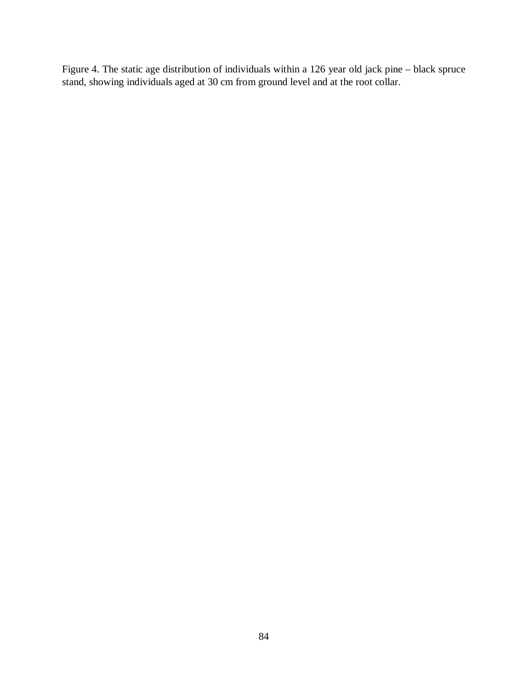Figure 4. The static age distribution of individuals within a 126 year old jack pine – black spruce stand, showing individuals aged at 30 cm from ground level and at the root collar.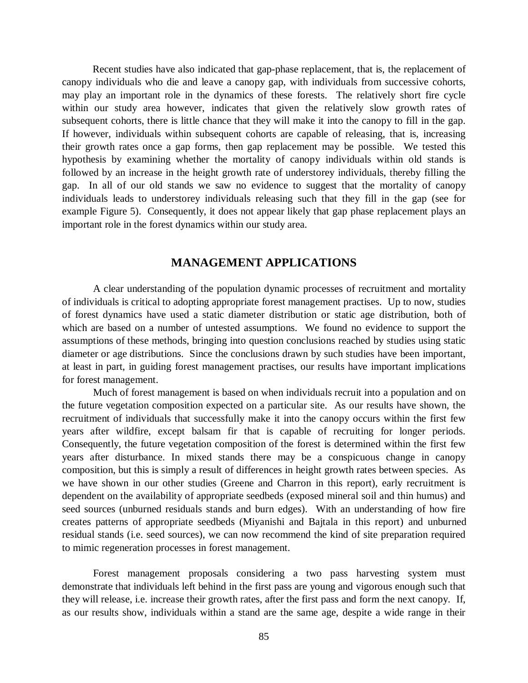Recent studies have also indicated that gap-phase replacement, that is, the replacement of canopy individuals who die and leave a canopy gap, with individuals from successive cohorts, may play an important role in the dynamics of these forests. The relatively short fire cycle within our study area however, indicates that given the relatively slow growth rates of subsequent cohorts, there is little chance that they will make it into the canopy to fill in the gap. If however, individuals within subsequent cohorts are capable of releasing, that is, increasing their growth rates once a gap forms, then gap replacement may be possible. We tested this hypothesis by examining whether the mortality of canopy individuals within old stands is followed by an increase in the height growth rate of understorey individuals, thereby filling the gap. In all of our old stands we saw no evidence to suggest that the mortality of canopy individuals leads to understorey individuals releasing such that they fill in the gap (see for example Figure 5). Consequently, it does not appear likely that gap phase replacement plays an important role in the forest dynamics within our study area.

## **MANAGEMENT APPLICATIONS**

A clear understanding of the population dynamic processes of recruitment and mortality of individuals is critical to adopting appropriate forest management practises. Up to now, studies of forest dynamics have used a static diameter distribution or static age distribution, both of which are based on a number of untested assumptions. We found no evidence to support the assumptions of these methods, bringing into question conclusions reached by studies using static diameter or age distributions. Since the conclusions drawn by such studies have been important, at least in part, in guiding forest management practises, our results have important implications for forest management.

Much of forest management is based on when individuals recruit into a population and on the future vegetation composition expected on a particular site. As our results have shown, the recruitment of individuals that successfully make it into the canopy occurs within the first few years after wildfire, except balsam fir that is capable of recruiting for longer periods. Consequently, the future vegetation composition of the forest is determined within the first few years after disturbance. In mixed stands there may be a conspicuous change in canopy composition, but this is simply a result of differences in height growth rates between species. As we have shown in our other studies (Greene and Charron in this report), early recruitment is dependent on the availability of appropriate seedbeds (exposed mineral soil and thin humus) and seed sources (unburned residuals stands and burn edges). With an understanding of how fire creates patterns of appropriate seedbeds (Miyanishi and Bajtala in this report) and unburned residual stands (i.e. seed sources), we can now recommend the kind of site preparation required to mimic regeneration processes in forest management.

Forest management proposals considering a two pass harvesting system must demonstrate that individuals left behind in the first pass are young and vigorous enough such that they will release, i.e. increase their growth rates, after the first pass and form the next canopy. If, as our results show, individuals within a stand are the same age, despite a wide range in their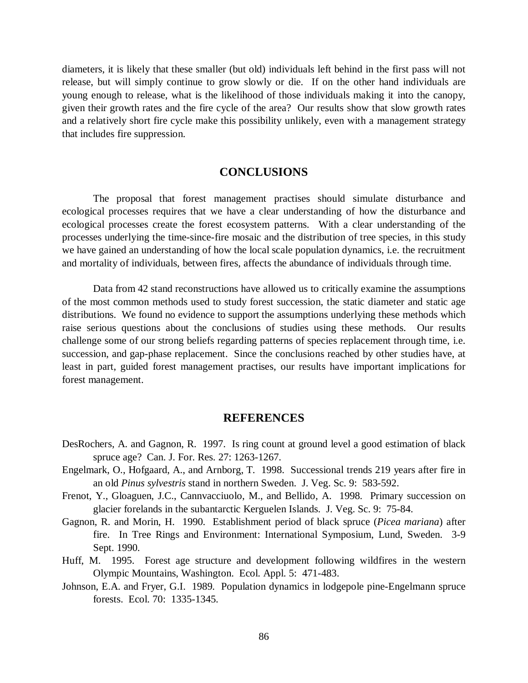diameters, it is likely that these smaller (but old) individuals left behind in the first pass will not release, but will simply continue to grow slowly or die. If on the other hand individuals are young enough to release, what is the likelihood of those individuals making it into the canopy, given their growth rates and the fire cycle of the area? Our results show that slow growth rates and a relatively short fire cycle make this possibility unlikely, even with a management strategy that includes fire suppression.

# **CONCLUSIONS**

The proposal that forest management practises should simulate disturbance and ecological processes requires that we have a clear understanding of how the disturbance and ecological processes create the forest ecosystem patterns. With a clear understanding of the processes underlying the time-since-fire mosaic and the distribution of tree species, in this study we have gained an understanding of how the local scale population dynamics, i.e. the recruitment and mortality of individuals, between fires, affects the abundance of individuals through time.

Data from 42 stand reconstructions have allowed us to critically examine the assumptions of the most common methods used to study forest succession, the static diameter and static age distributions. We found no evidence to support the assumptions underlying these methods which raise serious questions about the conclusions of studies using these methods. Our results challenge some of our strong beliefs regarding patterns of species replacement through time, i.e. succession, and gap-phase replacement. Since the conclusions reached by other studies have, at least in part, guided forest management practises, our results have important implications for forest management.

### **REFERENCES**

- DesRochers, A. and Gagnon, R. 1997. Is ring count at ground level a good estimation of black spruce age? Can. J. For. Res. 27: 1263-1267.
- Engelmark, O., Hofgaard, A., and Arnborg, T. 1998. Successional trends 219 years after fire in an old *Pinus sylvestris* stand in northern Sweden. J. Veg. Sc. 9: 583-592.
- Frenot, Y., Gloaguen, J.C., Cannvacciuolo, M., and Bellido, A. 1998. Primary succession on glacier forelands in the subantarctic Kerguelen Islands. J. Veg. Sc. 9: 75-84.
- Gagnon, R. and Morin, H. 1990. Establishment period of black spruce (*Picea mariana*) after fire. In Tree Rings and Environment: International Symposium, Lund, Sweden. 3-9 Sept. 1990.
- Huff, M. 1995. Forest age structure and development following wildfires in the western Olympic Mountains, Washington. Ecol. Appl. 5: 471-483.
- Johnson, E.A. and Fryer, G.I. 1989. Population dynamics in lodgepole pine-Engelmann spruce forests. Ecol. 70: 1335-1345.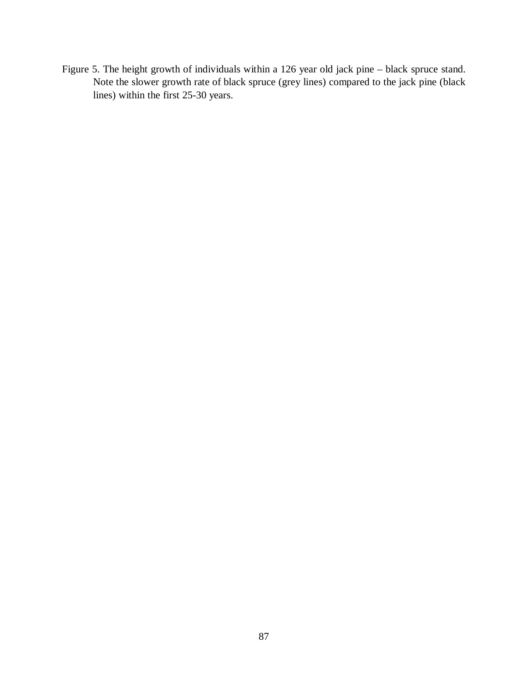Figure 5. The height growth of individuals within a 126 year old jack pine – black spruce stand. Note the slower growth rate of black spruce (grey lines) compared to the jack pine (black lines) within the first 25-30 years.